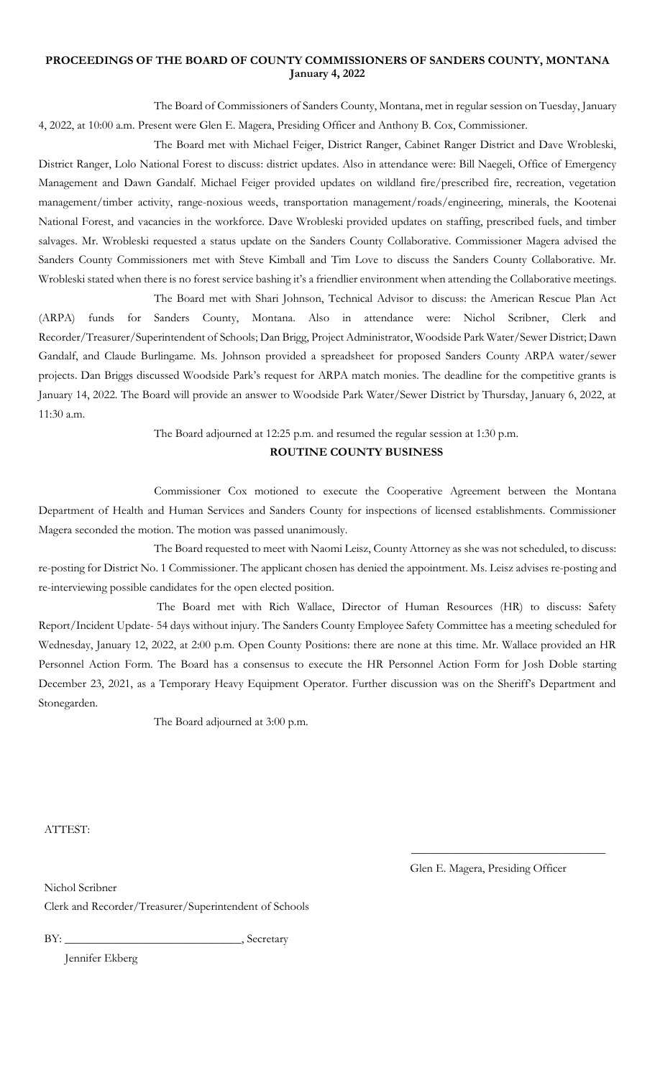### **PROCEEDINGS OF THE BOARD OF COUNTY COMMISSIONERS OF SANDERS COUNTY, MONTANA January 4, 2022**

The Board of Commissioners of Sanders County, Montana, met in regular session on Tuesday, January 4, 2022, at 10:00 a.m. Present were Glen E. Magera, Presiding Officer and Anthony B. Cox, Commissioner.

The Board met with Michael Feiger, District Ranger, Cabinet Ranger District and Dave Wrobleski, District Ranger, Lolo National Forest to discuss: district updates. Also in attendance were: Bill Naegeli, Office of Emergency Management and Dawn Gandalf. Michael Feiger provided updates on wildland fire/prescribed fire, recreation, vegetation management/timber activity, range-noxious weeds, transportation management/roads/engineering, minerals, the Kootenai National Forest, and vacancies in the workforce. Dave Wrobleski provided updates on staffing, prescribed fuels, and timber salvages. Mr. Wrobleski requested a status update on the Sanders County Collaborative. Commissioner Magera advised the Sanders County Commissioners met with Steve Kimball and Tim Love to discuss the Sanders County Collaborative. Mr. Wrobleski stated when there is no forest service bashing it's a friendlier environment when attending the Collaborative meetings.

The Board met with Shari Johnson, Technical Advisor to discuss: the American Rescue Plan Act (ARPA) funds for Sanders County, Montana. Also in attendance were: Nichol Scribner, Clerk and Recorder/Treasurer/Superintendent of Schools; Dan Brigg, Project Administrator, Woodside Park Water/Sewer District; Dawn Gandalf, and Claude Burlingame. Ms. Johnson provided a spreadsheet for proposed Sanders County ARPA water/sewer projects. Dan Briggs discussed Woodside Park's request for ARPA match monies. The deadline for the competitive grants is January 14, 2022. The Board will provide an answer to Woodside Park Water/Sewer District by Thursday, January 6, 2022, at 11:30 a.m.

The Board adjourned at 12:25 p.m. and resumed the regular session at 1:30 p.m.

## **ROUTINE COUNTY BUSINESS**

Commissioner Cox motioned to execute the Cooperative Agreement between the Montana Department of Health and Human Services and Sanders County for inspections of licensed establishments. Commissioner Magera seconded the motion. The motion was passed unanimously.

The Board requested to meet with Naomi Leisz, County Attorney as she was not scheduled, to discuss: re-posting for District No. 1 Commissioner. The applicant chosen has denied the appointment. Ms. Leisz advises re-posting and re-interviewing possible candidates for the open elected position.

The Board met with Rich Wallace, Director of Human Resources (HR) to discuss: Safety Report/Incident Update- 54 days without injury. The Sanders County Employee Safety Committee has a meeting scheduled for Wednesday, January 12, 2022, at 2:00 p.m. Open County Positions: there are none at this time. Mr. Wallace provided an HR Personnel Action Form. The Board has a consensus to execute the HR Personnel Action Form for Josh Doble starting December 23, 2021, as a Temporary Heavy Equipment Operator. Further discussion was on the Sheriff's Department and Stonegarden.

The Board adjourned at 3:00 p.m.

ATTEST:

Glen E. Magera, Presiding Officer

\_\_\_\_\_\_\_\_\_\_\_\_\_\_\_\_\_\_\_\_\_\_\_\_\_\_\_\_\_\_\_\_\_

Nichol Scribner

Clerk and Recorder/Treasurer/Superintendent of Schools

BY: \_\_\_\_\_\_\_\_\_\_\_\_\_\_\_\_\_\_\_\_\_\_\_\_\_\_\_\_\_\_, Secretary

Jennifer Ekberg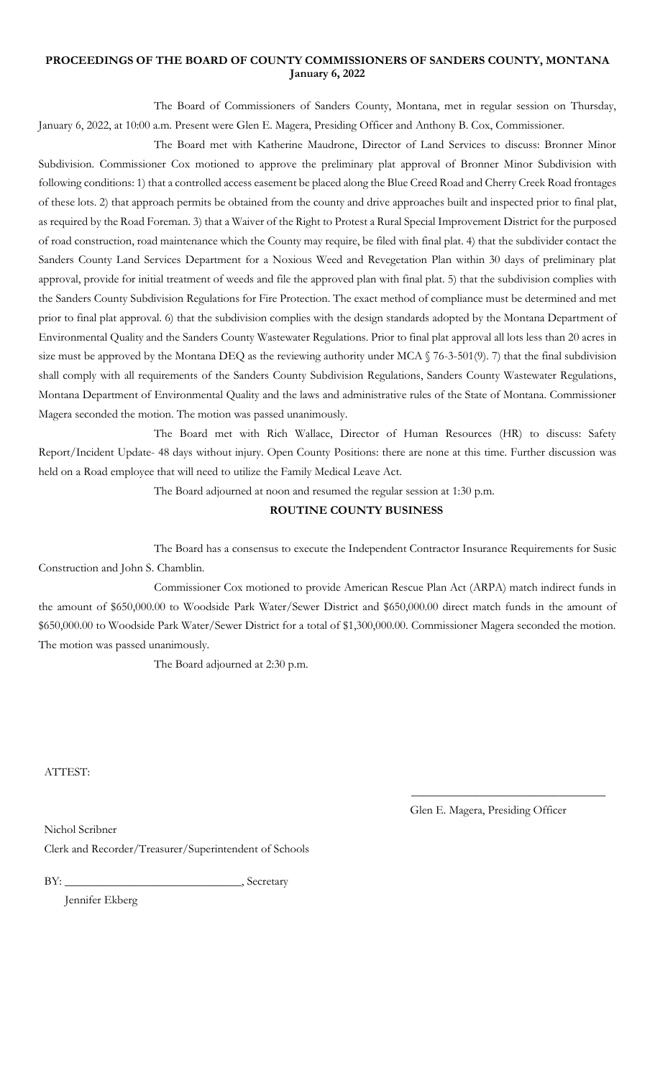### **PROCEEDINGS OF THE BOARD OF COUNTY COMMISSIONERS OF SANDERS COUNTY, MONTANA January 6, 2022**

The Board of Commissioners of Sanders County, Montana, met in regular session on Thursday, January 6, 2022, at 10:00 a.m. Present were Glen E. Magera, Presiding Officer and Anthony B. Cox, Commissioner.

The Board met with Katherine Maudrone, Director of Land Services to discuss: Bronner Minor Subdivision. Commissioner Cox motioned to approve the preliminary plat approval of Bronner Minor Subdivision with following conditions: 1) that a controlled access easement be placed along the Blue Creed Road and Cherry Creek Road frontages of these lots. 2) that approach permits be obtained from the county and drive approaches built and inspected prior to final plat, as required by the Road Foreman. 3) that a Waiver of the Right to Protest a Rural Special Improvement District for the purposed of road construction, road maintenance which the County may require, be filed with final plat. 4) that the subdivider contact the Sanders County Land Services Department for a Noxious Weed and Revegetation Plan within 30 days of preliminary plat approval, provide for initial treatment of weeds and file the approved plan with final plat. 5) that the subdivision complies with the Sanders County Subdivision Regulations for Fire Protection. The exact method of compliance must be determined and met prior to final plat approval. 6) that the subdivision complies with the design standards adopted by the Montana Department of Environmental Quality and the Sanders County Wastewater Regulations. Prior to final plat approval all lots less than 20 acres in size must be approved by the Montana DEQ as the reviewing authority under MCA § 76-3-501(9). 7) that the final subdivision shall comply with all requirements of the Sanders County Subdivision Regulations, Sanders County Wastewater Regulations, Montana Department of Environmental Quality and the laws and administrative rules of the State of Montana. Commissioner Magera seconded the motion. The motion was passed unanimously.

The Board met with Rich Wallace, Director of Human Resources (HR) to discuss: Safety Report/Incident Update- 48 days without injury. Open County Positions: there are none at this time. Further discussion was held on a Road employee that will need to utilize the Family Medical Leave Act.

The Board adjourned at noon and resumed the regular session at 1:30 p.m.

#### **ROUTINE COUNTY BUSINESS**

The Board has a consensus to execute the Independent Contractor Insurance Requirements for Susic Construction and John S. Chamblin.

Commissioner Cox motioned to provide American Rescue Plan Act (ARPA) match indirect funds in the amount of \$650,000.00 to Woodside Park Water/Sewer District and \$650,000.00 direct match funds in the amount of \$650,000.00 to Woodside Park Water/Sewer District for a total of \$1,300,000.00. Commissioner Magera seconded the motion. The motion was passed unanimously.

The Board adjourned at 2:30 p.m.

ATTEST:

Glen E. Magera, Presiding Officer

\_\_\_\_\_\_\_\_\_\_\_\_\_\_\_\_\_\_\_\_\_\_\_\_\_\_\_\_\_\_\_\_\_

Nichol Scribner Clerk and Recorder/Treasurer/Superintendent of Schools

BY: \_\_\_\_\_\_\_\_\_\_\_\_\_\_\_\_\_\_\_\_\_\_\_\_\_\_\_\_\_\_, Secretary

Jennifer Ekberg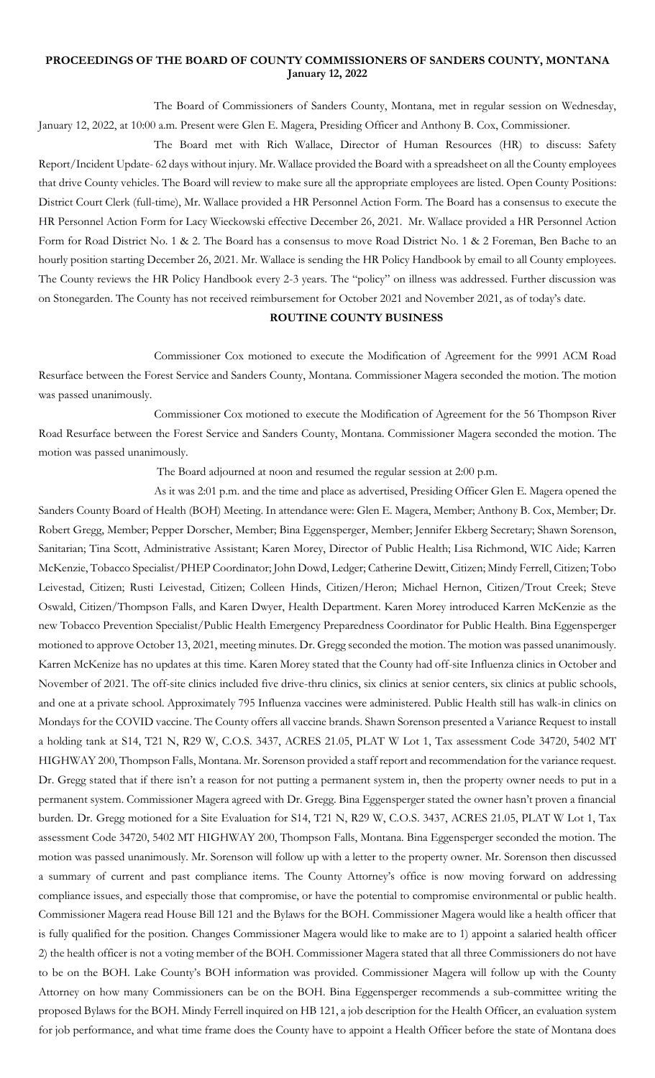## **PROCEEDINGS OF THE BOARD OF COUNTY COMMISSIONERS OF SANDERS COUNTY, MONTANA January 12, 2022**

The Board of Commissioners of Sanders County, Montana, met in regular session on Wednesday, January 12, 2022, at 10:00 a.m. Present were Glen E. Magera, Presiding Officer and Anthony B. Cox, Commissioner.

The Board met with Rich Wallace, Director of Human Resources (HR) to discuss: Safety Report/Incident Update- 62 days without injury. Mr. Wallace provided the Board with a spreadsheet on all the County employees that drive County vehicles. The Board will review to make sure all the appropriate employees are listed. Open County Positions: District Court Clerk (full-time), Mr. Wallace provided a HR Personnel Action Form. The Board has a consensus to execute the HR Personnel Action Form for Lacy Wieckowski effective December 26, 2021. Mr. Wallace provided a HR Personnel Action Form for Road District No. 1 & 2. The Board has a consensus to move Road District No. 1 & 2 Foreman, Ben Bache to an hourly position starting December 26, 2021. Mr. Wallace is sending the HR Policy Handbook by email to all County employees. The County reviews the HR Policy Handbook every 2-3 years. The "policy" on illness was addressed. Further discussion was on Stonegarden. The County has not received reimbursement for October 2021 and November 2021, as of today's date.

## **ROUTINE COUNTY BUSINESS**

Commissioner Cox motioned to execute the Modification of Agreement for the 9991 ACM Road Resurface between the Forest Service and Sanders County, Montana. Commissioner Magera seconded the motion. The motion was passed unanimously.

Commissioner Cox motioned to execute the Modification of Agreement for the 56 Thompson River Road Resurface between the Forest Service and Sanders County, Montana. Commissioner Magera seconded the motion. The motion was passed unanimously.

The Board adjourned at noon and resumed the regular session at 2:00 p.m.

As it was 2:01 p.m. and the time and place as advertised, Presiding Officer Glen E. Magera opened the Sanders County Board of Health (BOH) Meeting. In attendance were: Glen E. Magera, Member; Anthony B. Cox, Member; Dr. Robert Gregg, Member; Pepper Dorscher, Member; Bina Eggensperger, Member; Jennifer Ekberg Secretary; Shawn Sorenson, Sanitarian; Tina Scott, Administrative Assistant; Karen Morey, Director of Public Health; Lisa Richmond, WIC Aide; Karren McKenzie, Tobacco Specialist/PHEP Coordinator; John Dowd, Ledger; Catherine Dewitt, Citizen; Mindy Ferrell, Citizen; Tobo Leivestad, Citizen; Rusti Leivestad, Citizen; Colleen Hinds, Citizen/Heron; Michael Hernon, Citizen/Trout Creek; Steve Oswald, Citizen/Thompson Falls, and Karen Dwyer, Health Department. Karen Morey introduced Karren McKenzie as the new Tobacco Prevention Specialist/Public Health Emergency Preparedness Coordinator for Public Health. Bina Eggensperger motioned to approve October 13, 2021, meeting minutes. Dr. Gregg seconded the motion. The motion was passed unanimously. Karren McKenize has no updates at this time. Karen Morey stated that the County had off-site Influenza clinics in October and November of 2021. The off-site clinics included five drive-thru clinics, six clinics at senior centers, six clinics at public schools, and one at a private school. Approximately 795 Influenza vaccines were administered. Public Health still has walk-in clinics on Mondays for the COVID vaccine. The County offers all vaccine brands. Shawn Sorenson presented a Variance Request to install a holding tank at S14, T21 N, R29 W, C.O.S. 3437, ACRES 21.05, PLAT W Lot 1, Tax assessment Code 34720, 5402 MT HIGHWAY 200, Thompson Falls, Montana. Mr. Sorenson provided a staff report and recommendation for the variance request. Dr. Gregg stated that if there isn't a reason for not putting a permanent system in, then the property owner needs to put in a permanent system. Commissioner Magera agreed with Dr. Gregg. Bina Eggensperger stated the owner hasn't proven a financial burden. Dr. Gregg motioned for a Site Evaluation for S14, T21 N, R29 W, C.O.S. 3437, ACRES 21.05, PLAT W Lot 1, Tax assessment Code 34720, 5402 MT HIGHWAY 200, Thompson Falls, Montana. Bina Eggensperger seconded the motion. The motion was passed unanimously. Mr. Sorenson will follow up with a letter to the property owner. Mr. Sorenson then discussed a summary of current and past compliance items. The County Attorney's office is now moving forward on addressing compliance issues, and especially those that compromise, or have the potential to compromise environmental or public health. Commissioner Magera read House Bill 121 and the Bylaws for the BOH. Commissioner Magera would like a health officer that is fully qualified for the position. Changes Commissioner Magera would like to make are to 1) appoint a salaried health officer 2) the health officer is not a voting member of the BOH. Commissioner Magera stated that all three Commissioners do not have to be on the BOH. Lake County's BOH information was provided. Commissioner Magera will follow up with the County Attorney on how many Commissioners can be on the BOH. Bina Eggensperger recommends a sub-committee writing the proposed Bylaws for the BOH. Mindy Ferrell inquired on HB 121, a job description for the Health Officer, an evaluation system for job performance, and what time frame does the County have to appoint a Health Officer before the state of Montana does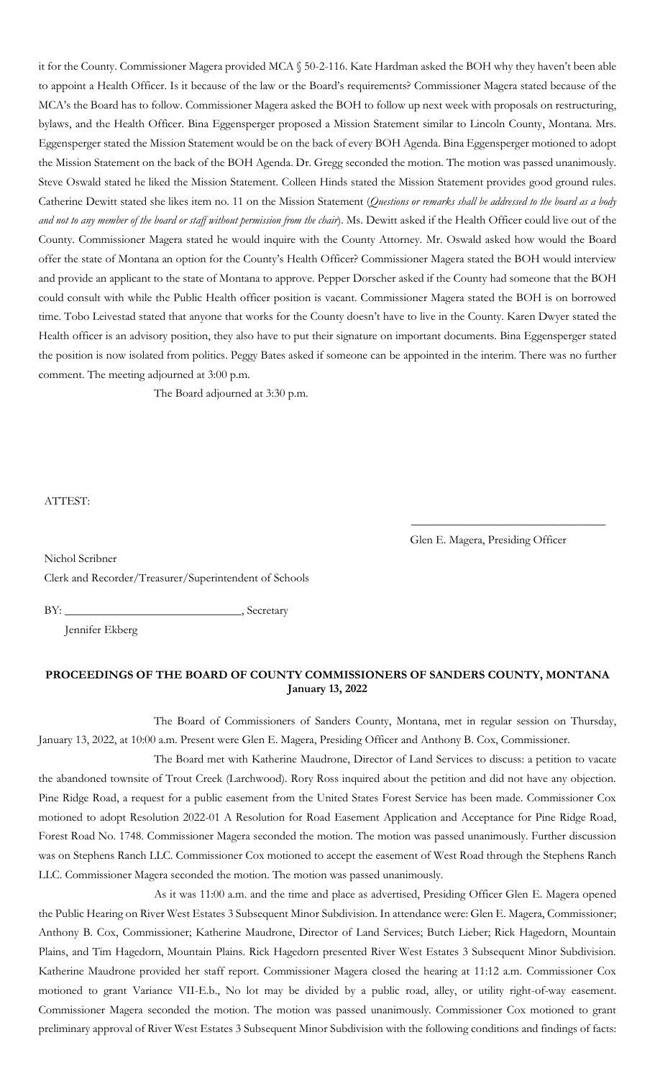it for the County. Commissioner Magera provided MCA § 50-2-116. Kate Hardman asked the BOH why they haven't been able to appoint a Health Officer. Is it because of the law or the Board's requirements? Commissioner Magera stated because of the MCA's the Board has to follow. Commissioner Magera asked the BOH to follow up next week with proposals on restructuring, bylaws, and the Health Officer. Bina Eggensperger proposed a Mission Statement similar to Lincoln County, Montana. Mrs. Eggensperger stated the Mission Statement would be on the back of every BOH Agenda. Bina Eggensperger motioned to adopt the Mission Statement on the back of the BOH Agenda. Dr. Gregg seconded the motion. The motion was passed unanimously. Steve Oswald stated he liked the Mission Statement. Colleen Hinds stated the Mission Statement provides good ground rules. Catherine Dewitt stated she likes item no. 11 on the Mission Statement (*Questions or remarks shall be addressed to the board as a body and not to any member of the board or staff without permission from the chair*). Ms. Dewitt asked if the Health Officer could live out of the County. Commissioner Magera stated he would inquire with the County Attorney. Mr. Oswald asked how would the Board offer the state of Montana an option for the County's Health Officer? Commissioner Magera stated the BOH would interview and provide an applicant to the state of Montana to approve. Pepper Dorscher asked if the County had someone that the BOH could consult with while the Public Health officer position is vacant. Commissioner Magera stated the BOH is on borrowed time. Tobo Leivestad stated that anyone that works for the County doesn't have to live in the County. Karen Dwyer stated the Health officer is an advisory position, they also have to put their signature on important documents. Bina Eggensperger stated the position is now isolated from politics. Peggy Bates asked if someone can be appointed in the interim. There was no further comment. The meeting adjourned at 3:00 p.m.

The Board adjourned at 3:30 p.m.

ATTEST:

Nichol Scribner

Glen E. Magera, Presiding Officer

\_\_\_\_\_\_\_\_\_\_\_\_\_\_\_\_\_\_\_\_\_\_\_\_\_\_\_\_\_\_\_\_\_

Clerk and Recorder/Treasurer/Superintendent of Schools

BY: \_\_\_\_\_\_\_\_\_\_\_\_\_\_\_\_\_\_\_\_\_\_\_\_\_\_\_\_\_\_, Secretary

Jennifer Ekberg

## **PROCEEDINGS OF THE BOARD OF COUNTY COMMISSIONERS OF SANDERS COUNTY, MONTANA January 13, 2022**

The Board of Commissioners of Sanders County, Montana, met in regular session on Thursday, January 13, 2022, at 10:00 a.m. Present were Glen E. Magera, Presiding Officer and Anthony B. Cox, Commissioner.

The Board met with Katherine Maudrone, Director of Land Services to discuss: a petition to vacate the abandoned townsite of Trout Creek (Larchwood). Rory Ross inquired about the petition and did not have any objection. Pine Ridge Road, a request for a public easement from the United States Forest Service has been made. Commissioner Cox motioned to adopt Resolution 2022-01 A Resolution for Road Easement Application and Acceptance for Pine Ridge Road, Forest Road No. 1748. Commissioner Magera seconded the motion. The motion was passed unanimously. Further discussion was on Stephens Ranch LLC. Commissioner Cox motioned to accept the easement of West Road through the Stephens Ranch LLC. Commissioner Magera seconded the motion. The motion was passed unanimously.

As it was 11:00 a.m. and the time and place as advertised, Presiding Officer Glen E. Magera opened the Public Hearing on River West Estates 3 Subsequent Minor Subdivision. In attendance were: Glen E. Magera, Commissioner; Anthony B. Cox, Commissioner; Katherine Maudrone, Director of Land Services; Butch Lieber; Rick Hagedorn, Mountain Plains, and Tim Hagedorn, Mountain Plains. Rick Hagedorn presented River West Estates 3 Subsequent Minor Subdivision. Katherine Maudrone provided her staff report. Commissioner Magera closed the hearing at 11:12 a.m. Commissioner Cox motioned to grant Variance VII-E.b., No lot may be divided by a public road, alley, or utility right-of-way easement. Commissioner Magera seconded the motion. The motion was passed unanimously. Commissioner Cox motioned to grant preliminary approval of River West Estates 3 Subsequent Minor Subdivision with the following conditions and findings of facts: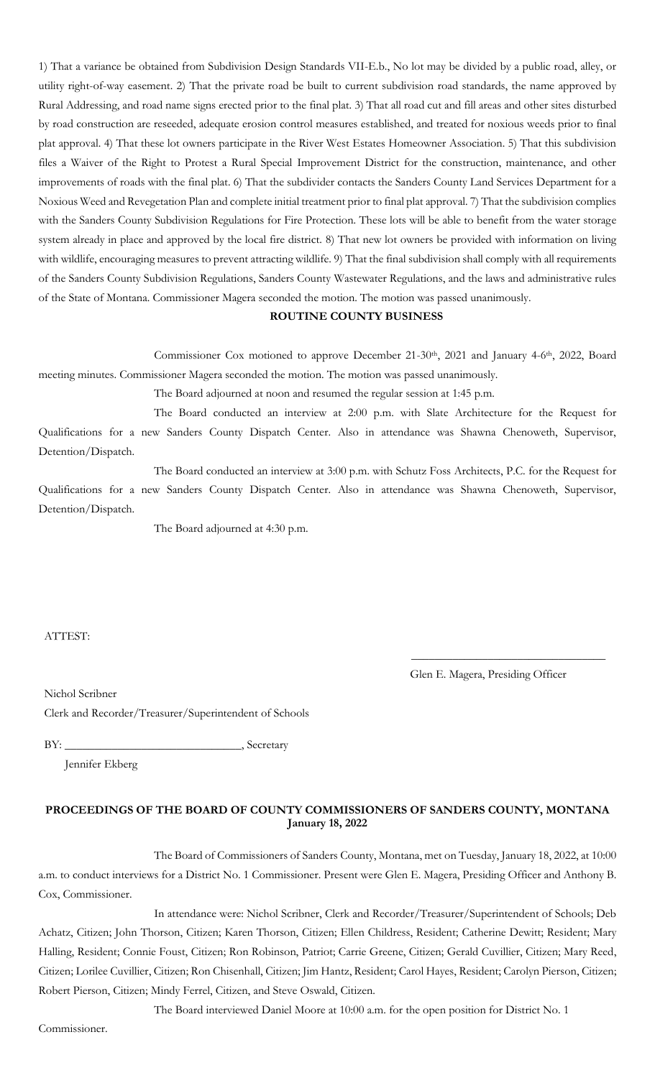1) That a variance be obtained from Subdivision Design Standards VII-E.b., No lot may be divided by a public road, alley, or utility right-of-way easement. 2) That the private road be built to current subdivision road standards, the name approved by Rural Addressing, and road name signs erected prior to the final plat. 3) That all road cut and fill areas and other sites disturbed by road construction are reseeded, adequate erosion control measures established, and treated for noxious weeds prior to final plat approval. 4) That these lot owners participate in the River West Estates Homeowner Association. 5) That this subdivision files a Waiver of the Right to Protest a Rural Special Improvement District for the construction, maintenance, and other improvements of roads with the final plat. 6) That the subdivider contacts the Sanders County Land Services Department for a Noxious Weed and Revegetation Plan and complete initial treatment prior to final plat approval. 7) That the subdivision complies with the Sanders County Subdivision Regulations for Fire Protection. These lots will be able to benefit from the water storage system already in place and approved by the local fire district. 8) That new lot owners be provided with information on living with wildlife, encouraging measures to prevent attracting wildlife. 9) That the final subdivision shall comply with all requirements of the Sanders County Subdivision Regulations, Sanders County Wastewater Regulations, and the laws and administrative rules of the State of Montana. Commissioner Magera seconded the motion. The motion was passed unanimously.

## **ROUTINE COUNTY BUSINESS**

Commissioner Cox motioned to approve December 21-30<sup>th</sup>, 2021 and January 4-6<sup>th</sup>, 2022, Board meeting minutes. Commissioner Magera seconded the motion. The motion was passed unanimously.

The Board adjourned at noon and resumed the regular session at 1:45 p.m.

The Board conducted an interview at 2:00 p.m. with Slate Architecture for the Request for Qualifications for a new Sanders County Dispatch Center. Also in attendance was Shawna Chenoweth, Supervisor, Detention/Dispatch.

The Board conducted an interview at 3:00 p.m. with Schutz Foss Architects, P.C. for the Request for Qualifications for a new Sanders County Dispatch Center. Also in attendance was Shawna Chenoweth, Supervisor, Detention/Dispatch.

The Board adjourned at 4:30 p.m.

ATTEST:

Glen E. Magera, Presiding Officer

\_\_\_\_\_\_\_\_\_\_\_\_\_\_\_\_\_\_\_\_\_\_\_\_\_\_\_\_\_\_\_\_\_

Nichol Scribner

Clerk and Recorder/Treasurer/Superintendent of Schools

BY: Secretary

Jennifer Ekberg

### **PROCEEDINGS OF THE BOARD OF COUNTY COMMISSIONERS OF SANDERS COUNTY, MONTANA January 18, 2022**

The Board of Commissioners of Sanders County, Montana, met on Tuesday, January 18, 2022, at 10:00 a.m. to conduct interviews for a District No. 1 Commissioner. Present were Glen E. Magera, Presiding Officer and Anthony B. Cox, Commissioner.

In attendance were: Nichol Scribner, Clerk and Recorder/Treasurer/Superintendent of Schools; Deb Achatz, Citizen; John Thorson, Citizen; Karen Thorson, Citizen; Ellen Childress, Resident; Catherine Dewitt; Resident; Mary Halling, Resident; Connie Foust, Citizen; Ron Robinson, Patriot; Carrie Greene, Citizen; Gerald Cuvillier, Citizen; Mary Reed, Citizen; Lorilee Cuvillier, Citizen; Ron Chisenhall, Citizen; Jim Hantz, Resident; Carol Hayes, Resident; Carolyn Pierson, Citizen; Robert Pierson, Citizen; Mindy Ferrel, Citizen, and Steve Oswald, Citizen.

The Board interviewed Daniel Moore at 10:00 a.m. for the open position for District No. 1

Commissioner.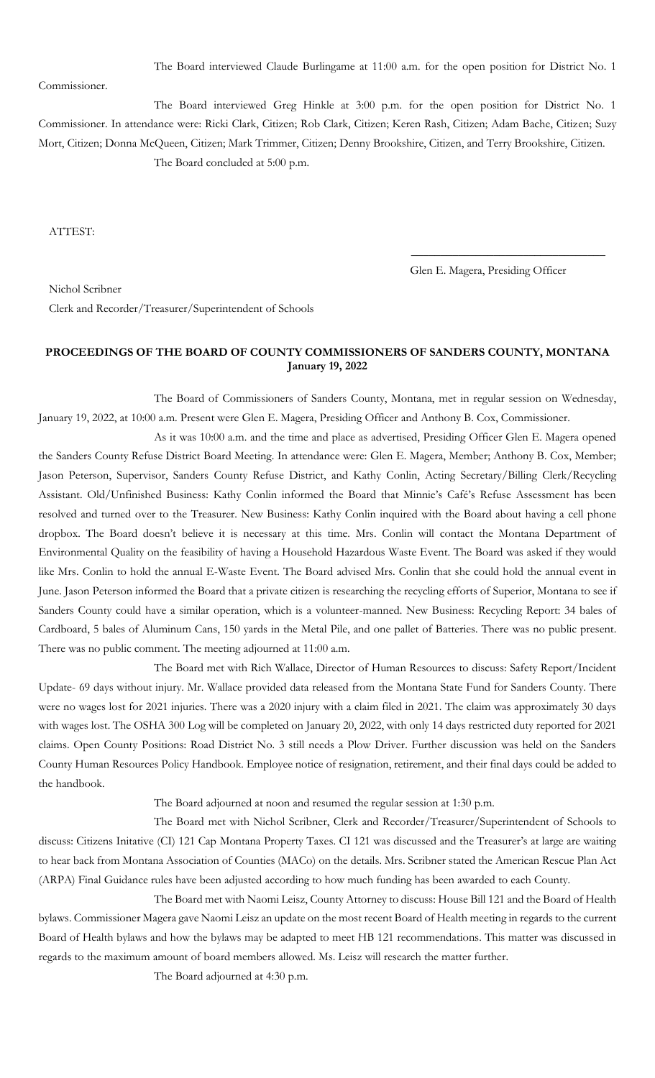The Board interviewed Claude Burlingame at 11:00 a.m. for the open position for District No. 1

Commissioner.

The Board interviewed Greg Hinkle at 3:00 p.m. for the open position for District No. 1 Commissioner. In attendance were: Ricki Clark, Citizen; Rob Clark, Citizen; Keren Rash, Citizen; Adam Bache, Citizen; Suzy Mort, Citizen; Donna McQueen, Citizen; Mark Trimmer, Citizen; Denny Brookshire, Citizen, and Terry Brookshire, Citizen. The Board concluded at 5:00 p.m.

ATTEST:

Glen E. Magera, Presiding Officer

\_\_\_\_\_\_\_\_\_\_\_\_\_\_\_\_\_\_\_\_\_\_\_\_\_\_\_\_\_\_\_\_\_

Nichol Scribner Clerk and Recorder/Treasurer/Superintendent of Schools

## **PROCEEDINGS OF THE BOARD OF COUNTY COMMISSIONERS OF SANDERS COUNTY, MONTANA January 19, 2022**

The Board of Commissioners of Sanders County, Montana, met in regular session on Wednesday, January 19, 2022, at 10:00 a.m. Present were Glen E. Magera, Presiding Officer and Anthony B. Cox, Commissioner.

As it was 10:00 a.m. and the time and place as advertised, Presiding Officer Glen E. Magera opened the Sanders County Refuse District Board Meeting. In attendance were: Glen E. Magera, Member; Anthony B. Cox, Member; Jason Peterson, Supervisor, Sanders County Refuse District, and Kathy Conlin, Acting Secretary/Billing Clerk/Recycling Assistant. Old/Unfinished Business: Kathy Conlin informed the Board that Minnie's Café's Refuse Assessment has been resolved and turned over to the Treasurer. New Business: Kathy Conlin inquired with the Board about having a cell phone dropbox. The Board doesn't believe it is necessary at this time. Mrs. Conlin will contact the Montana Department of Environmental Quality on the feasibility of having a Household Hazardous Waste Event. The Board was asked if they would like Mrs. Conlin to hold the annual E-Waste Event. The Board advised Mrs. Conlin that she could hold the annual event in June. Jason Peterson informed the Board that a private citizen is researching the recycling efforts of Superior, Montana to see if Sanders County could have a similar operation, which is a volunteer-manned. New Business: Recycling Report: 34 bales of Cardboard, 5 bales of Aluminum Cans, 150 yards in the Metal Pile, and one pallet of Batteries. There was no public present. There was no public comment. The meeting adjourned at 11:00 a.m.

The Board met with Rich Wallace, Director of Human Resources to discuss: Safety Report/Incident Update- 69 days without injury. Mr. Wallace provided data released from the Montana State Fund for Sanders County. There were no wages lost for 2021 injuries. There was a 2020 injury with a claim filed in 2021. The claim was approximately 30 days with wages lost. The OSHA 300 Log will be completed on January 20, 2022, with only 14 days restricted duty reported for 2021 claims. Open County Positions: Road District No. 3 still needs a Plow Driver. Further discussion was held on the Sanders County Human Resources Policy Handbook. Employee notice of resignation, retirement, and their final days could be added to the handbook.

The Board adjourned at noon and resumed the regular session at 1:30 p.m.

The Board met with Nichol Scribner, Clerk and Recorder/Treasurer/Superintendent of Schools to discuss: Citizens Initative (CI) 121 Cap Montana Property Taxes. CI 121 was discussed and the Treasurer's at large are waiting to hear back from Montana Association of Counties (MACo) on the details. Mrs. Scribner stated the American Rescue Plan Act (ARPA) Final Guidance rules have been adjusted according to how much funding has been awarded to each County.

The Board met with Naomi Leisz, County Attorney to discuss: House Bill 121 and the Board of Health bylaws. Commissioner Magera gave Naomi Leisz an update on the most recent Board of Health meeting in regards to the current Board of Health bylaws and how the bylaws may be adapted to meet HB 121 recommendations. This matter was discussed in regards to the maximum amount of board members allowed. Ms. Leisz will research the matter further.

The Board adjourned at 4:30 p.m.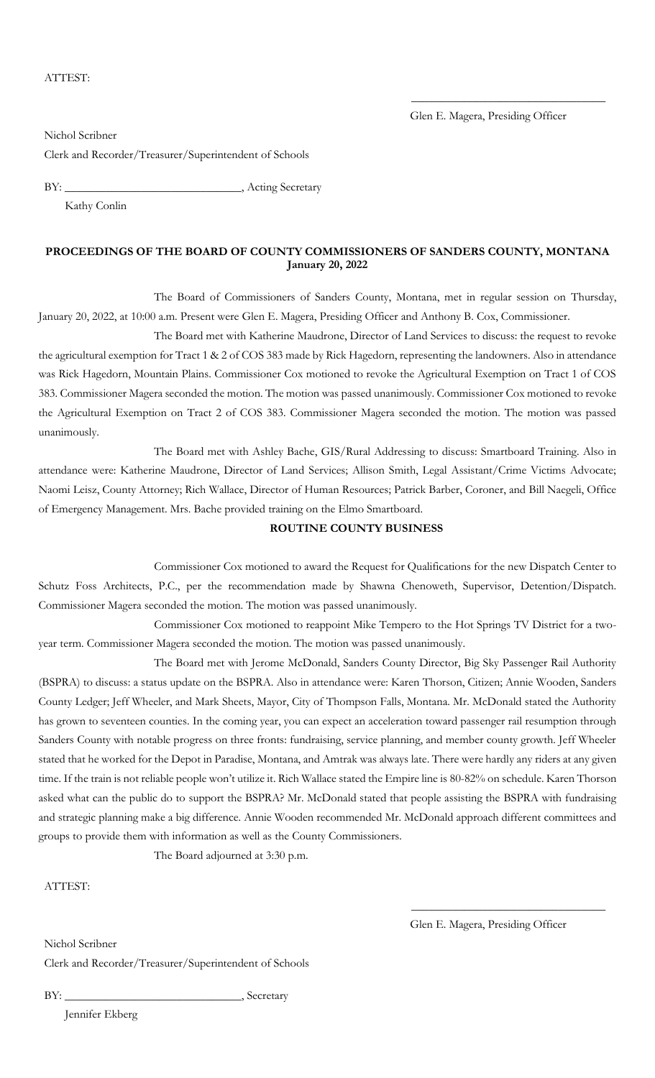Glen E. Magera, Presiding Officer

\_\_\_\_\_\_\_\_\_\_\_\_\_\_\_\_\_\_\_\_\_\_\_\_\_\_\_\_\_\_\_\_\_

Nichol Scribner Clerk and Recorder/Treasurer/Superintendent of Schools

BY: \_\_\_\_\_\_\_\_\_\_\_\_\_\_\_\_\_\_\_\_\_\_\_\_\_\_\_\_\_\_, Acting Secretary

Kathy Conlin

### **PROCEEDINGS OF THE BOARD OF COUNTY COMMISSIONERS OF SANDERS COUNTY, MONTANA January 20, 2022**

The Board of Commissioners of Sanders County, Montana, met in regular session on Thursday, January 20, 2022, at 10:00 a.m. Present were Glen E. Magera, Presiding Officer and Anthony B. Cox, Commissioner.

The Board met with Katherine Maudrone, Director of Land Services to discuss: the request to revoke the agricultural exemption for Tract 1 & 2 of COS 383 made by Rick Hagedorn, representing the landowners. Also in attendance was Rick Hagedorn, Mountain Plains. Commissioner Cox motioned to revoke the Agricultural Exemption on Tract 1 of COS 383. Commissioner Magera seconded the motion. The motion was passed unanimously. Commissioner Cox motioned to revoke the Agricultural Exemption on Tract 2 of COS 383. Commissioner Magera seconded the motion. The motion was passed unanimously.

The Board met with Ashley Bache, GIS/Rural Addressing to discuss: Smartboard Training. Also in attendance were: Katherine Maudrone, Director of Land Services; Allison Smith, Legal Assistant/Crime Victims Advocate; Naomi Leisz, County Attorney; Rich Wallace, Director of Human Resources; Patrick Barber, Coroner, and Bill Naegeli, Office of Emergency Management. Mrs. Bache provided training on the Elmo Smartboard.

### **ROUTINE COUNTY BUSINESS**

Commissioner Cox motioned to award the Request for Qualifications for the new Dispatch Center to Schutz Foss Architects, P.C., per the recommendation made by Shawna Chenoweth, Supervisor, Detention/Dispatch. Commissioner Magera seconded the motion. The motion was passed unanimously.

Commissioner Cox motioned to reappoint Mike Tempero to the Hot Springs TV District for a twoyear term. Commissioner Magera seconded the motion. The motion was passed unanimously.

The Board met with Jerome McDonald, Sanders County Director, Big Sky Passenger Rail Authority (BSPRA) to discuss: a status update on the BSPRA. Also in attendance were: Karen Thorson, Citizen; Annie Wooden, Sanders County Ledger; Jeff Wheeler, and Mark Sheets, Mayor, City of Thompson Falls, Montana. Mr. McDonald stated the Authority has grown to seventeen counties. In the coming year, you can expect an acceleration toward passenger rail resumption through Sanders County with notable progress on three fronts: fundraising, service planning, and member county growth. Jeff Wheeler stated that he worked for the Depot in Paradise, Montana, and Amtrak was always late. There were hardly any riders at any given time. If the train is not reliable people won't utilize it. Rich Wallace stated the Empire line is 80-82% on schedule. Karen Thorson asked what can the public do to support the BSPRA? Mr. McDonald stated that people assisting the BSPRA with fundraising and strategic planning make a big difference. Annie Wooden recommended Mr. McDonald approach different committees and groups to provide them with information as well as the County Commissioners.

The Board adjourned at 3:30 p.m.

ATTEST:

Glen E. Magera, Presiding Officer

\_\_\_\_\_\_\_\_\_\_\_\_\_\_\_\_\_\_\_\_\_\_\_\_\_\_\_\_\_\_\_\_\_

Nichol Scribner Clerk and Recorder/Treasurer/Superintendent of Schools

BY: Secretary

Jennifer Ekberg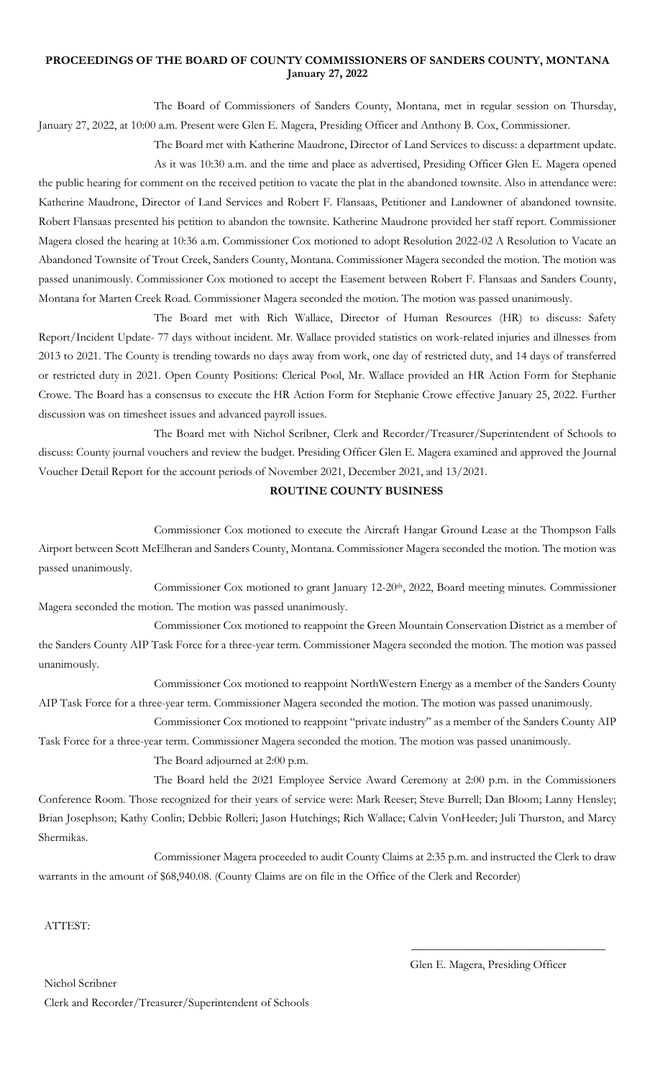## **PROCEEDINGS OF THE BOARD OF COUNTY COMMISSIONERS OF SANDERS COUNTY, MONTANA January 27, 2022**

The Board of Commissioners of Sanders County, Montana, met in regular session on Thursday, January 27, 2022, at 10:00 a.m. Present were Glen E. Magera, Presiding Officer and Anthony B. Cox, Commissioner.

The Board met with Katherine Maudrone, Director of Land Services to discuss: a department update.

As it was 10:30 a.m. and the time and place as advertised, Presiding Officer Glen E. Magera opened the public hearing for comment on the received petition to vacate the plat in the abandoned townsite. Also in attendance were: Katherine Maudrone, Director of Land Services and Robert F. Flansaas, Petitioner and Landowner of abandoned townsite. Robert Flansaas presented his petition to abandon the townsite. Katherine Maudrone provided her staff report. Commissioner Magera closed the hearing at 10:36 a.m. Commissioner Cox motioned to adopt Resolution 2022-02 A Resolution to Vacate an Abandoned Townsite of Trout Creek, Sanders County, Montana. Commissioner Magera seconded the motion. The motion was passed unanimously. Commissioner Cox motioned to accept the Easement between Robert F. Flansaas and Sanders County, Montana for Marten Creek Road. Commissioner Magera seconded the motion. The motion was passed unanimously.

The Board met with Rich Wallace, Director of Human Resources (HR) to discuss: Safety Report/Incident Update- 77 days without incident. Mr. Wallace provided statistics on work-related injuries and illnesses from 2013 to 2021. The County is trending towards no days away from work, one day of restricted duty, and 14 days of transferred or restricted duty in 2021. Open County Positions: Clerical Pool, Mr. Wallace provided an HR Action Form for Stephanie Crowe. The Board has a consensus to execute the HR Action Form for Stephanie Crowe effective January 25, 2022. Further discussion was on timesheet issues and advanced payroll issues.

The Board met with Nichol Scribner, Clerk and Recorder/Treasurer/Superintendent of Schools to discuss: County journal vouchers and review the budget. Presiding Officer Glen E. Magera examined and approved the Journal Voucher Detail Report for the account periods of November 2021, December 2021, and 13/2021.

# **ROUTINE COUNTY BUSINESS**

Commissioner Cox motioned to execute the Aircraft Hangar Ground Lease at the Thompson Falls Airport between Scott McElheran and Sanders County, Montana. Commissioner Magera seconded the motion. The motion was passed unanimously.

Commissioner Cox motioned to grant January 12-20th, 2022, Board meeting minutes. Commissioner Magera seconded the motion. The motion was passed unanimously.

Commissioner Cox motioned to reappoint the Green Mountain Conservation District as a member of the Sanders County AIP Task Force for a three-year term. Commissioner Magera seconded the motion. The motion was passed unanimously.

Commissioner Cox motioned to reappoint NorthWestern Energy as a member of the Sanders County AIP Task Force for a three-year term. Commissioner Magera seconded the motion. The motion was passed unanimously.

Commissioner Cox motioned to reappoint "private industry" as a member of the Sanders County AIP Task Force for a three-year term. Commissioner Magera seconded the motion. The motion was passed unanimously.

The Board adjourned at 2:00 p.m.

The Board held the 2021 Employee Service Award Ceremony at 2:00 p.m. in the Commissioners Conference Room. Those recognized for their years of service were: Mark Reeser; Steve Burrell; Dan Bloom; Lanny Hensley; Brian Josephson; Kathy Conlin; Debbie Rolleri; Jason Hutchings; Rich Wallace; Calvin VonHeeder; Juli Thurston, and Marcy Shermikas.

Commissioner Magera proceeded to audit County Claims at 2:35 p.m. and instructed the Clerk to draw warrants in the amount of \$68,940.08. (County Claims are on file in the Office of the Clerk and Recorder)

ATTEST:

\_\_\_\_\_\_\_\_\_\_\_\_\_\_\_\_\_\_\_\_\_\_\_\_\_\_\_\_\_\_\_\_\_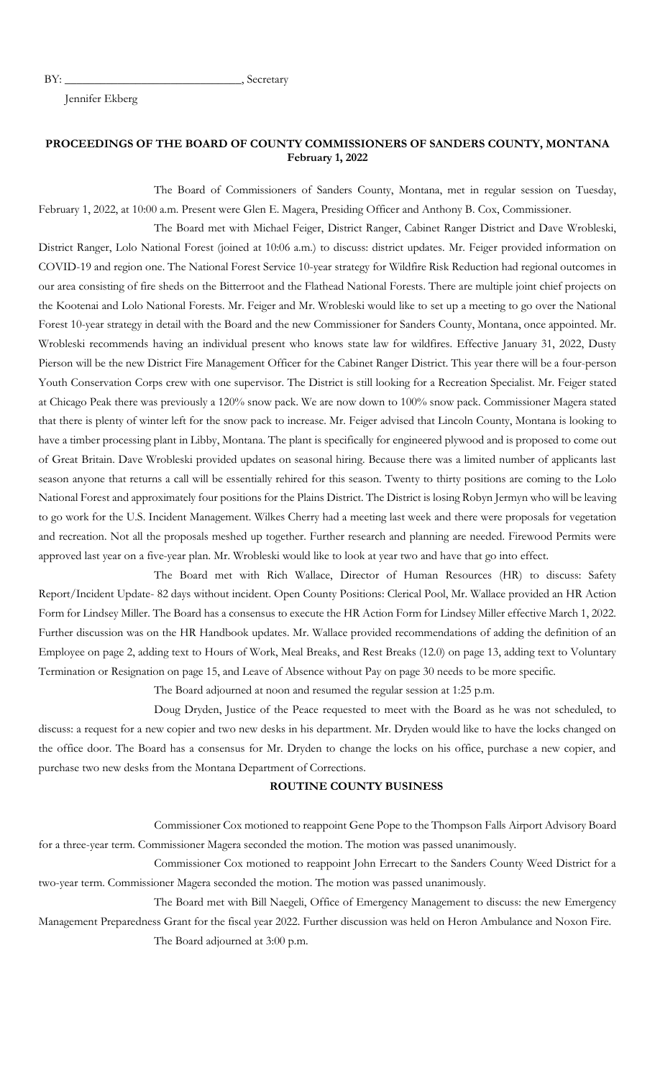BY: Secretary

Jennifer Ekberg

## **PROCEEDINGS OF THE BOARD OF COUNTY COMMISSIONERS OF SANDERS COUNTY, MONTANA February 1, 2022**

The Board of Commissioners of Sanders County, Montana, met in regular session on Tuesday, February 1, 2022, at 10:00 a.m. Present were Glen E. Magera, Presiding Officer and Anthony B. Cox, Commissioner.

The Board met with Michael Feiger, District Ranger, Cabinet Ranger District and Dave Wrobleski, District Ranger, Lolo National Forest (joined at 10:06 a.m.) to discuss: district updates. Mr. Feiger provided information on COVID-19 and region one. The National Forest Service 10-year strategy for Wildfire Risk Reduction had regional outcomes in our area consisting of fire sheds on the Bitterroot and the Flathead National Forests. There are multiple joint chief projects on the Kootenai and Lolo National Forests. Mr. Feiger and Mr. Wrobleski would like to set up a meeting to go over the National Forest 10-year strategy in detail with the Board and the new Commissioner for Sanders County, Montana, once appointed. Mr. Wrobleski recommends having an individual present who knows state law for wildfires. Effective January 31, 2022, Dusty Pierson will be the new District Fire Management Officer for the Cabinet Ranger District. This year there will be a four-person Youth Conservation Corps crew with one supervisor. The District is still looking for a Recreation Specialist. Mr. Feiger stated at Chicago Peak there was previously a 120% snow pack. We are now down to 100% snow pack. Commissioner Magera stated that there is plenty of winter left for the snow pack to increase. Mr. Feiger advised that Lincoln County, Montana is looking to have a timber processing plant in Libby, Montana. The plant is specifically for engineered plywood and is proposed to come out of Great Britain. Dave Wrobleski provided updates on seasonal hiring. Because there was a limited number of applicants last season anyone that returns a call will be essentially rehired for this season. Twenty to thirty positions are coming to the Lolo National Forest and approximately four positions for the Plains District. The District is losing Robyn Jermyn who will be leaving to go work for the U.S. Incident Management. Wilkes Cherry had a meeting last week and there were proposals for vegetation and recreation. Not all the proposals meshed up together. Further research and planning are needed. Firewood Permits were approved last year on a five-year plan. Mr. Wrobleski would like to look at year two and have that go into effect.

The Board met with Rich Wallace, Director of Human Resources (HR) to discuss: Safety Report/Incident Update- 82 days without incident. Open County Positions: Clerical Pool, Mr. Wallace provided an HR Action Form for Lindsey Miller. The Board has a consensus to execute the HR Action Form for Lindsey Miller effective March 1, 2022. Further discussion was on the HR Handbook updates. Mr. Wallace provided recommendations of adding the definition of an Employee on page 2, adding text to Hours of Work, Meal Breaks, and Rest Breaks (12.0) on page 13, adding text to Voluntary Termination or Resignation on page 15, and Leave of Absence without Pay on page 30 needs to be more specific.

The Board adjourned at noon and resumed the regular session at 1:25 p.m.

Doug Dryden, Justice of the Peace requested to meet with the Board as he was not scheduled, to discuss: a request for a new copier and two new desks in his department. Mr. Dryden would like to have the locks changed on the office door. The Board has a consensus for Mr. Dryden to change the locks on his office, purchase a new copier, and purchase two new desks from the Montana Department of Corrections.

#### **ROUTINE COUNTY BUSINESS**

Commissioner Cox motioned to reappoint Gene Pope to the Thompson Falls Airport Advisory Board for a three-year term. Commissioner Magera seconded the motion. The motion was passed unanimously.

Commissioner Cox motioned to reappoint John Errecart to the Sanders County Weed District for a two-year term. Commissioner Magera seconded the motion. The motion was passed unanimously.

The Board met with Bill Naegeli, Office of Emergency Management to discuss: the new Emergency Management Preparedness Grant for the fiscal year 2022. Further discussion was held on Heron Ambulance and Noxon Fire. The Board adjourned at 3:00 p.m.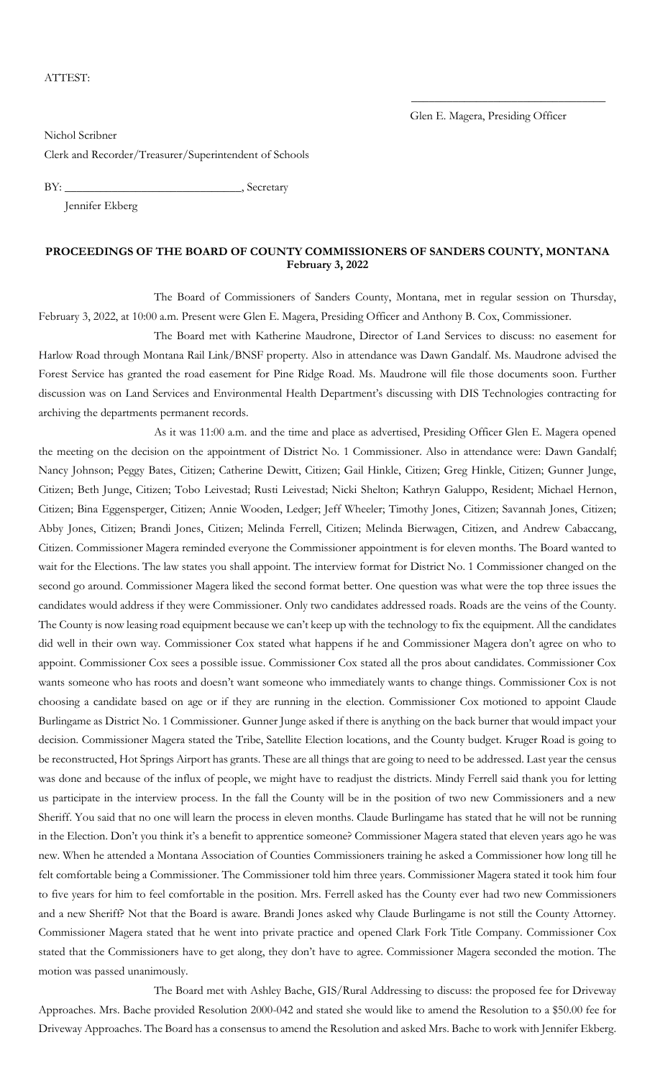#### ATTEST:

\_\_\_\_\_\_\_\_\_\_\_\_\_\_\_\_\_\_\_\_\_\_\_\_\_\_\_\_\_\_\_\_\_

Nichol Scribner Clerk and Recorder/Treasurer/Superintendent of Schools

BY: Secretary

Jennifer Ekberg

#### **PROCEEDINGS OF THE BOARD OF COUNTY COMMISSIONERS OF SANDERS COUNTY, MONTANA February 3, 2022**

The Board of Commissioners of Sanders County, Montana, met in regular session on Thursday, February 3, 2022, at 10:00 a.m. Present were Glen E. Magera, Presiding Officer and Anthony B. Cox, Commissioner.

The Board met with Katherine Maudrone, Director of Land Services to discuss: no easement for Harlow Road through Montana Rail Link/BNSF property. Also in attendance was Dawn Gandalf. Ms. Maudrone advised the Forest Service has granted the road easement for Pine Ridge Road. Ms. Maudrone will file those documents soon. Further discussion was on Land Services and Environmental Health Department's discussing with DIS Technologies contracting for archiving the departments permanent records.

As it was 11:00 a.m. and the time and place as advertised, Presiding Officer Glen E. Magera opened the meeting on the decision on the appointment of District No. 1 Commissioner. Also in attendance were: Dawn Gandalf; Nancy Johnson; Peggy Bates, Citizen; Catherine Dewitt, Citizen; Gail Hinkle, Citizen; Greg Hinkle, Citizen; Gunner Junge, Citizen; Beth Junge, Citizen; Tobo Leivestad; Rusti Leivestad; Nicki Shelton; Kathryn Galuppo, Resident; Michael Hernon, Citizen; Bina Eggensperger, Citizen; Annie Wooden, Ledger; Jeff Wheeler; Timothy Jones, Citizen; Savannah Jones, Citizen; Abby Jones, Citizen; Brandi Jones, Citizen; Melinda Ferrell, Citizen; Melinda Bierwagen, Citizen, and Andrew Cabaccang, Citizen. Commissioner Magera reminded everyone the Commissioner appointment is for eleven months. The Board wanted to wait for the Elections. The law states you shall appoint. The interview format for District No. 1 Commissioner changed on the second go around. Commissioner Magera liked the second format better. One question was what were the top three issues the candidates would address if they were Commissioner. Only two candidates addressed roads. Roads are the veins of the County. The County is now leasing road equipment because we can't keep up with the technology to fix the equipment. All the candidates did well in their own way. Commissioner Cox stated what happens if he and Commissioner Magera don't agree on who to appoint. Commissioner Cox sees a possible issue. Commissioner Cox stated all the pros about candidates. Commissioner Cox wants someone who has roots and doesn't want someone who immediately wants to change things. Commissioner Cox is not choosing a candidate based on age or if they are running in the election. Commissioner Cox motioned to appoint Claude Burlingame as District No. 1 Commissioner. Gunner Junge asked if there is anything on the back burner that would impact your decision. Commissioner Magera stated the Tribe, Satellite Election locations, and the County budget. Kruger Road is going to be reconstructed, Hot Springs Airport has grants. These are all things that are going to need to be addressed. Last year the census was done and because of the influx of people, we might have to readjust the districts. Mindy Ferrell said thank you for letting us participate in the interview process. In the fall the County will be in the position of two new Commissioners and a new Sheriff. You said that no one will learn the process in eleven months. Claude Burlingame has stated that he will not be running in the Election. Don't you think it's a benefit to apprentice someone? Commissioner Magera stated that eleven years ago he was new. When he attended a Montana Association of Counties Commissioners training he asked a Commissioner how long till he felt comfortable being a Commissioner. The Commissioner told him three years. Commissioner Magera stated it took him four to five years for him to feel comfortable in the position. Mrs. Ferrell asked has the County ever had two new Commissioners and a new Sheriff? Not that the Board is aware. Brandi Jones asked why Claude Burlingame is not still the County Attorney. Commissioner Magera stated that he went into private practice and opened Clark Fork Title Company. Commissioner Cox stated that the Commissioners have to get along, they don't have to agree. Commissioner Magera seconded the motion. The motion was passed unanimously.

The Board met with Ashley Bache, GIS/Rural Addressing to discuss: the proposed fee for Driveway Approaches. Mrs. Bache provided Resolution 2000-042 and stated she would like to amend the Resolution to a \$50.00 fee for Driveway Approaches. The Board has a consensus to amend the Resolution and asked Mrs. Bache to work with Jennifer Ekberg.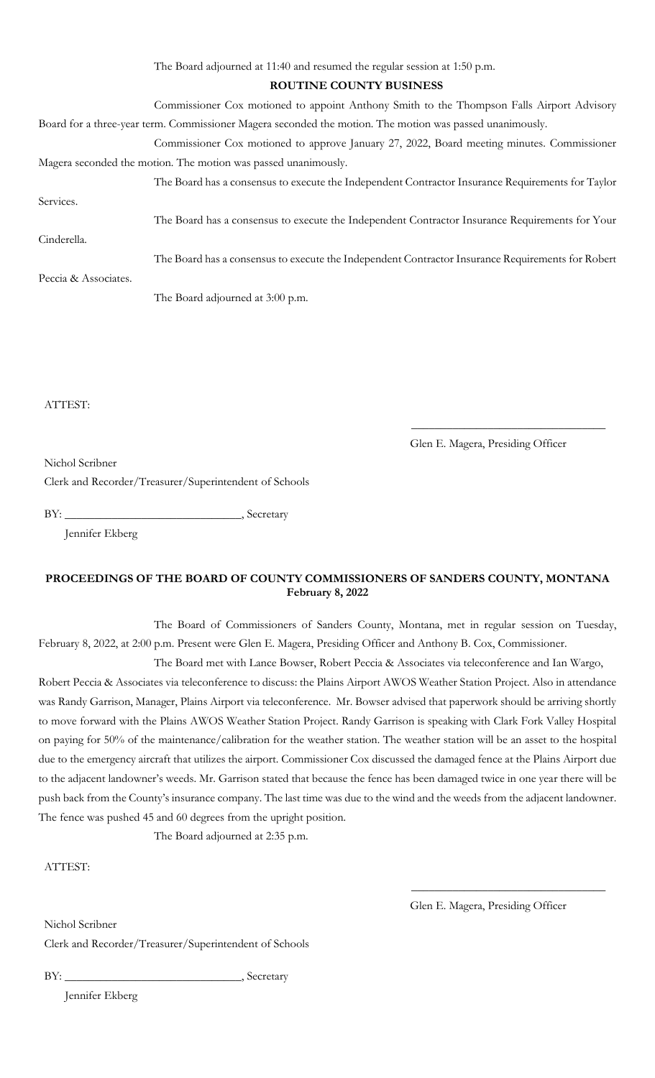| The Board adjourned at 11:40 and resumed the regular session at 1:50 p.m.                                |
|----------------------------------------------------------------------------------------------------------|
| ROUTINE COUNTY BUSINESS                                                                                  |
| Commissioner Cox motioned to appoint Anthony Smith to the Thompson Falls Airport Advisory                |
| Board for a three-year term. Commissioner Magera seconded the motion. The motion was passed unanimously. |
| Commissioner Cox motioned to approve January 27, 2022, Board meeting minutes. Commissioner               |
| Magera seconded the motion. The motion was passed unanimously.                                           |
| The Board has a consensus to execute the Independent Contractor Insurance Requirements for Taylor        |
| Services.                                                                                                |
| The Board has a consensus to execute the Independent Contractor Insurance Requirements for Your          |
| Cinderella.                                                                                              |
| The Board has a consensus to execute the Independent Contractor Insurance Requirements for Robert        |
| Peccia & Associates.                                                                                     |
| The Board adjourned at 3:00 p.m.                                                                         |

ATTEST:

Glen E. Magera, Presiding Officer

\_\_\_\_\_\_\_\_\_\_\_\_\_\_\_\_\_\_\_\_\_\_\_\_\_\_\_\_\_\_\_\_\_

Nichol Scribner

Clerk and Recorder/Treasurer/Superintendent of Schools

BY: \_\_\_\_\_\_\_\_\_\_\_\_\_\_\_\_\_\_\_\_\_\_\_\_\_\_\_\_\_\_, Secretary

Jennifer Ekberg

## **PROCEEDINGS OF THE BOARD OF COUNTY COMMISSIONERS OF SANDERS COUNTY, MONTANA February 8, 2022**

The Board of Commissioners of Sanders County, Montana, met in regular session on Tuesday, February 8, 2022, at 2:00 p.m. Present were Glen E. Magera, Presiding Officer and Anthony B. Cox, Commissioner.

The Board met with Lance Bowser, Robert Peccia & Associates via teleconference and Ian Wargo, Robert Peccia & Associates via teleconference to discuss: the Plains Airport AWOS Weather Station Project. Also in attendance was Randy Garrison, Manager, Plains Airport via teleconference. Mr. Bowser advised that paperwork should be arriving shortly to move forward with the Plains AWOS Weather Station Project. Randy Garrison is speaking with Clark Fork Valley Hospital on paying for 50% of the maintenance/calibration for the weather station. The weather station will be an asset to the hospital due to the emergency aircraft that utilizes the airport. Commissioner Cox discussed the damaged fence at the Plains Airport due to the adjacent landowner's weeds. Mr. Garrison stated that because the fence has been damaged twice in one year there will be push back from the County's insurance company. The last time was due to the wind and the weeds from the adjacent landowner. The fence was pushed 45 and 60 degrees from the upright position.

The Board adjourned at 2:35 p.m.

ATTEST:

Glen E. Magera, Presiding Officer

\_\_\_\_\_\_\_\_\_\_\_\_\_\_\_\_\_\_\_\_\_\_\_\_\_\_\_\_\_\_\_\_\_

Nichol Scribner

Clerk and Recorder/Treasurer/Superintendent of Schools

BY: \_\_\_\_\_\_\_\_\_\_\_\_\_\_\_\_\_\_\_\_\_\_\_\_\_\_\_\_\_\_, Secretary

Jennifer Ekberg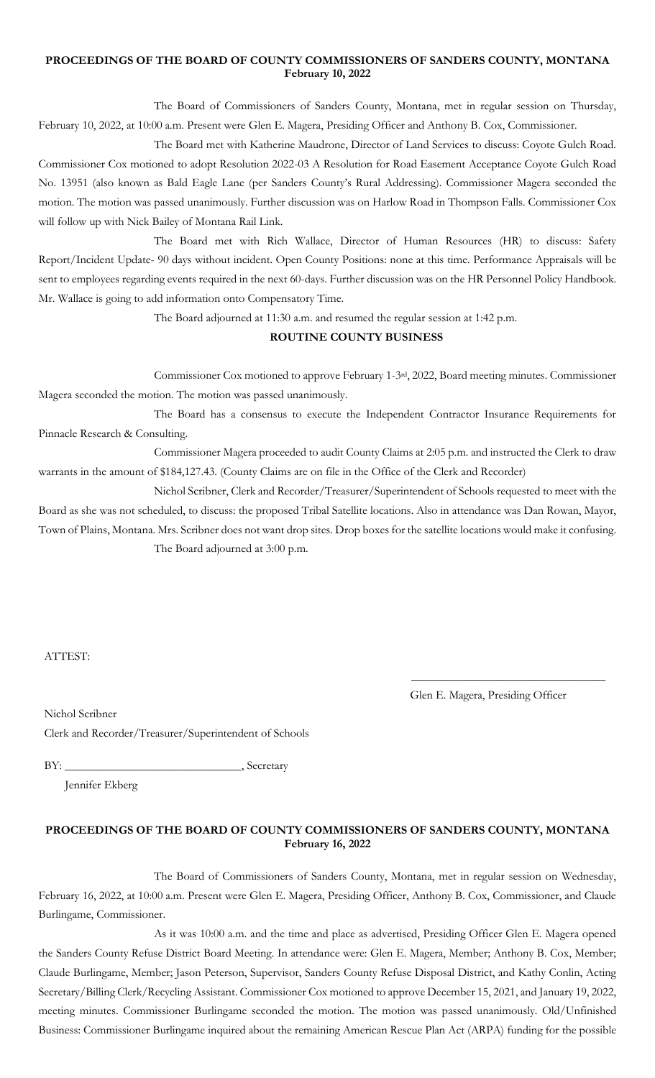### **PROCEEDINGS OF THE BOARD OF COUNTY COMMISSIONERS OF SANDERS COUNTY, MONTANA February 10, 2022**

The Board of Commissioners of Sanders County, Montana, met in regular session on Thursday, February 10, 2022, at 10:00 a.m. Present were Glen E. Magera, Presiding Officer and Anthony B. Cox, Commissioner.

The Board met with Katherine Maudrone, Director of Land Services to discuss: Coyote Gulch Road. Commissioner Cox motioned to adopt Resolution 2022-03 A Resolution for Road Easement Acceptance Coyote Gulch Road No. 13951 (also known as Bald Eagle Lane (per Sanders County's Rural Addressing). Commissioner Magera seconded the motion. The motion was passed unanimously. Further discussion was on Harlow Road in Thompson Falls. Commissioner Cox will follow up with Nick Bailey of Montana Rail Link.

The Board met with Rich Wallace, Director of Human Resources (HR) to discuss: Safety Report/Incident Update- 90 days without incident. Open County Positions: none at this time. Performance Appraisals will be sent to employees regarding events required in the next 60-days. Further discussion was on the HR Personnel Policy Handbook. Mr. Wallace is going to add information onto Compensatory Time.

The Board adjourned at 11:30 a.m. and resumed the regular session at 1:42 p.m.

## **ROUTINE COUNTY BUSINESS**

Commissioner Cox motioned to approve February 1-3rd, 2022, Board meeting minutes. Commissioner Magera seconded the motion. The motion was passed unanimously.

The Board has a consensus to execute the Independent Contractor Insurance Requirements for Pinnacle Research & Consulting.

Commissioner Magera proceeded to audit County Claims at 2:05 p.m. and instructed the Clerk to draw warrants in the amount of \$184,127.43. (County Claims are on file in the Office of the Clerk and Recorder)

Nichol Scribner, Clerk and Recorder/Treasurer/Superintendent of Schools requested to meet with the Board as she was not scheduled, to discuss: the proposed Tribal Satellite locations. Also in attendance was Dan Rowan, Mayor, Town of Plains, Montana. Mrs. Scribner does not want drop sites. Drop boxes for the satellite locations would make it confusing. The Board adjourned at 3:00 p.m.

ATTEST:

Glen E. Magera, Presiding Officer

\_\_\_\_\_\_\_\_\_\_\_\_\_\_\_\_\_\_\_\_\_\_\_\_\_\_\_\_\_\_\_\_\_

Nichol Scribner Clerk and Recorder/Treasurer/Superintendent of Schools

BY: \_\_\_\_\_\_\_\_\_\_\_\_\_\_\_\_\_\_\_\_\_\_\_\_\_\_\_\_\_\_, Secretary

Jennifer Ekberg

## **PROCEEDINGS OF THE BOARD OF COUNTY COMMISSIONERS OF SANDERS COUNTY, MONTANA February 16, 2022**

The Board of Commissioners of Sanders County, Montana, met in regular session on Wednesday, February 16, 2022, at 10:00 a.m. Present were Glen E. Magera, Presiding Officer, Anthony B. Cox, Commissioner, and Claude Burlingame, Commissioner.

As it was 10:00 a.m. and the time and place as advertised, Presiding Officer Glen E. Magera opened the Sanders County Refuse District Board Meeting. In attendance were: Glen E. Magera, Member; Anthony B. Cox, Member; Claude Burlingame, Member; Jason Peterson, Supervisor, Sanders County Refuse Disposal District, and Kathy Conlin, Acting Secretary/Billing Clerk/Recycling Assistant. Commissioner Cox motioned to approve December 15, 2021, and January 19, 2022, meeting minutes. Commissioner Burlingame seconded the motion. The motion was passed unanimously. Old/Unfinished Business: Commissioner Burlingame inquired about the remaining American Rescue Plan Act (ARPA) funding for the possible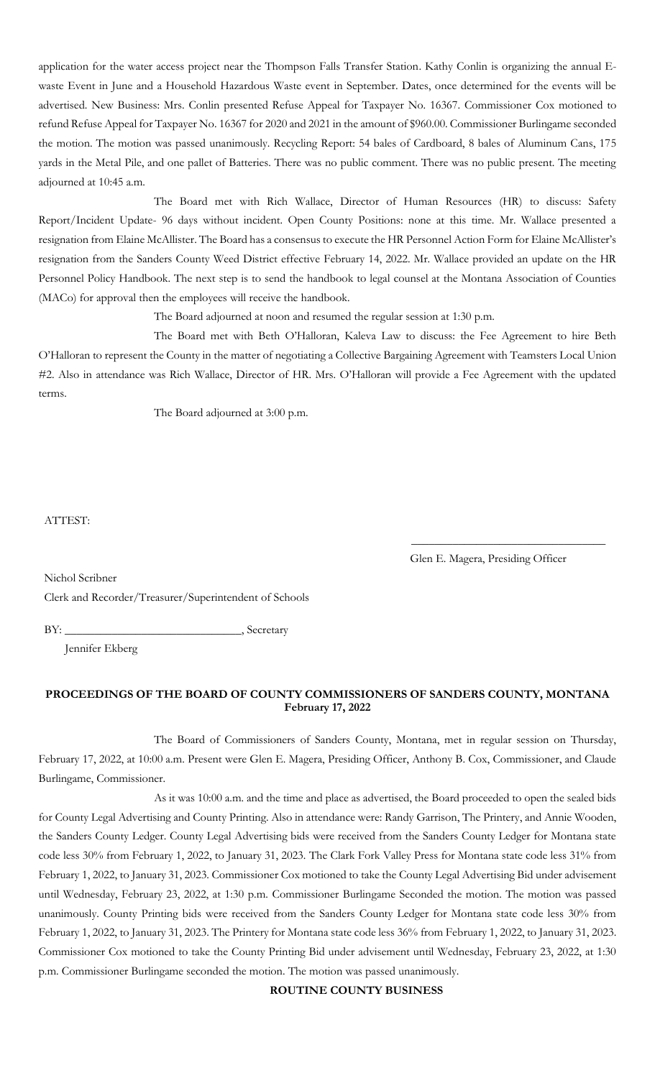application for the water access project near the Thompson Falls Transfer Station. Kathy Conlin is organizing the annual Ewaste Event in June and a Household Hazardous Waste event in September. Dates, once determined for the events will be advertised. New Business: Mrs. Conlin presented Refuse Appeal for Taxpayer No. 16367. Commissioner Cox motioned to refund Refuse Appeal for Taxpayer No. 16367 for 2020 and 2021 in the amount of \$960.00. Commissioner Burlingame seconded the motion. The motion was passed unanimously. Recycling Report: 54 bales of Cardboard, 8 bales of Aluminum Cans, 175 yards in the Metal Pile, and one pallet of Batteries. There was no public comment. There was no public present. The meeting adjourned at 10:45 a.m.

The Board met with Rich Wallace, Director of Human Resources (HR) to discuss: Safety Report/Incident Update- 96 days without incident. Open County Positions: none at this time. Mr. Wallace presented a resignation from Elaine McAllister. The Board has a consensus to execute the HR Personnel Action Form for Elaine McAllister's resignation from the Sanders County Weed District effective February 14, 2022. Mr. Wallace provided an update on the HR Personnel Policy Handbook. The next step is to send the handbook to legal counsel at the Montana Association of Counties (MACo) for approval then the employees will receive the handbook.

The Board adjourned at noon and resumed the regular session at 1:30 p.m.

The Board met with Beth O'Halloran, Kaleva Law to discuss: the Fee Agreement to hire Beth O'Halloran to represent the County in the matter of negotiating a Collective Bargaining Agreement with Teamsters Local Union #2. Also in attendance was Rich Wallace, Director of HR. Mrs. O'Halloran will provide a Fee Agreement with the updated terms.

The Board adjourned at 3:00 p.m.

### ATTEST:

Glen E. Magera, Presiding Officer

\_\_\_\_\_\_\_\_\_\_\_\_\_\_\_\_\_\_\_\_\_\_\_\_\_\_\_\_\_\_\_\_\_

Nichol Scribner Clerk and Recorder/Treasurer/Superintendent of Schools

BY: \_\_\_\_\_\_\_\_\_\_\_\_\_\_\_\_\_\_\_\_\_\_\_\_\_\_\_\_\_\_, Secretary

Jennifer Ekberg

## **PROCEEDINGS OF THE BOARD OF COUNTY COMMISSIONERS OF SANDERS COUNTY, MONTANA February 17, 2022**

The Board of Commissioners of Sanders County, Montana, met in regular session on Thursday, February 17, 2022, at 10:00 a.m. Present were Glen E. Magera, Presiding Officer, Anthony B. Cox, Commissioner, and Claude Burlingame, Commissioner.

As it was 10:00 a.m. and the time and place as advertised, the Board proceeded to open the sealed bids for County Legal Advertising and County Printing. Also in attendance were: Randy Garrison, The Printery, and Annie Wooden, the Sanders County Ledger. County Legal Advertising bids were received from the Sanders County Ledger for Montana state code less 30% from February 1, 2022, to January 31, 2023. The Clark Fork Valley Press for Montana state code less 31% from February 1, 2022, to January 31, 2023. Commissioner Cox motioned to take the County Legal Advertising Bid under advisement until Wednesday, February 23, 2022, at 1:30 p.m. Commissioner Burlingame Seconded the motion. The motion was passed unanimously. County Printing bids were received from the Sanders County Ledger for Montana state code less 30% from February 1, 2022, to January 31, 2023. The Printery for Montana state code less 36% from February 1, 2022, to January 31, 2023. Commissioner Cox motioned to take the County Printing Bid under advisement until Wednesday, February 23, 2022, at 1:30 p.m. Commissioner Burlingame seconded the motion. The motion was passed unanimously.

**ROUTINE COUNTY BUSINESS**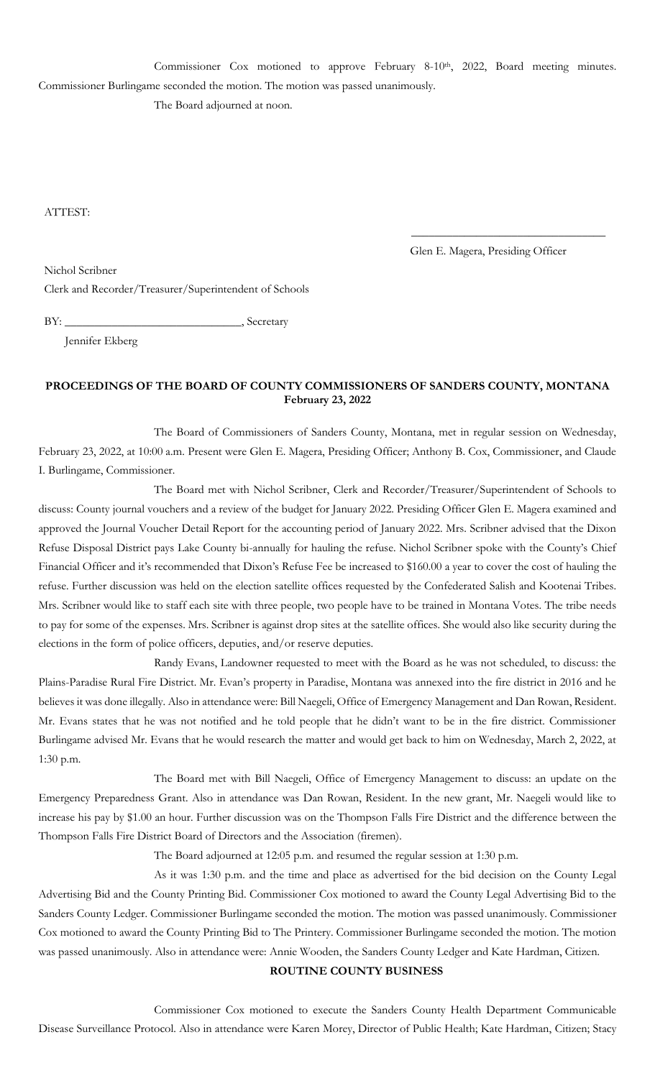Commissioner Cox motioned to approve February 8-10<sup>th</sup>, 2022, Board meeting minutes. Commissioner Burlingame seconded the motion. The motion was passed unanimously. The Board adjourned at noon.

ATTEST:

Glen E. Magera, Presiding Officer

\_\_\_\_\_\_\_\_\_\_\_\_\_\_\_\_\_\_\_\_\_\_\_\_\_\_\_\_\_\_\_\_\_

Nichol Scribner

Clerk and Recorder/Treasurer/Superintendent of Schools

BY: \_\_\_\_\_\_\_\_\_\_\_\_\_\_\_\_\_\_\_\_\_\_\_\_\_\_\_\_\_\_, Secretary

Jennifer Ekberg

# **PROCEEDINGS OF THE BOARD OF COUNTY COMMISSIONERS OF SANDERS COUNTY, MONTANA February 23, 2022**

The Board of Commissioners of Sanders County, Montana, met in regular session on Wednesday, February 23, 2022, at 10:00 a.m. Present were Glen E. Magera, Presiding Officer; Anthony B. Cox, Commissioner, and Claude I. Burlingame, Commissioner.

The Board met with Nichol Scribner, Clerk and Recorder/Treasurer/Superintendent of Schools to discuss: County journal vouchers and a review of the budget for January 2022. Presiding Officer Glen E. Magera examined and approved the Journal Voucher Detail Report for the accounting period of January 2022. Mrs. Scribner advised that the Dixon Refuse Disposal District pays Lake County bi-annually for hauling the refuse. Nichol Scribner spoke with the County's Chief Financial Officer and it's recommended that Dixon's Refuse Fee be increased to \$160.00 a year to cover the cost of hauling the refuse. Further discussion was held on the election satellite offices requested by the Confederated Salish and Kootenai Tribes. Mrs. Scribner would like to staff each site with three people, two people have to be trained in Montana Votes. The tribe needs to pay for some of the expenses. Mrs. Scribner is against drop sites at the satellite offices. She would also like security during the elections in the form of police officers, deputies, and/or reserve deputies.

Randy Evans, Landowner requested to meet with the Board as he was not scheduled, to discuss: the Plains-Paradise Rural Fire District. Mr. Evan's property in Paradise, Montana was annexed into the fire district in 2016 and he believes it was done illegally. Also in attendance were: Bill Naegeli, Office of Emergency Management and Dan Rowan, Resident. Mr. Evans states that he was not notified and he told people that he didn't want to be in the fire district. Commissioner Burlingame advised Mr. Evans that he would research the matter and would get back to him on Wednesday, March 2, 2022, at 1:30 p.m.

The Board met with Bill Naegeli, Office of Emergency Management to discuss: an update on the Emergency Preparedness Grant. Also in attendance was Dan Rowan, Resident. In the new grant, Mr. Naegeli would like to increase his pay by \$1.00 an hour. Further discussion was on the Thompson Falls Fire District and the difference between the Thompson Falls Fire District Board of Directors and the Association (firemen).

The Board adjourned at 12:05 p.m. and resumed the regular session at 1:30 p.m.

As it was 1:30 p.m. and the time and place as advertised for the bid decision on the County Legal Advertising Bid and the County Printing Bid. Commissioner Cox motioned to award the County Legal Advertising Bid to the Sanders County Ledger. Commissioner Burlingame seconded the motion. The motion was passed unanimously. Commissioner Cox motioned to award the County Printing Bid to The Printery. Commissioner Burlingame seconded the motion. The motion was passed unanimously. Also in attendance were: Annie Wooden, the Sanders County Ledger and Kate Hardman, Citizen.

## **ROUTINE COUNTY BUSINESS**

Commissioner Cox motioned to execute the Sanders County Health Department Communicable Disease Surveillance Protocol. Also in attendance were Karen Morey, Director of Public Health; Kate Hardman, Citizen; Stacy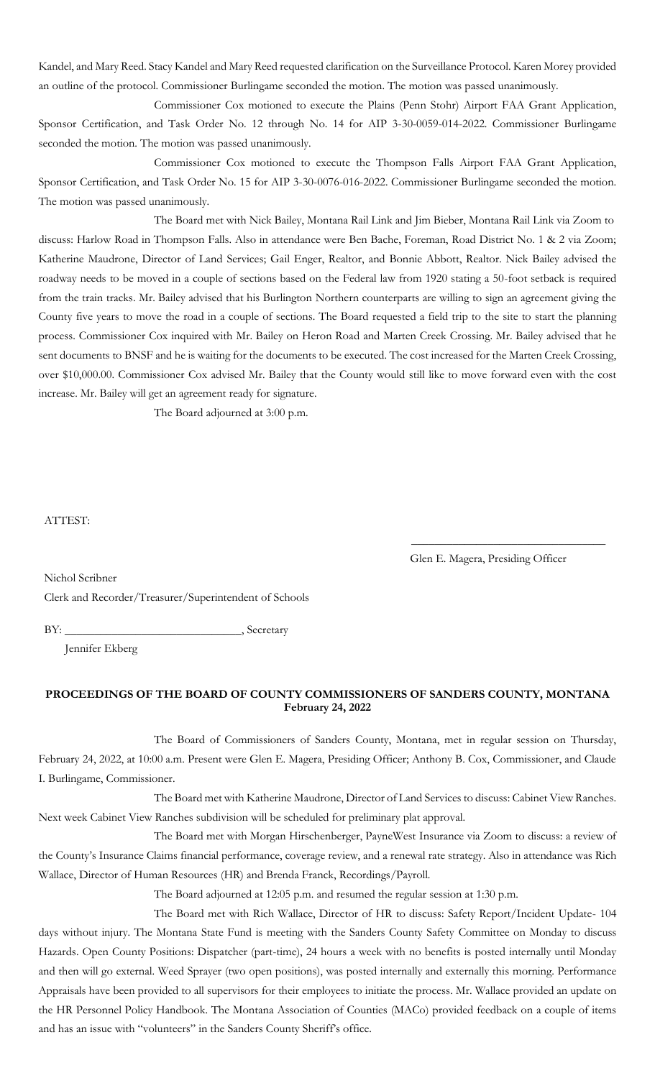Kandel, and Mary Reed. Stacy Kandel and Mary Reed requested clarification on the Surveillance Protocol. Karen Morey provided an outline of the protocol. Commissioner Burlingame seconded the motion. The motion was passed unanimously.

Commissioner Cox motioned to execute the Plains (Penn Stohr) Airport FAA Grant Application, Sponsor Certification, and Task Order No. 12 through No. 14 for AIP 3-30-0059-014-2022. Commissioner Burlingame seconded the motion. The motion was passed unanimously.

Commissioner Cox motioned to execute the Thompson Falls Airport FAA Grant Application, Sponsor Certification, and Task Order No. 15 for AIP 3-30-0076-016-2022. Commissioner Burlingame seconded the motion. The motion was passed unanimously.

The Board met with Nick Bailey, Montana Rail Link and Jim Bieber, Montana Rail Link via Zoom to discuss: Harlow Road in Thompson Falls. Also in attendance were Ben Bache, Foreman, Road District No. 1 & 2 via Zoom; Katherine Maudrone, Director of Land Services; Gail Enger, Realtor, and Bonnie Abbott, Realtor. Nick Bailey advised the roadway needs to be moved in a couple of sections based on the Federal law from 1920 stating a 50-foot setback is required from the train tracks. Mr. Bailey advised that his Burlington Northern counterparts are willing to sign an agreement giving the County five years to move the road in a couple of sections. The Board requested a field trip to the site to start the planning process. Commissioner Cox inquired with Mr. Bailey on Heron Road and Marten Creek Crossing. Mr. Bailey advised that he sent documents to BNSF and he is waiting for the documents to be executed. The cost increased for the Marten Creek Crossing, over \$10,000.00. Commissioner Cox advised Mr. Bailey that the County would still like to move forward even with the cost increase. Mr. Bailey will get an agreement ready for signature.

The Board adjourned at 3:00 p.m.

#### ATTEST:

Glen E. Magera, Presiding Officer

\_\_\_\_\_\_\_\_\_\_\_\_\_\_\_\_\_\_\_\_\_\_\_\_\_\_\_\_\_\_\_\_\_

Nichol Scribner Clerk and Recorder/Treasurer/Superintendent of Schools

BY: \_\_\_\_\_\_\_\_\_\_\_\_\_\_\_\_\_\_\_\_\_\_\_\_\_\_\_\_\_\_, Secretary

Jennifer Ekberg

## **PROCEEDINGS OF THE BOARD OF COUNTY COMMISSIONERS OF SANDERS COUNTY, MONTANA February 24, 2022**

The Board of Commissioners of Sanders County, Montana, met in regular session on Thursday, February 24, 2022, at 10:00 a.m. Present were Glen E. Magera, Presiding Officer; Anthony B. Cox, Commissioner, and Claude I. Burlingame, Commissioner.

The Board met with Katherine Maudrone, Director of Land Services to discuss: Cabinet View Ranches. Next week Cabinet View Ranches subdivision will be scheduled for preliminary plat approval.

The Board met with Morgan Hirschenberger, PayneWest Insurance via Zoom to discuss: a review of the County's Insurance Claims financial performance, coverage review, and a renewal rate strategy. Also in attendance was Rich Wallace, Director of Human Resources (HR) and Brenda Franck, Recordings/Payroll.

The Board adjourned at 12:05 p.m. and resumed the regular session at 1:30 p.m.

The Board met with Rich Wallace, Director of HR to discuss: Safety Report/Incident Update- 104 days without injury. The Montana State Fund is meeting with the Sanders County Safety Committee on Monday to discuss Hazards. Open County Positions: Dispatcher (part-time), 24 hours a week with no benefits is posted internally until Monday and then will go external. Weed Sprayer (two open positions), was posted internally and externally this morning. Performance Appraisals have been provided to all supervisors for their employees to initiate the process. Mr. Wallace provided an update on the HR Personnel Policy Handbook. The Montana Association of Counties (MACo) provided feedback on a couple of items and has an issue with "volunteers" in the Sanders County Sheriff's office.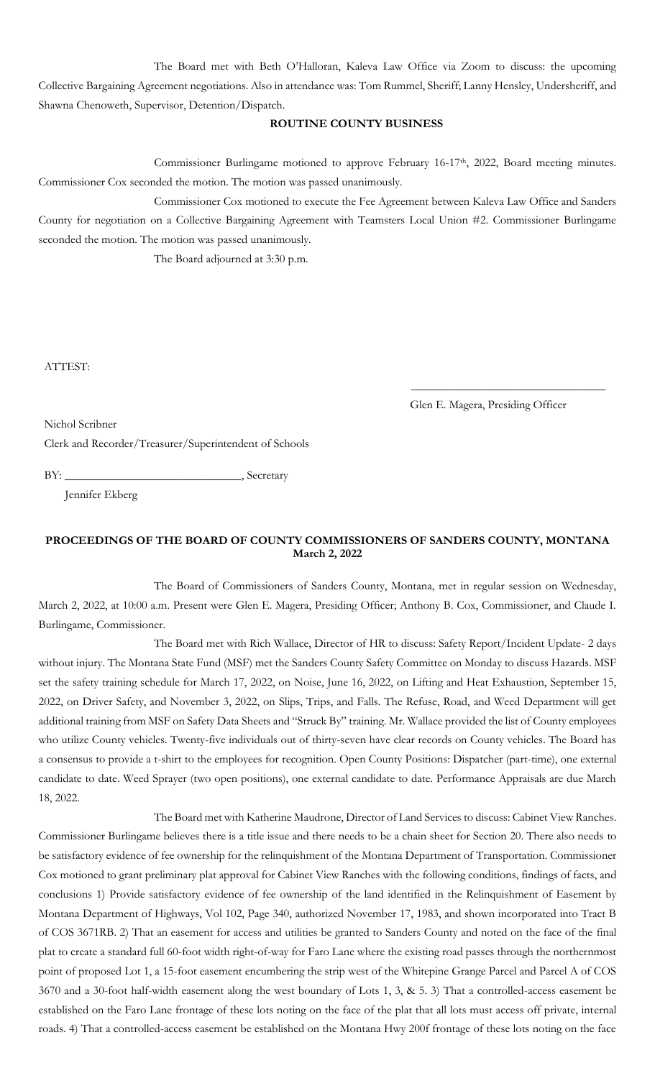The Board met with Beth O'Halloran, Kaleva Law Office via Zoom to discuss: the upcoming Collective Bargaining Agreement negotiations. Also in attendance was: Tom Rummel, Sheriff; Lanny Hensley, Undersheriff, and Shawna Chenoweth, Supervisor, Detention/Dispatch.

# **ROUTINE COUNTY BUSINESS**

Commissioner Burlingame motioned to approve February 16-17<sup>th</sup>, 2022, Board meeting minutes. Commissioner Cox seconded the motion. The motion was passed unanimously.

Commissioner Cox motioned to execute the Fee Agreement between Kaleva Law Office and Sanders County for negotiation on a Collective Bargaining Agreement with Teamsters Local Union #2. Commissioner Burlingame seconded the motion. The motion was passed unanimously.

The Board adjourned at 3:30 p.m.

ATTEST:

Glen E. Magera, Presiding Officer

\_\_\_\_\_\_\_\_\_\_\_\_\_\_\_\_\_\_\_\_\_\_\_\_\_\_\_\_\_\_\_\_\_

Nichol Scribner

Clerk and Recorder/Treasurer/Superintendent of Schools

BY: \_\_\_\_\_\_\_\_\_\_\_\_\_\_\_\_\_\_\_\_\_\_\_\_\_\_\_\_\_\_, Secretary

Jennifer Ekberg

# **PROCEEDINGS OF THE BOARD OF COUNTY COMMISSIONERS OF SANDERS COUNTY, MONTANA March 2, 2022**

The Board of Commissioners of Sanders County, Montana, met in regular session on Wednesday, March 2, 2022, at 10:00 a.m. Present were Glen E. Magera, Presiding Officer; Anthony B. Cox, Commissioner, and Claude I. Burlingame, Commissioner.

The Board met with Rich Wallace, Director of HR to discuss: Safety Report/Incident Update- 2 days without injury. The Montana State Fund (MSF) met the Sanders County Safety Committee on Monday to discuss Hazards. MSF set the safety training schedule for March 17, 2022, on Noise, June 16, 2022, on Lifting and Heat Exhaustion, September 15, 2022, on Driver Safety, and November 3, 2022, on Slips, Trips, and Falls. The Refuse, Road, and Weed Department will get additional training from MSF on Safety Data Sheets and "Struck By" training. Mr. Wallace provided the list of County employees who utilize County vehicles. Twenty-five individuals out of thirty-seven have clear records on County vehicles. The Board has a consensus to provide a t-shirt to the employees for recognition. Open County Positions: Dispatcher (part-time), one external candidate to date. Weed Sprayer (two open positions), one external candidate to date. Performance Appraisals are due March 18, 2022.

The Board met with Katherine Maudrone, Director of Land Services to discuss: Cabinet View Ranches. Commissioner Burlingame believes there is a title issue and there needs to be a chain sheet for Section 20. There also needs to be satisfactory evidence of fee ownership for the relinquishment of the Montana Department of Transportation. Commissioner Cox motioned to grant preliminary plat approval for Cabinet View Ranches with the following conditions, findings of facts, and conclusions 1) Provide satisfactory evidence of fee ownership of the land identified in the Relinquishment of Easement by Montana Department of Highways, Vol 102, Page 340, authorized November 17, 1983, and shown incorporated into Tract B of COS 3671RB. 2) That an easement for access and utilities be granted to Sanders County and noted on the face of the final plat to create a standard full 60-foot width right-of-way for Faro Lane where the existing road passes through the northernmost point of proposed Lot 1, a 15-foot easement encumbering the strip west of the Whitepine Grange Parcel and Parcel A of COS 3670 and a 30-foot half-width easement along the west boundary of Lots 1, 3, & 5. 3) That a controlled-access easement be established on the Faro Lane frontage of these lots noting on the face of the plat that all lots must access off private, internal roads. 4) That a controlled-access easement be established on the Montana Hwy 200f frontage of these lots noting on the face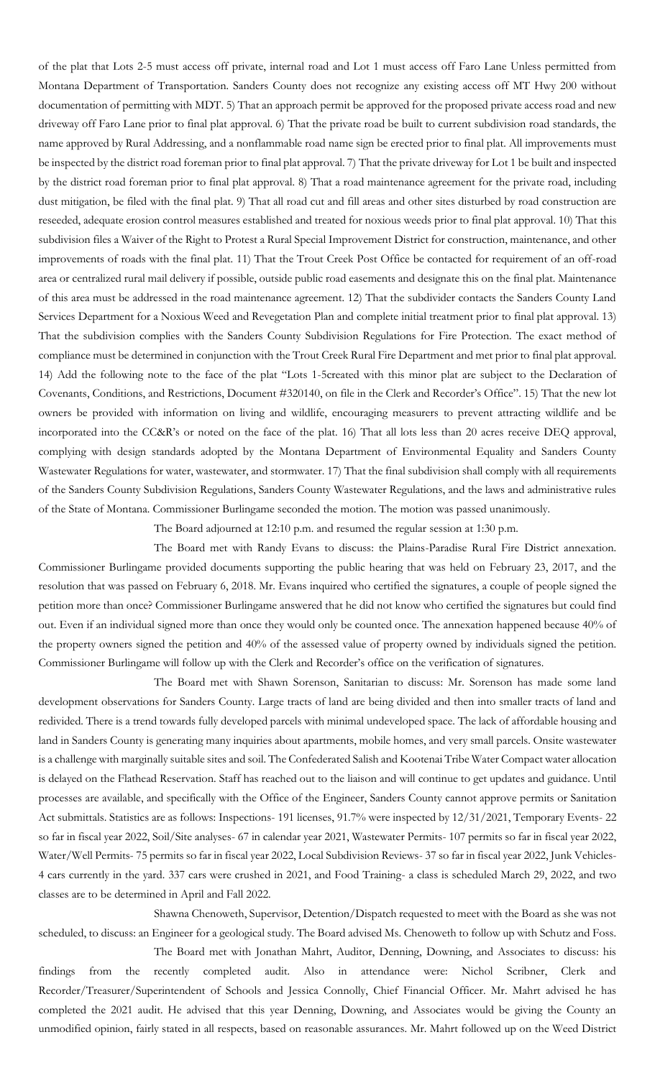of the plat that Lots 2-5 must access off private, internal road and Lot 1 must access off Faro Lane Unless permitted from Montana Department of Transportation. Sanders County does not recognize any existing access off MT Hwy 200 without documentation of permitting with MDT. 5) That an approach permit be approved for the proposed private access road and new driveway off Faro Lane prior to final plat approval. 6) That the private road be built to current subdivision road standards, the name approved by Rural Addressing, and a nonflammable road name sign be erected prior to final plat. All improvements must be inspected by the district road foreman prior to final plat approval. 7) That the private driveway for Lot 1 be built and inspected by the district road foreman prior to final plat approval. 8) That a road maintenance agreement for the private road, including dust mitigation, be filed with the final plat. 9) That all road cut and fill areas and other sites disturbed by road construction are reseeded, adequate erosion control measures established and treated for noxious weeds prior to final plat approval. 10) That this subdivision files a Waiver of the Right to Protest a Rural Special Improvement District for construction, maintenance, and other improvements of roads with the final plat. 11) That the Trout Creek Post Office be contacted for requirement of an off-road area or centralized rural mail delivery if possible, outside public road easements and designate this on the final plat. Maintenance of this area must be addressed in the road maintenance agreement. 12) That the subdivider contacts the Sanders County Land Services Department for a Noxious Weed and Revegetation Plan and complete initial treatment prior to final plat approval. 13) That the subdivision complies with the Sanders County Subdivision Regulations for Fire Protection. The exact method of compliance must be determined in conjunction with the Trout Creek Rural Fire Department and met prior to final plat approval. 14) Add the following note to the face of the plat "Lots 1-5created with this minor plat are subject to the Declaration of Covenants, Conditions, and Restrictions, Document #320140, on file in the Clerk and Recorder's Office". 15) That the new lot owners be provided with information on living and wildlife, encouraging measurers to prevent attracting wildlife and be incorporated into the CC&R's or noted on the face of the plat. 16) That all lots less than 20 acres receive DEQ approval, complying with design standards adopted by the Montana Department of Environmental Equality and Sanders County Wastewater Regulations for water, wastewater, and stormwater. 17) That the final subdivision shall comply with all requirements of the Sanders County Subdivision Regulations, Sanders County Wastewater Regulations, and the laws and administrative rules of the State of Montana. Commissioner Burlingame seconded the motion. The motion was passed unanimously.

The Board adjourned at 12:10 p.m. and resumed the regular session at 1:30 p.m.

The Board met with Randy Evans to discuss: the Plains-Paradise Rural Fire District annexation. Commissioner Burlingame provided documents supporting the public hearing that was held on February 23, 2017, and the resolution that was passed on February 6, 2018. Mr. Evans inquired who certified the signatures, a couple of people signed the petition more than once? Commissioner Burlingame answered that he did not know who certified the signatures but could find out. Even if an individual signed more than once they would only be counted once. The annexation happened because 40% of the property owners signed the petition and 40% of the assessed value of property owned by individuals signed the petition. Commissioner Burlingame will follow up with the Clerk and Recorder's office on the verification of signatures.

The Board met with Shawn Sorenson, Sanitarian to discuss: Mr. Sorenson has made some land development observations for Sanders County. Large tracts of land are being divided and then into smaller tracts of land and redivided. There is a trend towards fully developed parcels with minimal undeveloped space. The lack of affordable housing and land in Sanders County is generating many inquiries about apartments, mobile homes, and very small parcels. Onsite wastewater is a challenge with marginally suitable sites and soil. The Confederated Salish and Kootenai Tribe Water Compact water allocation is delayed on the Flathead Reservation. Staff has reached out to the liaison and will continue to get updates and guidance. Until processes are available, and specifically with the Office of the Engineer, Sanders County cannot approve permits or Sanitation Act submittals. Statistics are as follows: Inspections- 191 licenses, 91.7% were inspected by 12/31/2021, Temporary Events- 22 so far in fiscal year 2022, Soil/Site analyses- 67 in calendar year 2021, Wastewater Permits- 107 permits so far in fiscal year 2022, Water/Well Permits- 75 permits so far in fiscal year 2022, Local Subdivision Reviews- 37 so far in fiscal year 2022, Junk Vehicles-4 cars currently in the yard. 337 cars were crushed in 2021, and Food Training- a class is scheduled March 29, 2022, and two classes are to be determined in April and Fall 2022.

Shawna Chenoweth, Supervisor, Detention/Dispatch requested to meet with the Board as she was not scheduled, to discuss: an Engineer for a geological study. The Board advised Ms. Chenoweth to follow up with Schutz and Foss.

The Board met with Jonathan Mahrt, Auditor, Denning, Downing, and Associates to discuss: his findings from the recently completed audit. Also in attendance were: Nichol Scribner, Clerk and Recorder/Treasurer/Superintendent of Schools and Jessica Connolly, Chief Financial Officer. Mr. Mahrt advised he has completed the 2021 audit. He advised that this year Denning, Downing, and Associates would be giving the County an unmodified opinion, fairly stated in all respects, based on reasonable assurances. Mr. Mahrt followed up on the Weed District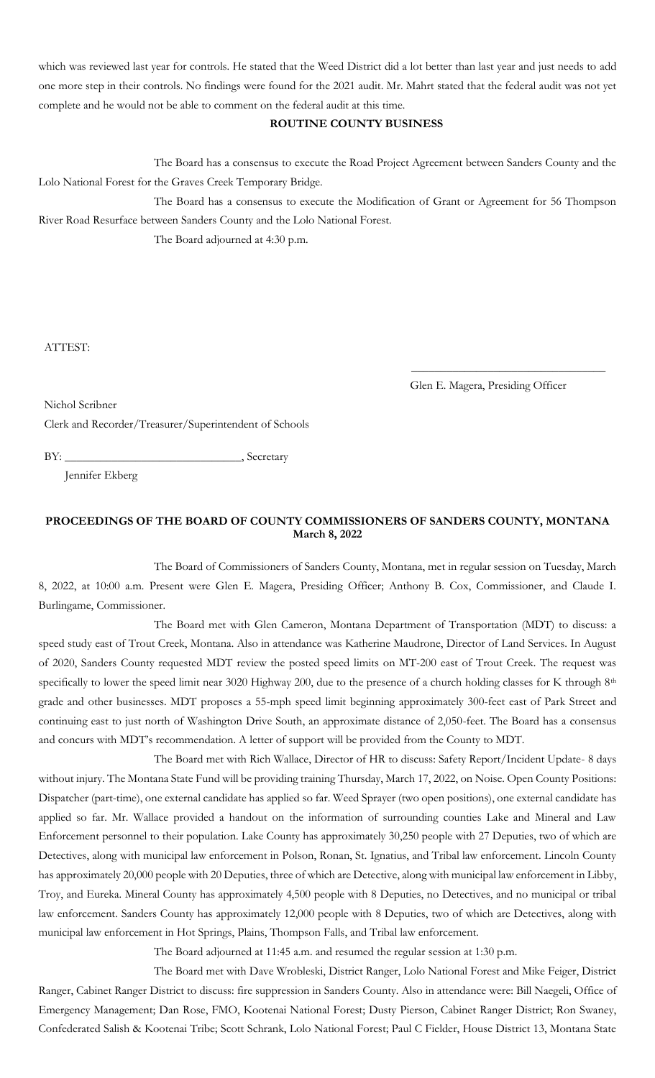which was reviewed last year for controls. He stated that the Weed District did a lot better than last year and just needs to add one more step in their controls. No findings were found for the 2021 audit. Mr. Mahrt stated that the federal audit was not yet complete and he would not be able to comment on the federal audit at this time.

### **ROUTINE COUNTY BUSINESS**

The Board has a consensus to execute the Road Project Agreement between Sanders County and the Lolo National Forest for the Graves Creek Temporary Bridge.

The Board has a consensus to execute the Modification of Grant or Agreement for 56 Thompson River Road Resurface between Sanders County and the Lolo National Forest.

The Board adjourned at 4:30 p.m.

ATTEST:

Glen E. Magera, Presiding Officer

\_\_\_\_\_\_\_\_\_\_\_\_\_\_\_\_\_\_\_\_\_\_\_\_\_\_\_\_\_\_\_\_\_

Nichol Scribner

Clerk and Recorder/Treasurer/Superintendent of Schools

BY: \_\_\_\_\_\_\_\_\_\_\_\_\_\_\_\_\_\_\_\_\_\_\_\_\_\_\_\_\_\_, Secretary

Jennifer Ekberg

## **PROCEEDINGS OF THE BOARD OF COUNTY COMMISSIONERS OF SANDERS COUNTY, MONTANA March 8, 2022**

The Board of Commissioners of Sanders County, Montana, met in regular session on Tuesday, March 8, 2022, at 10:00 a.m. Present were Glen E. Magera, Presiding Officer; Anthony B. Cox, Commissioner, and Claude I. Burlingame, Commissioner.

The Board met with Glen Cameron, Montana Department of Transportation (MDT) to discuss: a speed study east of Trout Creek, Montana. Also in attendance was Katherine Maudrone, Director of Land Services. In August of 2020, Sanders County requested MDT review the posted speed limits on MT-200 east of Trout Creek. The request was specifically to lower the speed limit near 3020 Highway 200, due to the presence of a church holding classes for K through 8<sup>th</sup> grade and other businesses. MDT proposes a 55-mph speed limit beginning approximately 300-feet east of Park Street and continuing east to just north of Washington Drive South, an approximate distance of 2,050-feet. The Board has a consensus and concurs with MDT's recommendation. A letter of support will be provided from the County to MDT.

The Board met with Rich Wallace, Director of HR to discuss: Safety Report/Incident Update- 8 days without injury. The Montana State Fund will be providing training Thursday, March 17, 2022, on Noise. Open County Positions: Dispatcher (part-time), one external candidate has applied so far. Weed Sprayer (two open positions), one external candidate has applied so far. Mr. Wallace provided a handout on the information of surrounding counties Lake and Mineral and Law Enforcement personnel to their population. Lake County has approximately 30,250 people with 27 Deputies, two of which are Detectives, along with municipal law enforcement in Polson, Ronan, St. Ignatius, and Tribal law enforcement. Lincoln County has approximately 20,000 people with 20 Deputies, three of which are Detective, along with municipal law enforcement in Libby, Troy, and Eureka. Mineral County has approximately 4,500 people with 8 Deputies, no Detectives, and no municipal or tribal law enforcement. Sanders County has approximately 12,000 people with 8 Deputies, two of which are Detectives, along with municipal law enforcement in Hot Springs, Plains, Thompson Falls, and Tribal law enforcement.

The Board adjourned at 11:45 a.m. and resumed the regular session at 1:30 p.m.

The Board met with Dave Wrobleski, District Ranger, Lolo National Forest and Mike Feiger, District Ranger, Cabinet Ranger District to discuss: fire suppression in Sanders County. Also in attendance were: Bill Naegeli, Office of Emergency Management; Dan Rose, FMO, Kootenai National Forest; Dusty Pierson, Cabinet Ranger District; Ron Swaney, Confederated Salish & Kootenai Tribe; Scott Schrank, Lolo National Forest; Paul C Fielder, House District 13, Montana State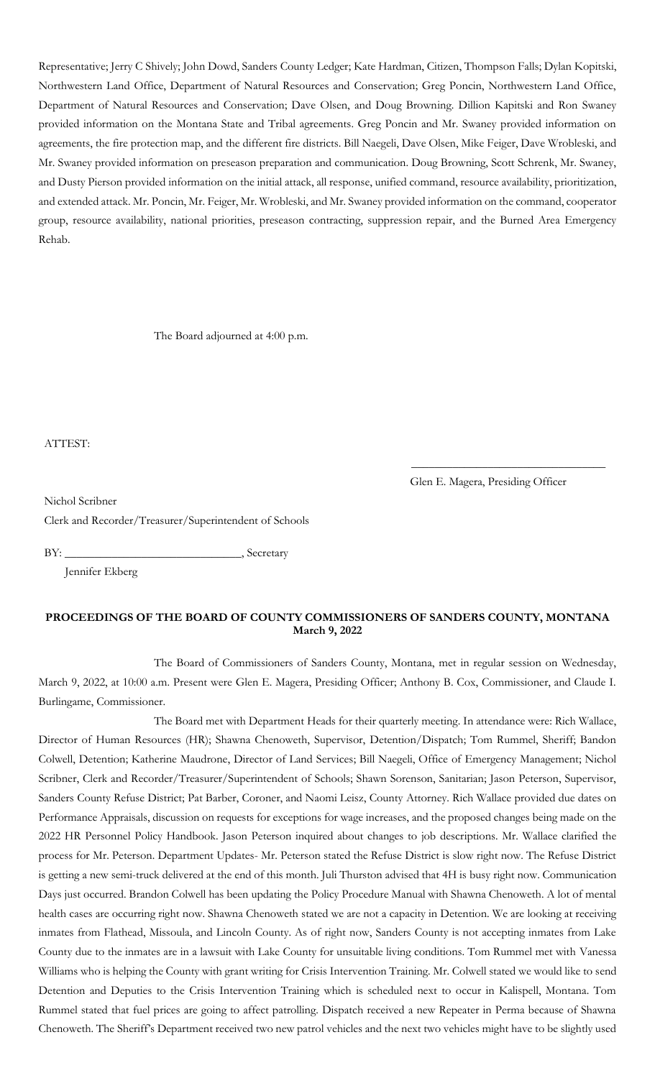Representative; Jerry C Shively; John Dowd, Sanders County Ledger; Kate Hardman, Citizen, Thompson Falls; Dylan Kopitski, Northwestern Land Office, Department of Natural Resources and Conservation; Greg Poncin, Northwestern Land Office, Department of Natural Resources and Conservation; Dave Olsen, and Doug Browning. Dillion Kapitski and Ron Swaney provided information on the Montana State and Tribal agreements. Greg Poncin and Mr. Swaney provided information on agreements, the fire protection map, and the different fire districts. Bill Naegeli, Dave Olsen, Mike Feiger, Dave Wrobleski, and Mr. Swaney provided information on preseason preparation and communication. Doug Browning, Scott Schrenk, Mr. Swaney, and Dusty Pierson provided information on the initial attack, all response, unified command, resource availability, prioritization, and extended attack. Mr. Poncin, Mr. Feiger, Mr. Wrobleski, and Mr. Swaney provided information on the command, cooperator group, resource availability, national priorities, preseason contracting, suppression repair, and the Burned Area Emergency Rehab.

The Board adjourned at 4:00 p.m.

ATTEST:

Glen E. Magera, Presiding Officer

\_\_\_\_\_\_\_\_\_\_\_\_\_\_\_\_\_\_\_\_\_\_\_\_\_\_\_\_\_\_\_\_\_

Nichol Scribner

Clerk and Recorder/Treasurer/Superintendent of Schools

BY: \_\_\_\_\_\_\_\_\_\_\_\_\_\_\_\_\_\_\_\_\_\_\_\_\_\_\_\_\_\_, Secretary

Jennifer Ekberg

## **PROCEEDINGS OF THE BOARD OF COUNTY COMMISSIONERS OF SANDERS COUNTY, MONTANA March 9, 2022**

The Board of Commissioners of Sanders County, Montana, met in regular session on Wednesday, March 9, 2022, at 10:00 a.m. Present were Glen E. Magera, Presiding Officer; Anthony B. Cox, Commissioner, and Claude I. Burlingame, Commissioner.

The Board met with Department Heads for their quarterly meeting. In attendance were: Rich Wallace, Director of Human Resources (HR); Shawna Chenoweth, Supervisor, Detention/Dispatch; Tom Rummel, Sheriff; Bandon Colwell, Detention; Katherine Maudrone, Director of Land Services; Bill Naegeli, Office of Emergency Management; Nichol Scribner, Clerk and Recorder/Treasurer/Superintendent of Schools; Shawn Sorenson, Sanitarian; Jason Peterson, Supervisor, Sanders County Refuse District; Pat Barber, Coroner, and Naomi Leisz, County Attorney. Rich Wallace provided due dates on Performance Appraisals, discussion on requests for exceptions for wage increases, and the proposed changes being made on the 2022 HR Personnel Policy Handbook. Jason Peterson inquired about changes to job descriptions. Mr. Wallace clarified the process for Mr. Peterson. Department Updates- Mr. Peterson stated the Refuse District is slow right now. The Refuse District is getting a new semi-truck delivered at the end of this month. Juli Thurston advised that 4H is busy right now. Communication Days just occurred. Brandon Colwell has been updating the Policy Procedure Manual with Shawna Chenoweth. A lot of mental health cases are occurring right now. Shawna Chenoweth stated we are not a capacity in Detention. We are looking at receiving inmates from Flathead, Missoula, and Lincoln County. As of right now, Sanders County is not accepting inmates from Lake County due to the inmates are in a lawsuit with Lake County for unsuitable living conditions. Tom Rummel met with Vanessa Williams who is helping the County with grant writing for Crisis Intervention Training. Mr. Colwell stated we would like to send Detention and Deputies to the Crisis Intervention Training which is scheduled next to occur in Kalispell, Montana. Tom Rummel stated that fuel prices are going to affect patrolling. Dispatch received a new Repeater in Perma because of Shawna Chenoweth. The Sheriff's Department received two new patrol vehicles and the next two vehicles might have to be slightly used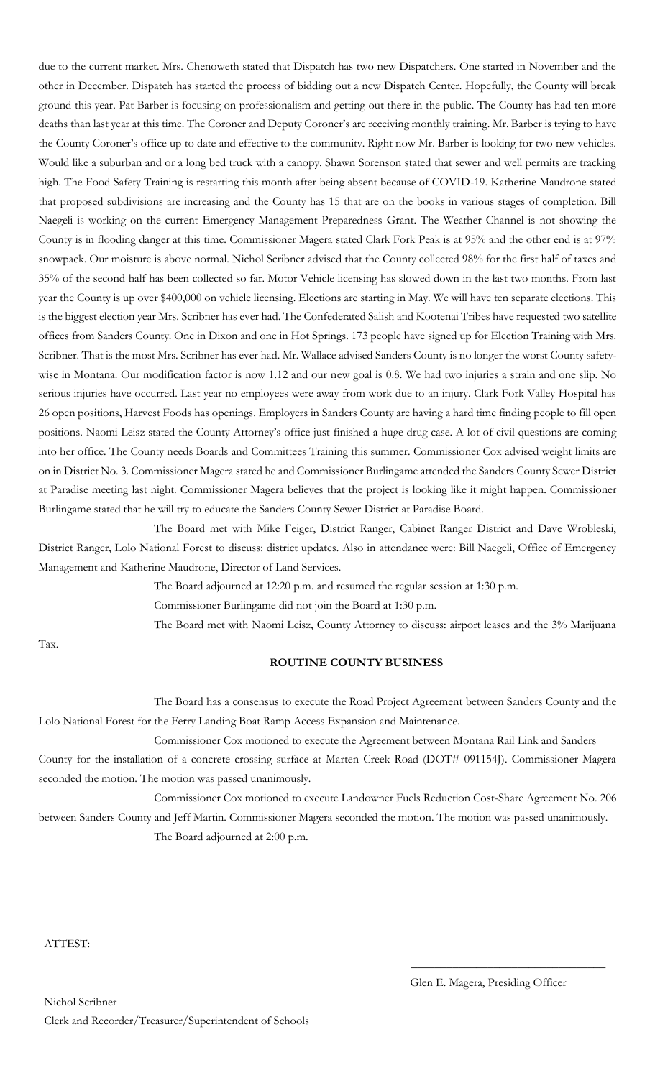due to the current market. Mrs. Chenoweth stated that Dispatch has two new Dispatchers. One started in November and the other in December. Dispatch has started the process of bidding out a new Dispatch Center. Hopefully, the County will break ground this year. Pat Barber is focusing on professionalism and getting out there in the public. The County has had ten more deaths than last year at this time. The Coroner and Deputy Coroner's are receiving monthly training. Mr. Barber is trying to have the County Coroner's office up to date and effective to the community. Right now Mr. Barber is looking for two new vehicles. Would like a suburban and or a long bed truck with a canopy. Shawn Sorenson stated that sewer and well permits are tracking high. The Food Safety Training is restarting this month after being absent because of COVID-19. Katherine Maudrone stated that proposed subdivisions are increasing and the County has 15 that are on the books in various stages of completion. Bill Naegeli is working on the current Emergency Management Preparedness Grant. The Weather Channel is not showing the County is in flooding danger at this time. Commissioner Magera stated Clark Fork Peak is at 95% and the other end is at 97% snowpack. Our moisture is above normal. Nichol Scribner advised that the County collected 98% for the first half of taxes and 35% of the second half has been collected so far. Motor Vehicle licensing has slowed down in the last two months. From last year the County is up over \$400,000 on vehicle licensing. Elections are starting in May. We will have ten separate elections. This is the biggest election year Mrs. Scribner has ever had. The Confederated Salish and Kootenai Tribes have requested two satellite offices from Sanders County. One in Dixon and one in Hot Springs. 173 people have signed up for Election Training with Mrs. Scribner. That is the most Mrs. Scribner has ever had. Mr. Wallace advised Sanders County is no longer the worst County safetywise in Montana. Our modification factor is now 1.12 and our new goal is 0.8. We had two injuries a strain and one slip. No serious injuries have occurred. Last year no employees were away from work due to an injury. Clark Fork Valley Hospital has 26 open positions, Harvest Foods has openings. Employers in Sanders County are having a hard time finding people to fill open positions. Naomi Leisz stated the County Attorney's office just finished a huge drug case. A lot of civil questions are coming into her office. The County needs Boards and Committees Training this summer. Commissioner Cox advised weight limits are on in District No. 3. Commissioner Magera stated he and Commissioner Burlingame attended the Sanders County Sewer District at Paradise meeting last night. Commissioner Magera believes that the project is looking like it might happen. Commissioner Burlingame stated that he will try to educate the Sanders County Sewer District at Paradise Board.

The Board met with Mike Feiger, District Ranger, Cabinet Ranger District and Dave Wrobleski, District Ranger, Lolo National Forest to discuss: district updates. Also in attendance were: Bill Naegeli, Office of Emergency Management and Katherine Maudrone, Director of Land Services.

The Board adjourned at 12:20 p.m. and resumed the regular session at 1:30 p.m.

Commissioner Burlingame did not join the Board at 1:30 p.m.

The Board met with Naomi Leisz, County Attorney to discuss: airport leases and the 3% Marijuana

Tax.

### **ROUTINE COUNTY BUSINESS**

The Board has a consensus to execute the Road Project Agreement between Sanders County and the Lolo National Forest for the Ferry Landing Boat Ramp Access Expansion and Maintenance.

Commissioner Cox motioned to execute the Agreement between Montana Rail Link and Sanders County for the installation of a concrete crossing surface at Marten Creek Road (DOT# 091154J). Commissioner Magera seconded the motion. The motion was passed unanimously.

Commissioner Cox motioned to execute Landowner Fuels Reduction Cost-Share Agreement No. 206 between Sanders County and Jeff Martin. Commissioner Magera seconded the motion. The motion was passed unanimously. The Board adjourned at 2:00 p.m.

ATTEST:

 $\overline{\phantom{a}}$  , and the set of the set of the set of the set of the set of the set of the set of the set of the set of the set of the set of the set of the set of the set of the set of the set of the set of the set of the s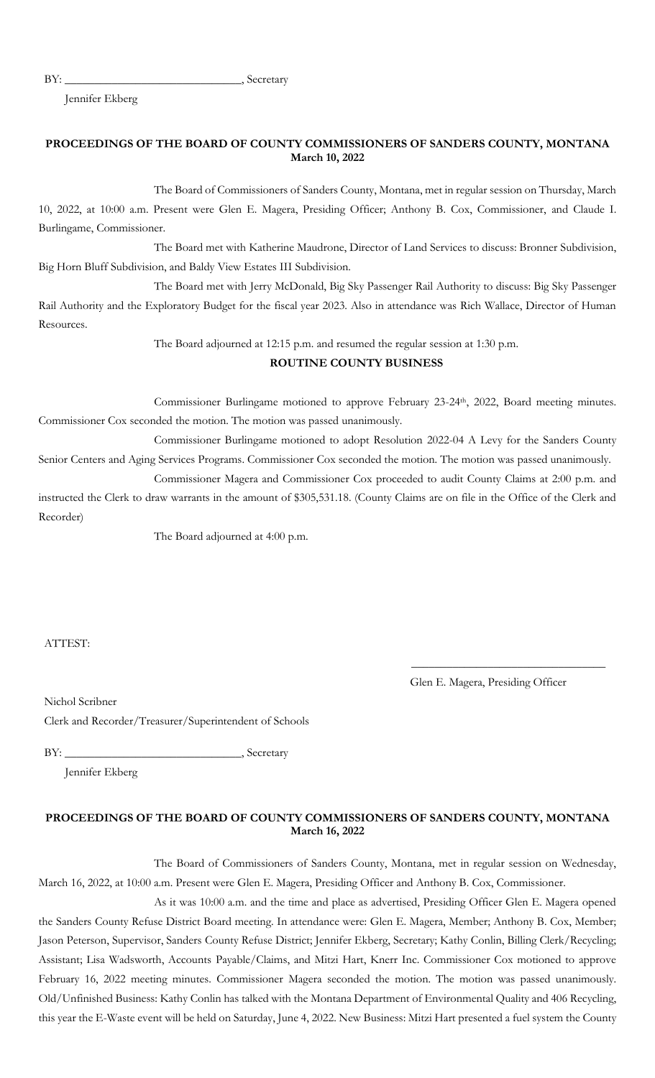BY: Secretary

Jennifer Ekberg

### **PROCEEDINGS OF THE BOARD OF COUNTY COMMISSIONERS OF SANDERS COUNTY, MONTANA March 10, 2022**

The Board of Commissioners of Sanders County, Montana, met in regular session on Thursday, March 10, 2022, at 10:00 a.m. Present were Glen E. Magera, Presiding Officer; Anthony B. Cox, Commissioner, and Claude I. Burlingame, Commissioner.

The Board met with Katherine Maudrone, Director of Land Services to discuss: Bronner Subdivision, Big Horn Bluff Subdivision, and Baldy View Estates III Subdivision.

The Board met with Jerry McDonald, Big Sky Passenger Rail Authority to discuss: Big Sky Passenger Rail Authority and the Exploratory Budget for the fiscal year 2023. Also in attendance was Rich Wallace, Director of Human Resources.

The Board adjourned at 12:15 p.m. and resumed the regular session at 1:30 p.m.

## **ROUTINE COUNTY BUSINESS**

Commissioner Burlingame motioned to approve February 23-24<sup>th</sup>, 2022, Board meeting minutes. Commissioner Cox seconded the motion. The motion was passed unanimously.

Commissioner Burlingame motioned to adopt Resolution 2022-04 A Levy for the Sanders County Senior Centers and Aging Services Programs. Commissioner Cox seconded the motion. The motion was passed unanimously.

Commissioner Magera and Commissioner Cox proceeded to audit County Claims at 2:00 p.m. and instructed the Clerk to draw warrants in the amount of \$305,531.18. (County Claims are on file in the Office of the Clerk and Recorder)

The Board adjourned at 4:00 p.m.

ATTEST:

Glen E. Magera, Presiding Officer

\_\_\_\_\_\_\_\_\_\_\_\_\_\_\_\_\_\_\_\_\_\_\_\_\_\_\_\_\_\_\_\_\_

Nichol Scribner

Clerk and Recorder/Treasurer/Superintendent of Schools

BY: \_\_\_\_\_\_\_\_\_\_\_\_\_\_\_\_\_\_\_\_\_\_\_\_\_\_\_\_\_\_, Secretary

Jennifer Ekberg

## **PROCEEDINGS OF THE BOARD OF COUNTY COMMISSIONERS OF SANDERS COUNTY, MONTANA March 16, 2022**

The Board of Commissioners of Sanders County, Montana, met in regular session on Wednesday, March 16, 2022, at 10:00 a.m. Present were Glen E. Magera, Presiding Officer and Anthony B. Cox, Commissioner.

As it was 10:00 a.m. and the time and place as advertised, Presiding Officer Glen E. Magera opened the Sanders County Refuse District Board meeting. In attendance were: Glen E. Magera, Member; Anthony B. Cox, Member; Jason Peterson, Supervisor, Sanders County Refuse District; Jennifer Ekberg, Secretary; Kathy Conlin, Billing Clerk/Recycling; Assistant; Lisa Wadsworth, Accounts Payable/Claims, and Mitzi Hart, Knerr Inc. Commissioner Cox motioned to approve February 16, 2022 meeting minutes. Commissioner Magera seconded the motion. The motion was passed unanimously. Old/Unfinished Business: Kathy Conlin has talked with the Montana Department of Environmental Quality and 406 Recycling, this year the E-Waste event will be held on Saturday, June 4, 2022. New Business: Mitzi Hart presented a fuel system the County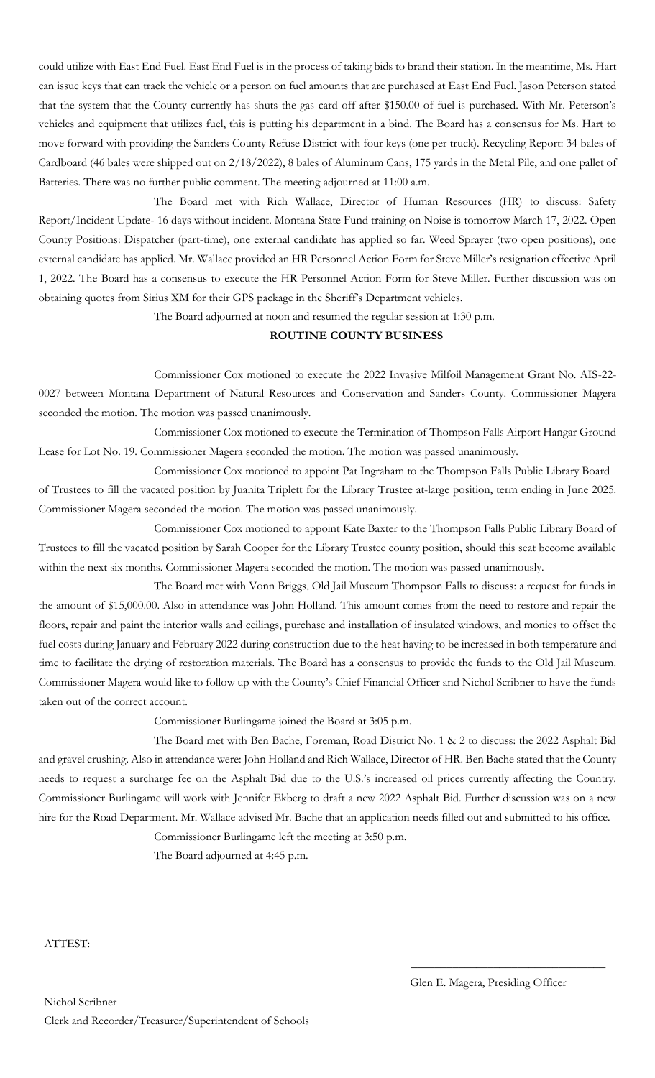could utilize with East End Fuel. East End Fuel is in the process of taking bids to brand their station. In the meantime, Ms. Hart can issue keys that can track the vehicle or a person on fuel amounts that are purchased at East End Fuel. Jason Peterson stated that the system that the County currently has shuts the gas card off after \$150.00 of fuel is purchased. With Mr. Peterson's vehicles and equipment that utilizes fuel, this is putting his department in a bind. The Board has a consensus for Ms. Hart to move forward with providing the Sanders County Refuse District with four keys (one per truck). Recycling Report: 34 bales of Cardboard (46 bales were shipped out on 2/18/2022), 8 bales of Aluminum Cans, 175 yards in the Metal Pile, and one pallet of Batteries. There was no further public comment. The meeting adjourned at 11:00 a.m.

The Board met with Rich Wallace, Director of Human Resources (HR) to discuss: Safety Report/Incident Update- 16 days without incident. Montana State Fund training on Noise is tomorrow March 17, 2022. Open County Positions: Dispatcher (part-time), one external candidate has applied so far. Weed Sprayer (two open positions), one external candidate has applied. Mr. Wallace provided an HR Personnel Action Form for Steve Miller's resignation effective April 1, 2022. The Board has a consensus to execute the HR Personnel Action Form for Steve Miller. Further discussion was on obtaining quotes from Sirius XM for their GPS package in the Sheriff's Department vehicles.

The Board adjourned at noon and resumed the regular session at 1:30 p.m.

# **ROUTINE COUNTY BUSINESS**

Commissioner Cox motioned to execute the 2022 Invasive Milfoil Management Grant No. AIS-22- 0027 between Montana Department of Natural Resources and Conservation and Sanders County. Commissioner Magera seconded the motion. The motion was passed unanimously.

Commissioner Cox motioned to execute the Termination of Thompson Falls Airport Hangar Ground Lease for Lot No. 19. Commissioner Magera seconded the motion. The motion was passed unanimously.

Commissioner Cox motioned to appoint Pat Ingraham to the Thompson Falls Public Library Board of Trustees to fill the vacated position by Juanita Triplett for the Library Trustee at-large position, term ending in June 2025. Commissioner Magera seconded the motion. The motion was passed unanimously.

Commissioner Cox motioned to appoint Kate Baxter to the Thompson Falls Public Library Board of Trustees to fill the vacated position by Sarah Cooper for the Library Trustee county position, should this seat become available within the next six months. Commissioner Magera seconded the motion. The motion was passed unanimously.

The Board met with Vonn Briggs, Old Jail Museum Thompson Falls to discuss: a request for funds in the amount of \$15,000.00. Also in attendance was John Holland. This amount comes from the need to restore and repair the floors, repair and paint the interior walls and ceilings, purchase and installation of insulated windows, and monies to offset the fuel costs during January and February 2022 during construction due to the heat having to be increased in both temperature and time to facilitate the drying of restoration materials. The Board has a consensus to provide the funds to the Old Jail Museum. Commissioner Magera would like to follow up with the County's Chief Financial Officer and Nichol Scribner to have the funds taken out of the correct account.

Commissioner Burlingame joined the Board at 3:05 p.m.

The Board met with Ben Bache, Foreman, Road District No. 1 & 2 to discuss: the 2022 Asphalt Bid and gravel crushing. Also in attendance were: John Holland and Rich Wallace, Director of HR. Ben Bache stated that the County needs to request a surcharge fee on the Asphalt Bid due to the U.S.'s increased oil prices currently affecting the Country. Commissioner Burlingame will work with Jennifer Ekberg to draft a new 2022 Asphalt Bid. Further discussion was on a new hire for the Road Department. Mr. Wallace advised Mr. Bache that an application needs filled out and submitted to his office.

Commissioner Burlingame left the meeting at 3:50 p.m.

The Board adjourned at 4:45 p.m.

ATTEST:

 $\overline{\phantom{a}}$  , and the set of the set of the set of the set of the set of the set of the set of the set of the set of the set of the set of the set of the set of the set of the set of the set of the set of the set of the s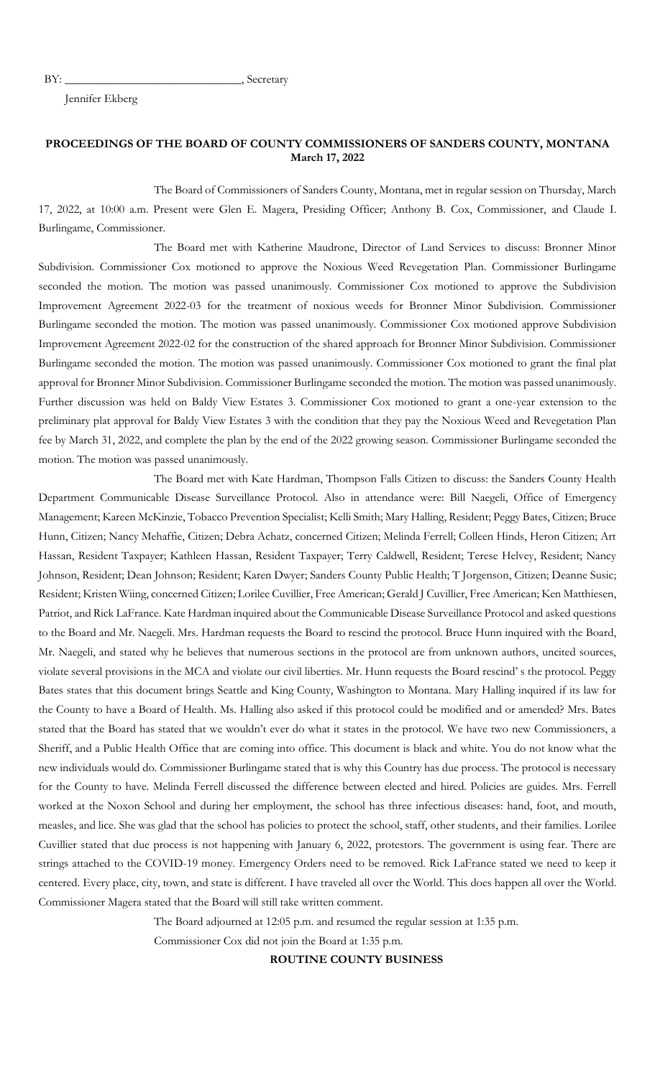BY: Secretary

Jennifer Ekberg

### **PROCEEDINGS OF THE BOARD OF COUNTY COMMISSIONERS OF SANDERS COUNTY, MONTANA March 17, 2022**

The Board of Commissioners of Sanders County, Montana, met in regular session on Thursday, March 17, 2022, at 10:00 a.m. Present were Glen E. Magera, Presiding Officer; Anthony B. Cox, Commissioner, and Claude I. Burlingame, Commissioner.

The Board met with Katherine Maudrone, Director of Land Services to discuss: Bronner Minor Subdivision. Commissioner Cox motioned to approve the Noxious Weed Revegetation Plan. Commissioner Burlingame seconded the motion. The motion was passed unanimously. Commissioner Cox motioned to approve the Subdivision Improvement Agreement 2022-03 for the treatment of noxious weeds for Bronner Minor Subdivision. Commissioner Burlingame seconded the motion. The motion was passed unanimously. Commissioner Cox motioned approve Subdivision Improvement Agreement 2022-02 for the construction of the shared approach for Bronner Minor Subdivision. Commissioner Burlingame seconded the motion. The motion was passed unanimously. Commissioner Cox motioned to grant the final plat approval for Bronner Minor Subdivision. Commissioner Burlingame seconded the motion. The motion was passed unanimously. Further discussion was held on Baldy View Estates 3. Commissioner Cox motioned to grant a one-year extension to the preliminary plat approval for Baldy View Estates 3 with the condition that they pay the Noxious Weed and Revegetation Plan fee by March 31, 2022, and complete the plan by the end of the 2022 growing season. Commissioner Burlingame seconded the motion. The motion was passed unanimously.

The Board met with Kate Hardman, Thompson Falls Citizen to discuss: the Sanders County Health Department Communicable Disease Surveillance Protocol. Also in attendance were: Bill Naegeli, Office of Emergency Management; Kareen McKinzie, Tobacco Prevention Specialist; Kelli Smith; Mary Halling, Resident; Peggy Bates, Citizen; Bruce Hunn, Citizen; Nancy Mehaffie, Citizen; Debra Achatz, concerned Citizen; Melinda Ferrell; Colleen Hinds, Heron Citizen; Art Hassan, Resident Taxpayer; Kathleen Hassan, Resident Taxpayer; Terry Caldwell, Resident; Terese Helvey, Resident; Nancy Johnson, Resident; Dean Johnson; Resident; Karen Dwyer; Sanders County Public Health; T Jorgenson, Citizen; Deanne Susic; Resident; Kristen Wiing, concerned Citizen; Lorilee Cuvillier, Free American; Gerald J Cuvillier, Free American; Ken Matthiesen, Patriot, and Rick LaFrance. Kate Hardman inquired about the Communicable Disease Surveillance Protocol and asked questions to the Board and Mr. Naegeli. Mrs. Hardman requests the Board to rescind the protocol. Bruce Hunn inquired with the Board, Mr. Naegeli, and stated why he believes that numerous sections in the protocol are from unknown authors, uncited sources, violate several provisions in the MCA and violate our civil liberties. Mr. Hunn requests the Board rescind' s the protocol. Peggy Bates states that this document brings Seattle and King County, Washington to Montana. Mary Halling inquired if its law for the County to have a Board of Health. Ms. Halling also asked if this protocol could be modified and or amended? Mrs. Bates stated that the Board has stated that we wouldn't ever do what it states in the protocol. We have two new Commissioners, a Sheriff, and a Public Health Office that are coming into office. This document is black and white. You do not know what the new individuals would do. Commissioner Burlingame stated that is why this Country has due process. The protocol is necessary for the County to have. Melinda Ferrell discussed the difference between elected and hired. Policies are guides. Mrs. Ferrell worked at the Noxon School and during her employment, the school has three infectious diseases: hand, foot, and mouth, measles, and lice. She was glad that the school has policies to protect the school, staff, other students, and their families. Lorilee Cuvillier stated that due process is not happening with January 6, 2022, protestors. The government is using fear. There are strings attached to the COVID-19 money. Emergency Orders need to be removed. Rick LaFrance stated we need to keep it centered. Every place, city, town, and state is different. I have traveled all over the World. This does happen all over the World. Commissioner Magera stated that the Board will still take written comment.

The Board adjourned at 12:05 p.m. and resumed the regular session at 1:35 p.m.

Commissioner Cox did not join the Board at 1:35 p.m.

**ROUTINE COUNTY BUSINESS**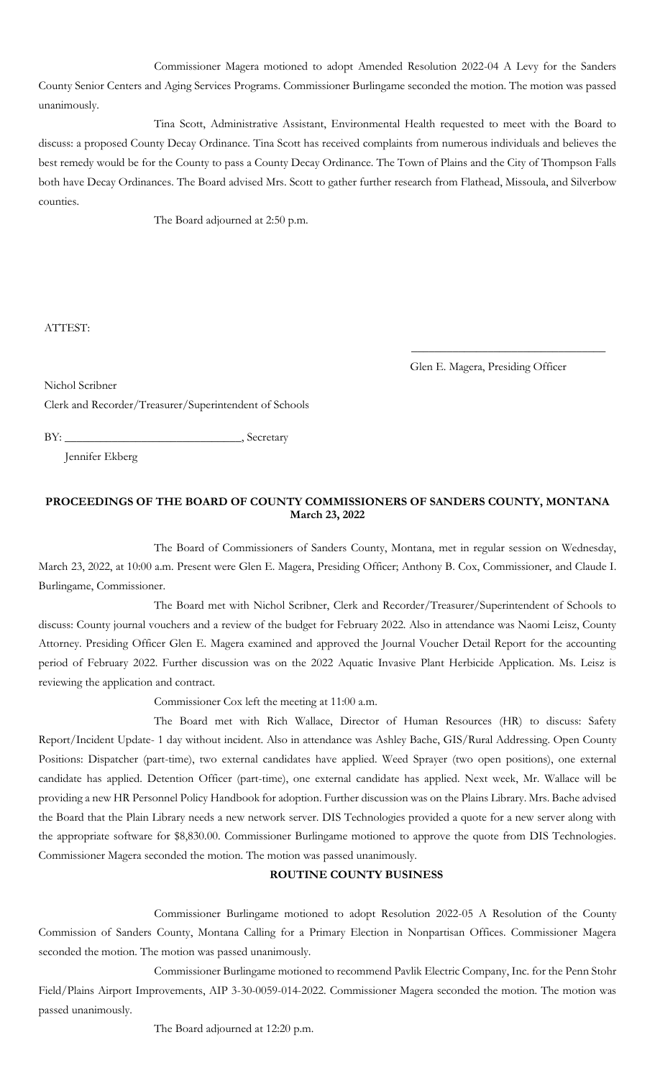Commissioner Magera motioned to adopt Amended Resolution 2022-04 A Levy for the Sanders County Senior Centers and Aging Services Programs. Commissioner Burlingame seconded the motion. The motion was passed unanimously.

Tina Scott, Administrative Assistant, Environmental Health requested to meet with the Board to discuss: a proposed County Decay Ordinance. Tina Scott has received complaints from numerous individuals and believes the best remedy would be for the County to pass a County Decay Ordinance. The Town of Plains and the City of Thompson Falls both have Decay Ordinances. The Board advised Mrs. Scott to gather further research from Flathead, Missoula, and Silverbow counties.

The Board adjourned at 2:50 p.m.

ATTEST:

Glen E. Magera, Presiding Officer

\_\_\_\_\_\_\_\_\_\_\_\_\_\_\_\_\_\_\_\_\_\_\_\_\_\_\_\_\_\_\_\_\_

Nichol Scribner

Clerk and Recorder/Treasurer/Superintendent of Schools

BY: \_\_\_\_\_\_\_\_\_\_\_\_\_\_\_\_\_\_\_\_\_\_\_\_\_\_\_\_\_\_, Secretary

Jennifer Ekberg

## **PROCEEDINGS OF THE BOARD OF COUNTY COMMISSIONERS OF SANDERS COUNTY, MONTANA March 23, 2022**

The Board of Commissioners of Sanders County, Montana, met in regular session on Wednesday, March 23, 2022, at 10:00 a.m. Present were Glen E. Magera, Presiding Officer; Anthony B. Cox, Commissioner, and Claude I. Burlingame, Commissioner.

The Board met with Nichol Scribner, Clerk and Recorder/Treasurer/Superintendent of Schools to discuss: County journal vouchers and a review of the budget for February 2022. Also in attendance was Naomi Leisz, County Attorney. Presiding Officer Glen E. Magera examined and approved the Journal Voucher Detail Report for the accounting period of February 2022. Further discussion was on the 2022 Aquatic Invasive Plant Herbicide Application. Ms. Leisz is reviewing the application and contract.

Commissioner Cox left the meeting at 11:00 a.m.

The Board met with Rich Wallace, Director of Human Resources (HR) to discuss: Safety Report/Incident Update- 1 day without incident. Also in attendance was Ashley Bache, GIS/Rural Addressing. Open County Positions: Dispatcher (part-time), two external candidates have applied. Weed Sprayer (two open positions), one external candidate has applied. Detention Officer (part-time), one external candidate has applied. Next week, Mr. Wallace will be providing a new HR Personnel Policy Handbook for adoption. Further discussion was on the Plains Library. Mrs. Bache advised the Board that the Plain Library needs a new network server. DIS Technologies provided a quote for a new server along with the appropriate software for \$8,830.00. Commissioner Burlingame motioned to approve the quote from DIS Technologies. Commissioner Magera seconded the motion. The motion was passed unanimously.

### **ROUTINE COUNTY BUSINESS**

Commissioner Burlingame motioned to adopt Resolution 2022-05 A Resolution of the County Commission of Sanders County, Montana Calling for a Primary Election in Nonpartisan Offices. Commissioner Magera seconded the motion. The motion was passed unanimously.

Commissioner Burlingame motioned to recommend Pavlik Electric Company, Inc. for the Penn Stohr Field/Plains Airport Improvements, AIP 3-30-0059-014-2022. Commissioner Magera seconded the motion. The motion was passed unanimously.

The Board adjourned at 12:20 p.m.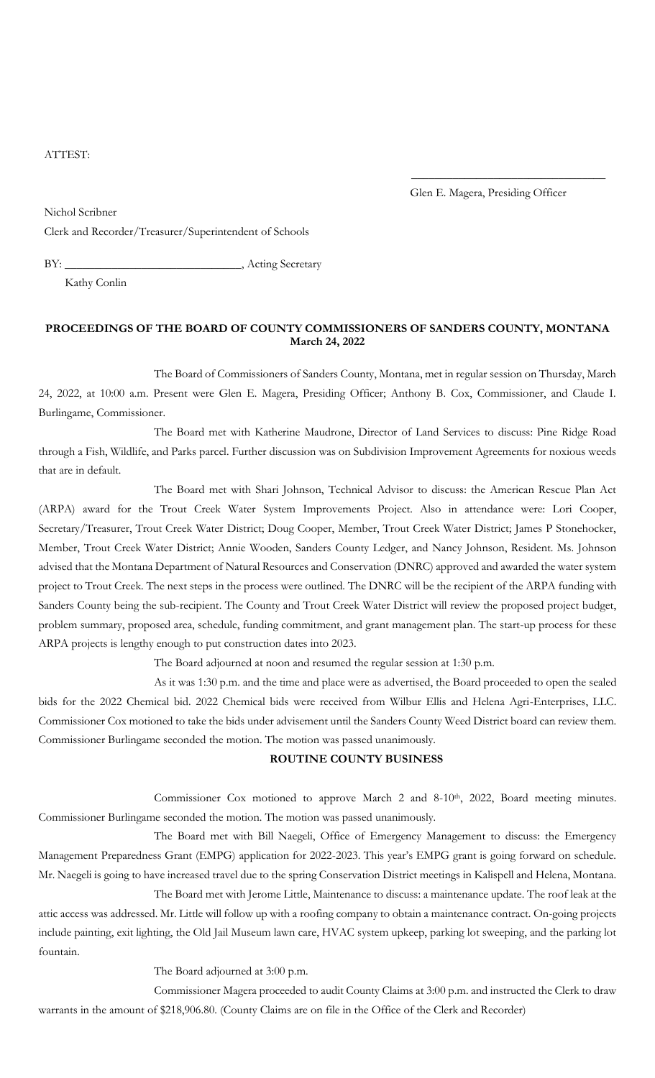ATTEST:

Glen E. Magera, Presiding Officer

\_\_\_\_\_\_\_\_\_\_\_\_\_\_\_\_\_\_\_\_\_\_\_\_\_\_\_\_\_\_\_\_\_

Nichol Scribner

Clerk and Recorder/Treasurer/Superintendent of Schools

BY: \_\_\_\_\_\_\_\_\_\_\_\_\_\_\_\_\_\_\_\_\_\_\_\_\_\_\_\_\_\_\_\_\_, Acting Secretary

Kathy Conlin

### **PROCEEDINGS OF THE BOARD OF COUNTY COMMISSIONERS OF SANDERS COUNTY, MONTANA March 24, 2022**

The Board of Commissioners of Sanders County, Montana, met in regular session on Thursday, March 24, 2022, at 10:00 a.m. Present were Glen E. Magera, Presiding Officer; Anthony B. Cox, Commissioner, and Claude I. Burlingame, Commissioner.

The Board met with Katherine Maudrone, Director of Land Services to discuss: Pine Ridge Road through a Fish, Wildlife, and Parks parcel. Further discussion was on Subdivision Improvement Agreements for noxious weeds that are in default.

The Board met with Shari Johnson, Technical Advisor to discuss: the American Rescue Plan Act (ARPA) award for the Trout Creek Water System Improvements Project. Also in attendance were: Lori Cooper, Secretary/Treasurer, Trout Creek Water District; Doug Cooper, Member, Trout Creek Water District; James P Stonehocker, Member, Trout Creek Water District; Annie Wooden, Sanders County Ledger, and Nancy Johnson, Resident. Ms. Johnson advised that the Montana Department of Natural Resources and Conservation (DNRC) approved and awarded the water system project to Trout Creek. The next steps in the process were outlined. The DNRC will be the recipient of the ARPA funding with Sanders County being the sub-recipient. The County and Trout Creek Water District will review the proposed project budget, problem summary, proposed area, schedule, funding commitment, and grant management plan. The start-up process for these ARPA projects is lengthy enough to put construction dates into 2023.

The Board adjourned at noon and resumed the regular session at 1:30 p.m.

As it was 1:30 p.m. and the time and place were as advertised, the Board proceeded to open the sealed bids for the 2022 Chemical bid. 2022 Chemical bids were received from Wilbur Ellis and Helena Agri-Enterprises, LLC. Commissioner Cox motioned to take the bids under advisement until the Sanders County Weed District board can review them. Commissioner Burlingame seconded the motion. The motion was passed unanimously.

#### **ROUTINE COUNTY BUSINESS**

Commissioner Cox motioned to approve March 2 and 8-10<sup>th</sup>, 2022, Board meeting minutes. Commissioner Burlingame seconded the motion. The motion was passed unanimously.

The Board met with Bill Naegeli, Office of Emergency Management to discuss: the Emergency Management Preparedness Grant (EMPG) application for 2022-2023. This year's EMPG grant is going forward on schedule. Mr. Naegeli is going to have increased travel due to the spring Conservation District meetings in Kalispell and Helena, Montana.

The Board met with Jerome Little, Maintenance to discuss: a maintenance update. The roof leak at the attic access was addressed. Mr. Little will follow up with a roofing company to obtain a maintenance contract. On-going projects include painting, exit lighting, the Old Jail Museum lawn care, HVAC system upkeep, parking lot sweeping, and the parking lot fountain.

The Board adjourned at 3:00 p.m.

Commissioner Magera proceeded to audit County Claims at 3:00 p.m. and instructed the Clerk to draw warrants in the amount of \$218,906.80. (County Claims are on file in the Office of the Clerk and Recorder)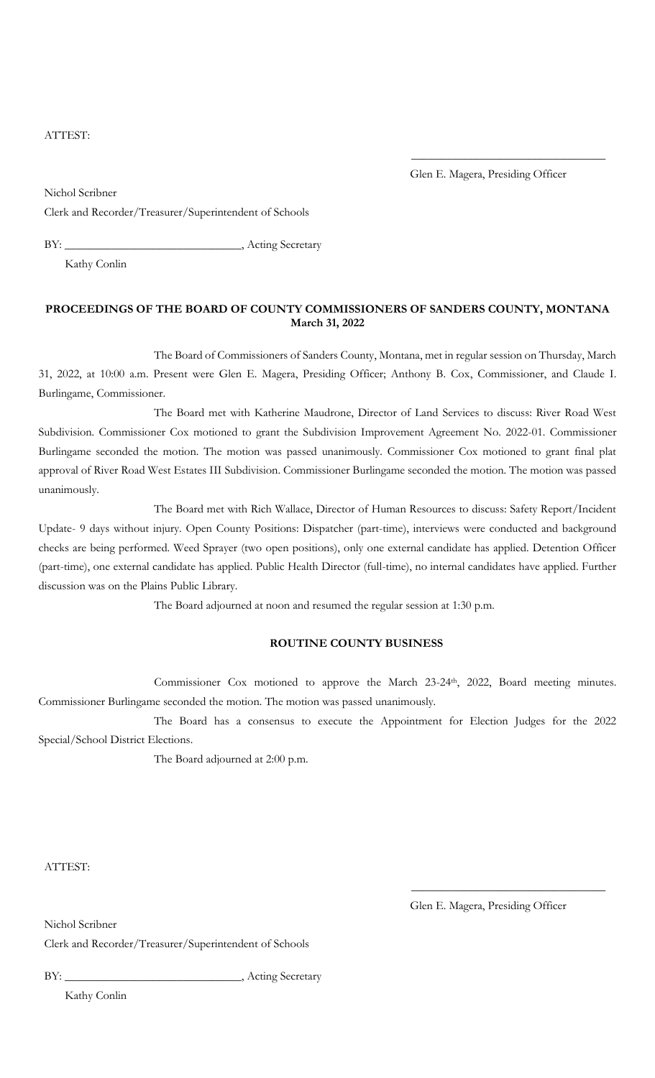### ATTEST:

Glen E. Magera, Presiding Officer

\_\_\_\_\_\_\_\_\_\_\_\_\_\_\_\_\_\_\_\_\_\_\_\_\_\_\_\_\_\_\_\_\_

Nichol Scribner Clerk and Recorder/Treasurer/Superintendent of Schools

BY: \_\_\_\_\_\_\_\_\_\_\_\_\_\_\_\_\_\_\_\_\_\_\_\_\_, Acting Secretary

Kathy Conlin

## **PROCEEDINGS OF THE BOARD OF COUNTY COMMISSIONERS OF SANDERS COUNTY, MONTANA March 31, 2022**

The Board of Commissioners of Sanders County, Montana, met in regular session on Thursday, March 31, 2022, at 10:00 a.m. Present were Glen E. Magera, Presiding Officer; Anthony B. Cox, Commissioner, and Claude I. Burlingame, Commissioner.

The Board met with Katherine Maudrone, Director of Land Services to discuss: River Road West Subdivision. Commissioner Cox motioned to grant the Subdivision Improvement Agreement No. 2022-01. Commissioner Burlingame seconded the motion. The motion was passed unanimously. Commissioner Cox motioned to grant final plat approval of River Road West Estates III Subdivision. Commissioner Burlingame seconded the motion. The motion was passed unanimously.

The Board met with Rich Wallace, Director of Human Resources to discuss: Safety Report/Incident Update- 9 days without injury. Open County Positions: Dispatcher (part-time), interviews were conducted and background checks are being performed. Weed Sprayer (two open positions), only one external candidate has applied. Detention Officer (part-time), one external candidate has applied. Public Health Director (full-time), no internal candidates have applied. Further discussion was on the Plains Public Library.

The Board adjourned at noon and resumed the regular session at 1:30 p.m.

### **ROUTINE COUNTY BUSINESS**

Commissioner Cox motioned to approve the March 23-24<sup>th</sup>, 2022, Board meeting minutes. Commissioner Burlingame seconded the motion. The motion was passed unanimously.

The Board has a consensus to execute the Appointment for Election Judges for the 2022 Special/School District Elections.

The Board adjourned at 2:00 p.m.

ATTEST:

Nichol Scribner

Glen E. Magera, Presiding Officer

\_\_\_\_\_\_\_\_\_\_\_\_\_\_\_\_\_\_\_\_\_\_\_\_\_\_\_\_\_\_\_\_\_

Clerk and Recorder/Treasurer/Superintendent of Schools

BY: \_\_\_\_\_\_\_\_\_\_\_\_\_\_\_\_\_\_\_\_\_\_\_\_\_\_\_\_\_\_\_\_\_, Acting Secretary

Kathy Conlin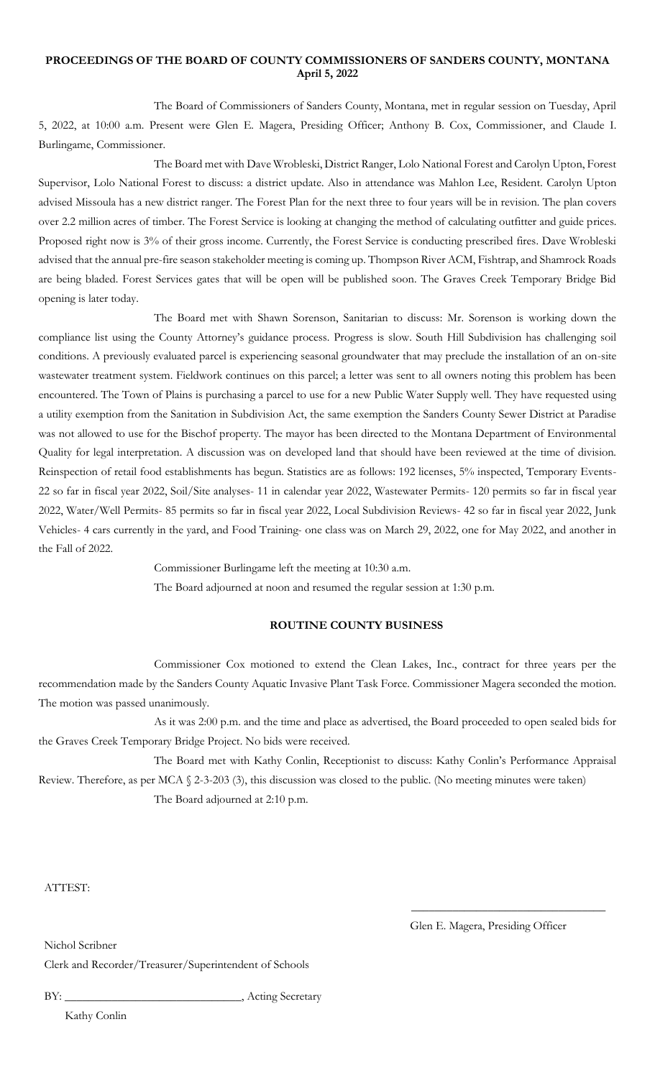### **PROCEEDINGS OF THE BOARD OF COUNTY COMMISSIONERS OF SANDERS COUNTY, MONTANA April 5, 2022**

The Board of Commissioners of Sanders County, Montana, met in regular session on Tuesday, April 5, 2022, at 10:00 a.m. Present were Glen E. Magera, Presiding Officer; Anthony B. Cox, Commissioner, and Claude I. Burlingame, Commissioner.

The Board met with Dave Wrobleski, District Ranger, Lolo National Forest and Carolyn Upton, Forest Supervisor, Lolo National Forest to discuss: a district update. Also in attendance was Mahlon Lee, Resident. Carolyn Upton advised Missoula has a new district ranger. The Forest Plan for the next three to four years will be in revision. The plan covers over 2.2 million acres of timber. The Forest Service is looking at changing the method of calculating outfitter and guide prices. Proposed right now is 3% of their gross income. Currently, the Forest Service is conducting prescribed fires. Dave Wrobleski advised that the annual pre-fire season stakeholder meeting is coming up. Thompson River ACM, Fishtrap, and Shamrock Roads are being bladed. Forest Services gates that will be open will be published soon. The Graves Creek Temporary Bridge Bid opening is later today.

The Board met with Shawn Sorenson, Sanitarian to discuss: Mr. Sorenson is working down the compliance list using the County Attorney's guidance process. Progress is slow. South Hill Subdivision has challenging soil conditions. A previously evaluated parcel is experiencing seasonal groundwater that may preclude the installation of an on-site wastewater treatment system. Fieldwork continues on this parcel; a letter was sent to all owners noting this problem has been encountered. The Town of Plains is purchasing a parcel to use for a new Public Water Supply well. They have requested using a utility exemption from the Sanitation in Subdivision Act, the same exemption the Sanders County Sewer District at Paradise was not allowed to use for the Bischof property. The mayor has been directed to the Montana Department of Environmental Quality for legal interpretation. A discussion was on developed land that should have been reviewed at the time of division. Reinspection of retail food establishments has begun. Statistics are as follows: 192 licenses, 5% inspected, Temporary Events-22 so far in fiscal year 2022, Soil/Site analyses- 11 in calendar year 2022, Wastewater Permits- 120 permits so far in fiscal year 2022, Water/Well Permits- 85 permits so far in fiscal year 2022, Local Subdivision Reviews- 42 so far in fiscal year 2022, Junk Vehicles- 4 cars currently in the yard, and Food Training- one class was on March 29, 2022, one for May 2022, and another in the Fall of 2022.

> Commissioner Burlingame left the meeting at 10:30 a.m. The Board adjourned at noon and resumed the regular session at 1:30 p.m.

## **ROUTINE COUNTY BUSINESS**

Commissioner Cox motioned to extend the Clean Lakes, Inc., contract for three years per the recommendation made by the Sanders County Aquatic Invasive Plant Task Force. Commissioner Magera seconded the motion. The motion was passed unanimously.

As it was 2:00 p.m. and the time and place as advertised, the Board proceeded to open sealed bids for the Graves Creek Temporary Bridge Project. No bids were received.

The Board met with Kathy Conlin, Receptionist to discuss: Kathy Conlin's Performance Appraisal Review. Therefore, as per MCA § 2-3-203 (3), this discussion was closed to the public. (No meeting minutes were taken)

The Board adjourned at 2:10 p.m.

ATTEST:

Glen E. Magera, Presiding Officer

\_\_\_\_\_\_\_\_\_\_\_\_\_\_\_\_\_\_\_\_\_\_\_\_\_\_\_\_\_\_\_\_\_

Nichol Scribner

Clerk and Recorder/Treasurer/Superintendent of Schools

BY: \_\_\_\_\_\_\_\_\_\_\_\_\_\_\_\_\_\_\_\_\_\_\_\_\_\_\_\_\_\_\_\_\_\_\_, Acting Secretary

Kathy Conlin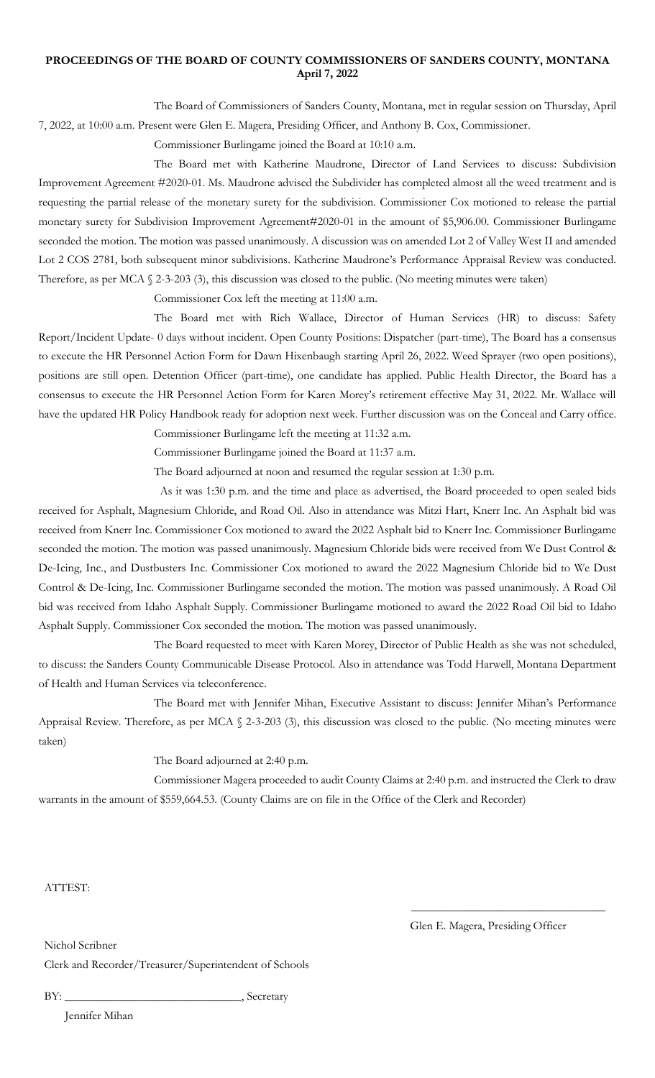## **PROCEEDINGS OF THE BOARD OF COUNTY COMMISSIONERS OF SANDERS COUNTY, MONTANA April 7, 2022**

The Board of Commissioners of Sanders County, Montana, met in regular session on Thursday, April 7, 2022, at 10:00 a.m. Present were Glen E. Magera, Presiding Officer, and Anthony B. Cox, Commissioner.

Commissioner Burlingame joined the Board at 10:10 a.m.

The Board met with Katherine Maudrone, Director of Land Services to discuss: Subdivision Improvement Agreement #2020-01. Ms. Maudrone advised the Subdivider has completed almost all the weed treatment and is requesting the partial release of the monetary surety for the subdivision. Commissioner Cox motioned to release the partial monetary surety for Subdivision Improvement Agreement#2020-01 in the amount of \$5,906.00. Commissioner Burlingame seconded the motion. The motion was passed unanimously. A discussion was on amended Lot 2 of Valley West II and amended Lot 2 COS 2781, both subsequent minor subdivisions. Katherine Maudrone's Performance Appraisal Review was conducted. Therefore, as per MCA § 2-3-203 (3), this discussion was closed to the public. (No meeting minutes were taken)

Commissioner Cox left the meeting at 11:00 a.m.

The Board met with Rich Wallace, Director of Human Services (HR) to discuss: Safety Report/Incident Update- 0 days without incident. Open County Positions: Dispatcher (part-time), The Board has a consensus to execute the HR Personnel Action Form for Dawn Hixenbaugh starting April 26, 2022. Weed Sprayer (two open positions), positions are still open. Detention Officer (part-time), one candidate has applied. Public Health Director, the Board has a consensus to execute the HR Personnel Action Form for Karen Morey's retirement effective May 31, 2022. Mr. Wallace will have the updated HR Policy Handbook ready for adoption next week. Further discussion was on the Conceal and Carry office.

Commissioner Burlingame left the meeting at 11:32 a.m.

Commissioner Burlingame joined the Board at 11:37 a.m.

The Board adjourned at noon and resumed the regular session at 1:30 p.m.

 As it was 1:30 p.m. and the time and place as advertised, the Board proceeded to open sealed bids received for Asphalt, Magnesium Chloride, and Road Oil. Also in attendance was Mitzi Hart, Knerr Inc. An Asphalt bid was received from Knerr Inc. Commissioner Cox motioned to award the 2022 Asphalt bid to Knerr Inc. Commissioner Burlingame seconded the motion. The motion was passed unanimously. Magnesium Chloride bids were received from We Dust Control & De-Icing, Inc., and Dustbusters Inc. Commissioner Cox motioned to award the 2022 Magnesium Chloride bid to We Dust Control & De-Icing, Inc. Commissioner Burlingame seconded the motion. The motion was passed unanimously. A Road Oil bid was received from Idaho Asphalt Supply. Commissioner Burlingame motioned to award the 2022 Road Oil bid to Idaho Asphalt Supply. Commissioner Cox seconded the motion. The motion was passed unanimously.

The Board requested to meet with Karen Morey, Director of Public Health as she was not scheduled, to discuss: the Sanders County Communicable Disease Protocol. Also in attendance was Todd Harwell, Montana Department of Health and Human Services via teleconference.

The Board met with Jennifer Mihan, Executive Assistant to discuss: Jennifer Mihan's Performance Appraisal Review. Therefore, as per MCA § 2-3-203 (3), this discussion was closed to the public. (No meeting minutes were taken)

The Board adjourned at 2:40 p.m.

Commissioner Magera proceeded to audit County Claims at 2:40 p.m. and instructed the Clerk to draw warrants in the amount of \$559,664.53. (County Claims are on file in the Office of the Clerk and Recorder)

ATTEST:

Glen E. Magera, Presiding Officer

\_\_\_\_\_\_\_\_\_\_\_\_\_\_\_\_\_\_\_\_\_\_\_\_\_\_\_\_\_\_\_\_\_

Nichol Scribner

Clerk and Recorder/Treasurer/Superintendent of Schools

BY: \_\_\_\_\_\_\_\_\_\_\_\_\_\_\_\_\_\_\_\_\_\_\_\_\_\_\_\_\_\_, Secretary

Jennifer Mihan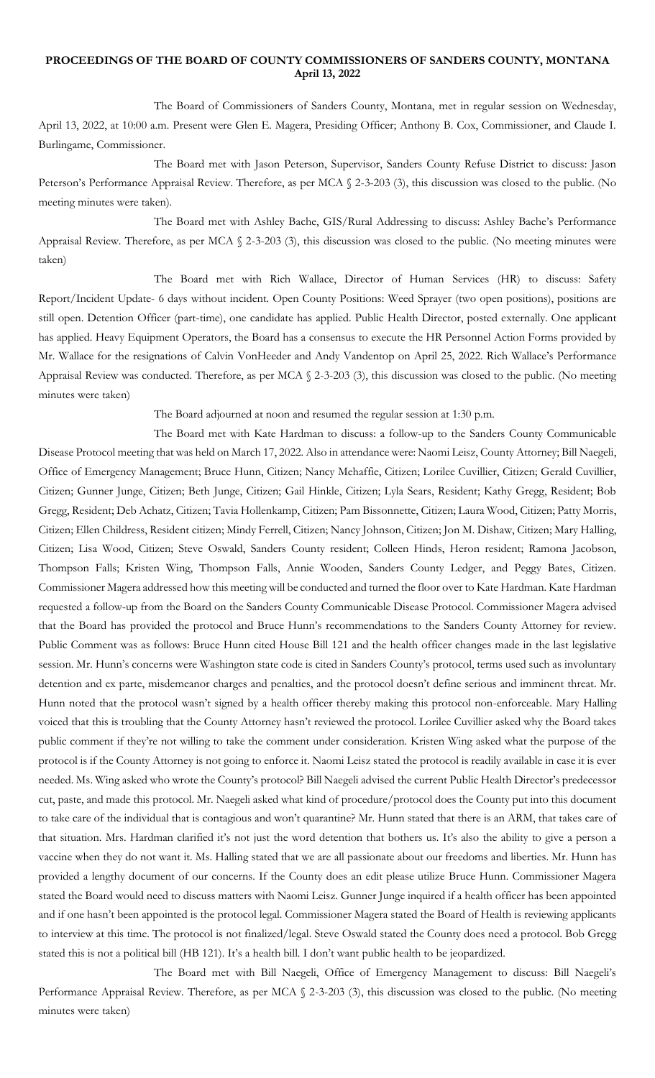### **PROCEEDINGS OF THE BOARD OF COUNTY COMMISSIONERS OF SANDERS COUNTY, MONTANA April 13, 2022**

The Board of Commissioners of Sanders County, Montana, met in regular session on Wednesday, April 13, 2022, at 10:00 a.m. Present were Glen E. Magera, Presiding Officer; Anthony B. Cox, Commissioner, and Claude I. Burlingame, Commissioner.

The Board met with Jason Peterson, Supervisor, Sanders County Refuse District to discuss: Jason Peterson's Performance Appraisal Review. Therefore, as per MCA § 2-3-203 (3), this discussion was closed to the public. (No meeting minutes were taken).

The Board met with Ashley Bache, GIS/Rural Addressing to discuss: Ashley Bache's Performance Appraisal Review. Therefore, as per MCA § 2-3-203 (3), this discussion was closed to the public. (No meeting minutes were taken)

The Board met with Rich Wallace, Director of Human Services (HR) to discuss: Safety Report/Incident Update- 6 days without incident. Open County Positions: Weed Sprayer (two open positions), positions are still open. Detention Officer (part-time), one candidate has applied. Public Health Director, posted externally. One applicant has applied. Heavy Equipment Operators, the Board has a consensus to execute the HR Personnel Action Forms provided by Mr. Wallace for the resignations of Calvin VonHeeder and Andy Vandentop on April 25, 2022. Rich Wallace's Performance Appraisal Review was conducted. Therefore, as per MCA § 2-3-203 (3), this discussion was closed to the public. (No meeting minutes were taken)

The Board adjourned at noon and resumed the regular session at 1:30 p.m.

The Board met with Kate Hardman to discuss: a follow-up to the Sanders County Communicable Disease Protocol meeting that was held on March 17, 2022. Also in attendance were: Naomi Leisz, County Attorney; Bill Naegeli, Office of Emergency Management; Bruce Hunn, Citizen; Nancy Mehaffie, Citizen; Lorilee Cuvillier, Citizen; Gerald Cuvillier, Citizen; Gunner Junge, Citizen; Beth Junge, Citizen; Gail Hinkle, Citizen; Lyla Sears, Resident; Kathy Gregg, Resident; Bob Gregg, Resident; Deb Achatz, Citizen; Tavia Hollenkamp, Citizen; Pam Bissonnette, Citizen; Laura Wood, Citizen; Patty Morris, Citizen; Ellen Childress, Resident citizen; Mindy Ferrell, Citizen; Nancy Johnson, Citizen; Jon M. Dishaw, Citizen; Mary Halling, Citizen; Lisa Wood, Citizen; Steve Oswald, Sanders County resident; Colleen Hinds, Heron resident; Ramona Jacobson, Thompson Falls; Kristen Wing, Thompson Falls, Annie Wooden, Sanders County Ledger, and Peggy Bates, Citizen. Commissioner Magera addressed how this meeting will be conducted and turned the floor over to Kate Hardman. Kate Hardman requested a follow-up from the Board on the Sanders County Communicable Disease Protocol. Commissioner Magera advised that the Board has provided the protocol and Bruce Hunn's recommendations to the Sanders County Attorney for review. Public Comment was as follows: Bruce Hunn cited House Bill 121 and the health officer changes made in the last legislative session. Mr. Hunn's concerns were Washington state code is cited in Sanders County's protocol, terms used such as involuntary detention and ex parte, misdemeanor charges and penalties, and the protocol doesn't define serious and imminent threat. Mr. Hunn noted that the protocol wasn't signed by a health officer thereby making this protocol non-enforceable. Mary Halling voiced that this is troubling that the County Attorney hasn't reviewed the protocol. Lorilee Cuvillier asked why the Board takes public comment if they're not willing to take the comment under consideration. Kristen Wing asked what the purpose of the protocol is if the County Attorney is not going to enforce it. Naomi Leisz stated the protocol is readily available in case it is ever needed. Ms. Wing asked who wrote the County's protocol? Bill Naegeli advised the current Public Health Director's predecessor cut, paste, and made this protocol. Mr. Naegeli asked what kind of procedure/protocol does the County put into this document to take care of the individual that is contagious and won't quarantine? Mr. Hunn stated that there is an ARM, that takes care of that situation. Mrs. Hardman clarified it's not just the word detention that bothers us. It's also the ability to give a person a vaccine when they do not want it. Ms. Halling stated that we are all passionate about our freedoms and liberties. Mr. Hunn has provided a lengthy document of our concerns. If the County does an edit please utilize Bruce Hunn. Commissioner Magera stated the Board would need to discuss matters with Naomi Leisz. Gunner Junge inquired if a health officer has been appointed and if one hasn't been appointed is the protocol legal. Commissioner Magera stated the Board of Health is reviewing applicants to interview at this time. The protocol is not finalized/legal. Steve Oswald stated the County does need a protocol. Bob Gregg stated this is not a political bill (HB 121). It's a health bill. I don't want public health to be jeopardized.

The Board met with Bill Naegeli, Office of Emergency Management to discuss: Bill Naegeli's Performance Appraisal Review. Therefore, as per MCA § 2-3-203 (3), this discussion was closed to the public. (No meeting minutes were taken)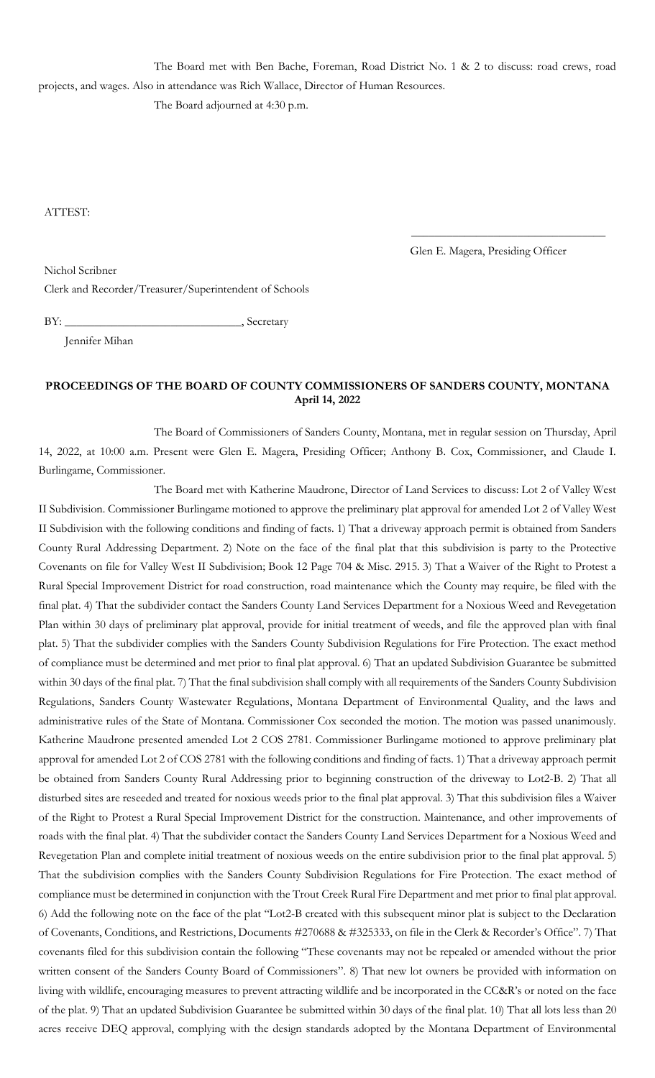The Board met with Ben Bache, Foreman, Road District No. 1 & 2 to discuss: road crews, road projects, and wages. Also in attendance was Rich Wallace, Director of Human Resources.

The Board adjourned at 4:30 p.m.

ATTEST:

Glen E. Magera, Presiding Officer

\_\_\_\_\_\_\_\_\_\_\_\_\_\_\_\_\_\_\_\_\_\_\_\_\_\_\_\_\_\_\_\_\_

Nichol Scribner

Clerk and Recorder/Treasurer/Superintendent of Schools

BY: \_\_\_\_\_\_\_\_\_\_\_\_\_\_\_\_\_\_\_\_\_\_\_\_\_\_\_\_\_\_, Secretary

Jennifer Mihan

# **PROCEEDINGS OF THE BOARD OF COUNTY COMMISSIONERS OF SANDERS COUNTY, MONTANA April 14, 2022**

The Board of Commissioners of Sanders County, Montana, met in regular session on Thursday, April 14, 2022, at 10:00 a.m. Present were Glen E. Magera, Presiding Officer; Anthony B. Cox, Commissioner, and Claude I. Burlingame, Commissioner.

The Board met with Katherine Maudrone, Director of Land Services to discuss: Lot 2 of Valley West II Subdivision. Commissioner Burlingame motioned to approve the preliminary plat approval for amended Lot 2 of Valley West II Subdivision with the following conditions and finding of facts. 1) That a driveway approach permit is obtained from Sanders County Rural Addressing Department. 2) Note on the face of the final plat that this subdivision is party to the Protective Covenants on file for Valley West II Subdivision; Book 12 Page 704 & Misc. 2915. 3) That a Waiver of the Right to Protest a Rural Special Improvement District for road construction, road maintenance which the County may require, be filed with the final plat. 4) That the subdivider contact the Sanders County Land Services Department for a Noxious Weed and Revegetation Plan within 30 days of preliminary plat approval, provide for initial treatment of weeds, and file the approved plan with final plat. 5) That the subdivider complies with the Sanders County Subdivision Regulations for Fire Protection. The exact method of compliance must be determined and met prior to final plat approval. 6) That an updated Subdivision Guarantee be submitted within 30 days of the final plat. 7) That the final subdivision shall comply with all requirements of the Sanders County Subdivision Regulations, Sanders County Wastewater Regulations, Montana Department of Environmental Quality, and the laws and administrative rules of the State of Montana. Commissioner Cox seconded the motion. The motion was passed unanimously. Katherine Maudrone presented amended Lot 2 COS 2781. Commissioner Burlingame motioned to approve preliminary plat approval for amended Lot 2 of COS 2781 with the following conditions and finding of facts. 1) That a driveway approach permit be obtained from Sanders County Rural Addressing prior to beginning construction of the driveway to Lot2-B. 2) That all disturbed sites are reseeded and treated for noxious weeds prior to the final plat approval. 3) That this subdivision files a Waiver of the Right to Protest a Rural Special Improvement District for the construction. Maintenance, and other improvements of roads with the final plat. 4) That the subdivider contact the Sanders County Land Services Department for a Noxious Weed and Revegetation Plan and complete initial treatment of noxious weeds on the entire subdivision prior to the final plat approval. 5) That the subdivision complies with the Sanders County Subdivision Regulations for Fire Protection. The exact method of compliance must be determined in conjunction with the Trout Creek Rural Fire Department and met prior to final plat approval. 6) Add the following note on the face of the plat "Lot2-B created with this subsequent minor plat is subject to the Declaration of Covenants, Conditions, and Restrictions, Documents #270688 & #325333, on file in the Clerk & Recorder's Office". 7) That covenants filed for this subdivision contain the following "These covenants may not be repealed or amended without the prior written consent of the Sanders County Board of Commissioners". 8) That new lot owners be provided with information on living with wildlife, encouraging measures to prevent attracting wildlife and be incorporated in the CC&R's or noted on the face of the plat. 9) That an updated Subdivision Guarantee be submitted within 30 days of the final plat. 10) That all lots less than 20 acres receive DEQ approval, complying with the design standards adopted by the Montana Department of Environmental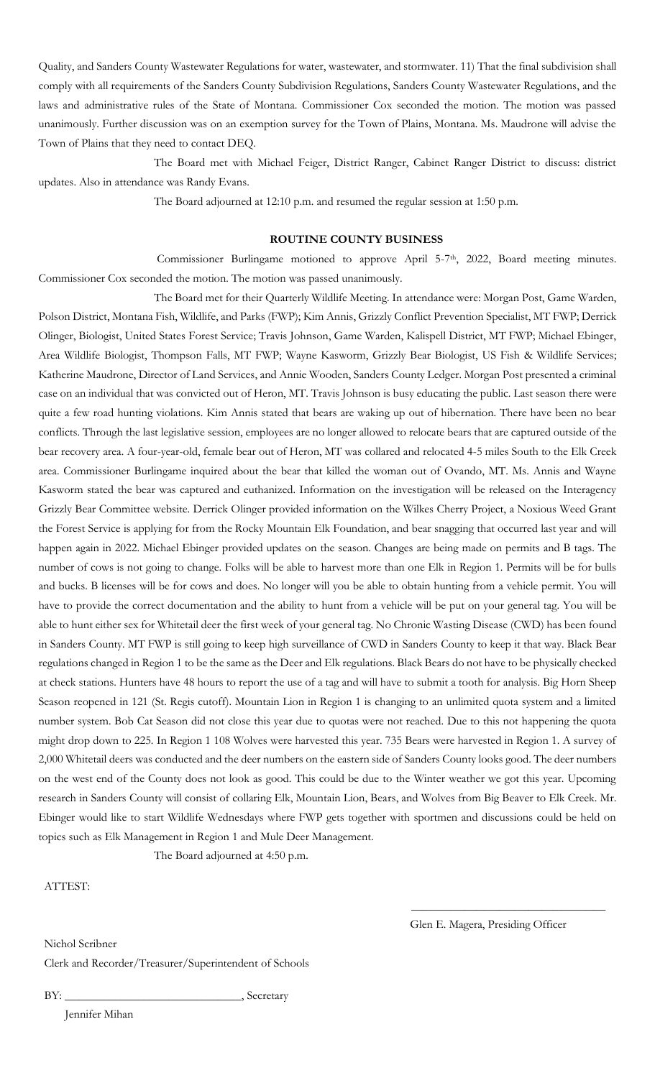Quality, and Sanders County Wastewater Regulations for water, wastewater, and stormwater. 11) That the final subdivision shall comply with all requirements of the Sanders County Subdivision Regulations, Sanders County Wastewater Regulations, and the laws and administrative rules of the State of Montana. Commissioner Cox seconded the motion. The motion was passed unanimously. Further discussion was on an exemption survey for the Town of Plains, Montana. Ms. Maudrone will advise the Town of Plains that they need to contact DEQ.

The Board met with Michael Feiger, District Ranger, Cabinet Ranger District to discuss: district updates. Also in attendance was Randy Evans.

The Board adjourned at 12:10 p.m. and resumed the regular session at 1:50 p.m.

#### **ROUTINE COUNTY BUSINESS**

Commissioner Burlingame motioned to approve April 5-7<sup>th</sup>, 2022, Board meeting minutes. Commissioner Cox seconded the motion. The motion was passed unanimously.

The Board met for their Quarterly Wildlife Meeting. In attendance were: Morgan Post, Game Warden, Polson District, Montana Fish, Wildlife, and Parks (FWP); Kim Annis, Grizzly Conflict Prevention Specialist, MT FWP; Derrick Olinger, Biologist, United States Forest Service; Travis Johnson, Game Warden, Kalispell District, MT FWP; Michael Ebinger, Area Wildlife Biologist, Thompson Falls, MT FWP; Wayne Kasworm, Grizzly Bear Biologist, US Fish & Wildlife Services; Katherine Maudrone, Director of Land Services, and Annie Wooden, Sanders County Ledger. Morgan Post presented a criminal case on an individual that was convicted out of Heron, MT. Travis Johnson is busy educating the public. Last season there were quite a few road hunting violations. Kim Annis stated that bears are waking up out of hibernation. There have been no bear conflicts. Through the last legislative session, employees are no longer allowed to relocate bears that are captured outside of the bear recovery area. A four-year-old, female bear out of Heron, MT was collared and relocated 4-5 miles South to the Elk Creek area. Commissioner Burlingame inquired about the bear that killed the woman out of Ovando, MT. Ms. Annis and Wayne Kasworm stated the bear was captured and euthanized. Information on the investigation will be released on the Interagency Grizzly Bear Committee website. Derrick Olinger provided information on the Wilkes Cherry Project, a Noxious Weed Grant the Forest Service is applying for from the Rocky Mountain Elk Foundation, and bear snagging that occurred last year and will happen again in 2022. Michael Ebinger provided updates on the season. Changes are being made on permits and B tags. The number of cows is not going to change. Folks will be able to harvest more than one Elk in Region 1. Permits will be for bulls and bucks. B licenses will be for cows and does. No longer will you be able to obtain hunting from a vehicle permit. You will have to provide the correct documentation and the ability to hunt from a vehicle will be put on your general tag. You will be able to hunt either sex for Whitetail deer the first week of your general tag. No Chronic Wasting Disease (CWD) has been found in Sanders County. MT FWP is still going to keep high surveillance of CWD in Sanders County to keep it that way. Black Bear regulations changed in Region 1 to be the same as the Deer and Elk regulations. Black Bears do not have to be physically checked at check stations. Hunters have 48 hours to report the use of a tag and will have to submit a tooth for analysis. Big Horn Sheep Season reopened in 121 (St. Regis cutoff). Mountain Lion in Region 1 is changing to an unlimited quota system and a limited number system. Bob Cat Season did not close this year due to quotas were not reached. Due to this not happening the quota might drop down to 225. In Region 1 108 Wolves were harvested this year. 735 Bears were harvested in Region 1. A survey of 2,000 Whitetail deers was conducted and the deer numbers on the eastern side of Sanders County looks good. The deer numbers on the west end of the County does not look as good. This could be due to the Winter weather we got this year. Upcoming research in Sanders County will consist of collaring Elk, Mountain Lion, Bears, and Wolves from Big Beaver to Elk Creek. Mr. Ebinger would like to start Wildlife Wednesdays where FWP gets together with sportmen and discussions could be held on topics such as Elk Management in Region 1 and Mule Deer Management.

The Board adjourned at 4:50 p.m.

ATTEST:

Glen E. Magera, Presiding Officer

 $\overline{\phantom{a}}$  , and the set of the set of the set of the set of the set of the set of the set of the set of the set of the set of the set of the set of the set of the set of the set of the set of the set of the set of the s

Nichol Scribner Clerk and Recorder/Treasurer/Superintendent of Schools

BY: \_\_\_\_\_\_\_\_\_\_\_\_\_\_\_\_\_\_\_\_\_\_\_\_\_\_\_\_\_\_, Secretary

Jennifer Mihan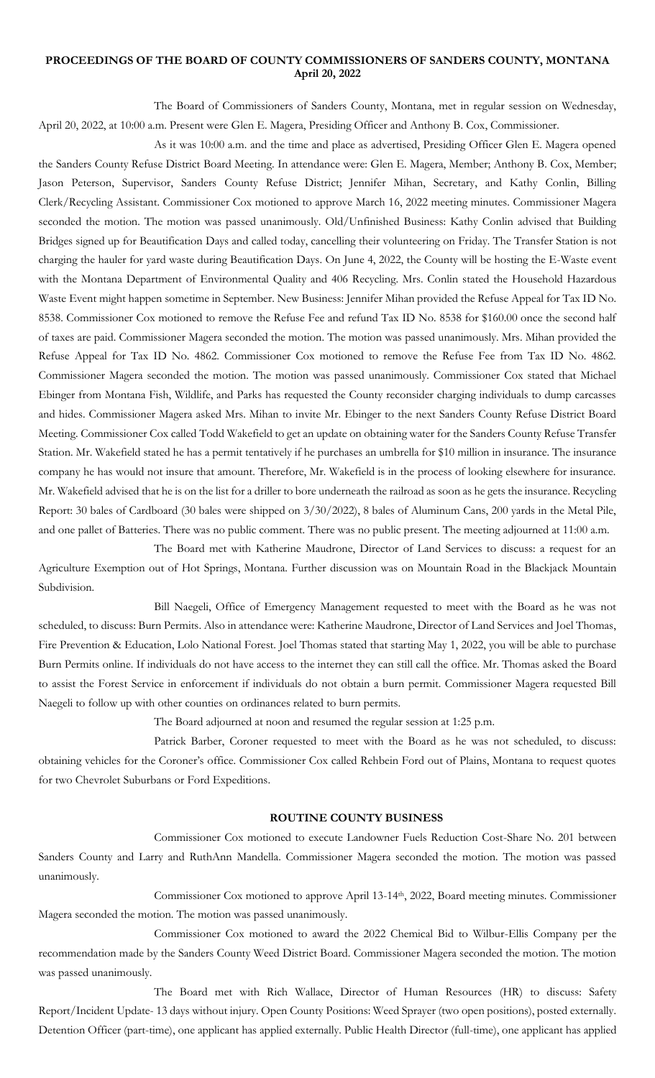### **PROCEEDINGS OF THE BOARD OF COUNTY COMMISSIONERS OF SANDERS COUNTY, MONTANA April 20, 2022**

The Board of Commissioners of Sanders County, Montana, met in regular session on Wednesday, April 20, 2022, at 10:00 a.m. Present were Glen E. Magera, Presiding Officer and Anthony B. Cox, Commissioner.

As it was 10:00 a.m. and the time and place as advertised, Presiding Officer Glen E. Magera opened the Sanders County Refuse District Board Meeting. In attendance were: Glen E. Magera, Member; Anthony B. Cox, Member; Jason Peterson, Supervisor, Sanders County Refuse District; Jennifer Mihan, Secretary, and Kathy Conlin, Billing Clerk/Recycling Assistant. Commissioner Cox motioned to approve March 16, 2022 meeting minutes. Commissioner Magera seconded the motion. The motion was passed unanimously. Old/Unfinished Business: Kathy Conlin advised that Building Bridges signed up for Beautification Days and called today, cancelling their volunteering on Friday. The Transfer Station is not charging the hauler for yard waste during Beautification Days. On June 4, 2022, the County will be hosting the E-Waste event with the Montana Department of Environmental Quality and 406 Recycling. Mrs. Conlin stated the Household Hazardous Waste Event might happen sometime in September. New Business: Jennifer Mihan provided the Refuse Appeal for Tax ID No. 8538. Commissioner Cox motioned to remove the Refuse Fee and refund Tax ID No. 8538 for \$160.00 once the second half of taxes are paid. Commissioner Magera seconded the motion. The motion was passed unanimously. Mrs. Mihan provided the Refuse Appeal for Tax ID No. 4862. Commissioner Cox motioned to remove the Refuse Fee from Tax ID No. 4862. Commissioner Magera seconded the motion. The motion was passed unanimously. Commissioner Cox stated that Michael Ebinger from Montana Fish, Wildlife, and Parks has requested the County reconsider charging individuals to dump carcasses and hides. Commissioner Magera asked Mrs. Mihan to invite Mr. Ebinger to the next Sanders County Refuse District Board Meeting. Commissioner Cox called Todd Wakefield to get an update on obtaining water for the Sanders County Refuse Transfer Station. Mr. Wakefield stated he has a permit tentatively if he purchases an umbrella for \$10 million in insurance. The insurance company he has would not insure that amount. Therefore, Mr. Wakefield is in the process of looking elsewhere for insurance. Mr. Wakefield advised that he is on the list for a driller to bore underneath the railroad as soon as he gets the insurance. Recycling Report: 30 bales of Cardboard (30 bales were shipped on 3/30/2022), 8 bales of Aluminum Cans, 200 yards in the Metal Pile, and one pallet of Batteries. There was no public comment. There was no public present. The meeting adjourned at 11:00 a.m.

The Board met with Katherine Maudrone, Director of Land Services to discuss: a request for an Agriculture Exemption out of Hot Springs, Montana. Further discussion was on Mountain Road in the Blackjack Mountain Subdivision.

Bill Naegeli, Office of Emergency Management requested to meet with the Board as he was not scheduled, to discuss: Burn Permits. Also in attendance were: Katherine Maudrone, Director of Land Services and Joel Thomas, Fire Prevention & Education, Lolo National Forest. Joel Thomas stated that starting May 1, 2022, you will be able to purchase Burn Permits online. If individuals do not have access to the internet they can still call the office. Mr. Thomas asked the Board to assist the Forest Service in enforcement if individuals do not obtain a burn permit. Commissioner Magera requested Bill Naegeli to follow up with other counties on ordinances related to burn permits.

The Board adjourned at noon and resumed the regular session at 1:25 p.m.

Patrick Barber, Coroner requested to meet with the Board as he was not scheduled, to discuss: obtaining vehicles for the Coroner's office. Commissioner Cox called Rehbein Ford out of Plains, Montana to request quotes for two Chevrolet Suburbans or Ford Expeditions.

#### **ROUTINE COUNTY BUSINESS**

Commissioner Cox motioned to execute Landowner Fuels Reduction Cost-Share No. 201 between Sanders County and Larry and RuthAnn Mandella. Commissioner Magera seconded the motion. The motion was passed unanimously.

Commissioner Cox motioned to approve April 13-14th, 2022, Board meeting minutes. Commissioner Magera seconded the motion. The motion was passed unanimously.

Commissioner Cox motioned to award the 2022 Chemical Bid to Wilbur-Ellis Company per the recommendation made by the Sanders County Weed District Board. Commissioner Magera seconded the motion. The motion was passed unanimously.

The Board met with Rich Wallace, Director of Human Resources (HR) to discuss: Safety Report/Incident Update- 13 days without injury. Open County Positions: Weed Sprayer (two open positions), posted externally. Detention Officer (part-time), one applicant has applied externally. Public Health Director (full-time), one applicant has applied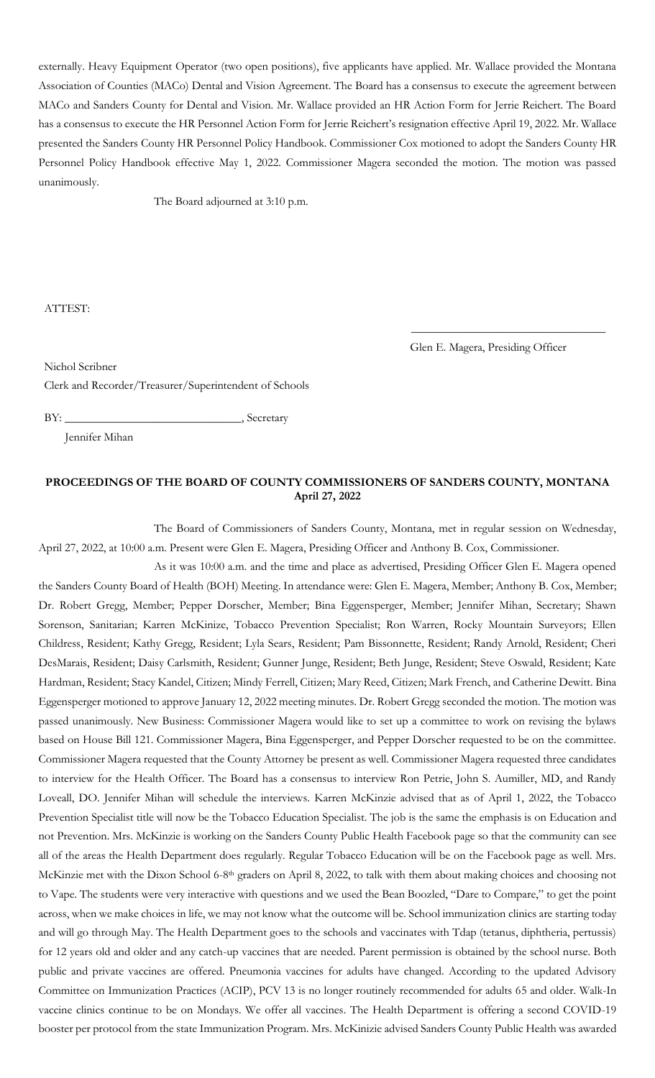externally. Heavy Equipment Operator (two open positions), five applicants have applied. Mr. Wallace provided the Montana Association of Counties (MACo) Dental and Vision Agreement. The Board has a consensus to execute the agreement between MACo and Sanders County for Dental and Vision. Mr. Wallace provided an HR Action Form for Jerrie Reichert. The Board has a consensus to execute the HR Personnel Action Form for Jerrie Reichert's resignation effective April 19, 2022. Mr. Wallace presented the Sanders County HR Personnel Policy Handbook. Commissioner Cox motioned to adopt the Sanders County HR Personnel Policy Handbook effective May 1, 2022. Commissioner Magera seconded the motion. The motion was passed unanimously.

The Board adjourned at 3:10 p.m.

ATTEST:

Nichol Scribner

Glen E. Magera, Presiding Officer

\_\_\_\_\_\_\_\_\_\_\_\_\_\_\_\_\_\_\_\_\_\_\_\_\_\_\_\_\_\_\_\_\_

Clerk and Recorder/Treasurer/Superintendent of Schools

BY: \_\_\_\_\_\_\_\_\_\_\_\_\_\_\_\_\_\_\_\_\_\_\_\_\_\_\_\_\_\_, Secretary

Jennifer Mihan

## **PROCEEDINGS OF THE BOARD OF COUNTY COMMISSIONERS OF SANDERS COUNTY, MONTANA April 27, 2022**

The Board of Commissioners of Sanders County, Montana, met in regular session on Wednesday, April 27, 2022, at 10:00 a.m. Present were Glen E. Magera, Presiding Officer and Anthony B. Cox, Commissioner.

As it was 10:00 a.m. and the time and place as advertised, Presiding Officer Glen E. Magera opened the Sanders County Board of Health (BOH) Meeting. In attendance were: Glen E. Magera, Member; Anthony B. Cox, Member; Dr. Robert Gregg, Member; Pepper Dorscher, Member; Bina Eggensperger, Member; Jennifer Mihan, Secretary; Shawn Sorenson, Sanitarian; Karren McKinize, Tobacco Prevention Specialist; Ron Warren, Rocky Mountain Surveyors; Ellen Childress, Resident; Kathy Gregg, Resident; Lyla Sears, Resident; Pam Bissonnette, Resident; Randy Arnold, Resident; Cheri DesMarais, Resident; Daisy Carlsmith, Resident; Gunner Junge, Resident; Beth Junge, Resident; Steve Oswald, Resident; Kate Hardman, Resident; Stacy Kandel, Citizen; Mindy Ferrell, Citizen; Mary Reed, Citizen; Mark French, and Catherine Dewitt. Bina Eggensperger motioned to approve January 12, 2022 meeting minutes. Dr. Robert Gregg seconded the motion. The motion was passed unanimously. New Business: Commissioner Magera would like to set up a committee to work on revising the bylaws based on House Bill 121. Commissioner Magera, Bina Eggensperger, and Pepper Dorscher requested to be on the committee. Commissioner Magera requested that the County Attorney be present as well. Commissioner Magera requested three candidates to interview for the Health Officer. The Board has a consensus to interview Ron Petrie, John S. Aumiller, MD, and Randy Loveall, DO. Jennifer Mihan will schedule the interviews. Karren McKinzie advised that as of April 1, 2022, the Tobacco Prevention Specialist title will now be the Tobacco Education Specialist. The job is the same the emphasis is on Education and not Prevention. Mrs. McKinzie is working on the Sanders County Public Health Facebook page so that the community can see all of the areas the Health Department does regularly. Regular Tobacco Education will be on the Facebook page as well. Mrs. McKinzie met with the Dixon School 6-8th graders on April 8, 2022, to talk with them about making choices and choosing not to Vape. The students were very interactive with questions and we used the Bean Boozled, "Dare to Compare," to get the point across, when we make choices in life, we may not know what the outcome will be. School immunization clinics are starting today and will go through May. The Health Department goes to the schools and vaccinates with Tdap (tetanus, diphtheria, pertussis) for 12 years old and older and any catch-up vaccines that are needed. Parent permission is obtained by the school nurse. Both public and private vaccines are offered. Pneumonia vaccines for adults have changed. According to the updated Advisory Committee on Immunization Practices (ACIP), PCV 13 is no longer routinely recommended for adults 65 and older. Walk-In vaccine clinics continue to be on Mondays. We offer all vaccines. The Health Department is offering a second COVID-19 booster per protocol from the state Immunization Program. Mrs. McKinizie advised Sanders County Public Health was awarded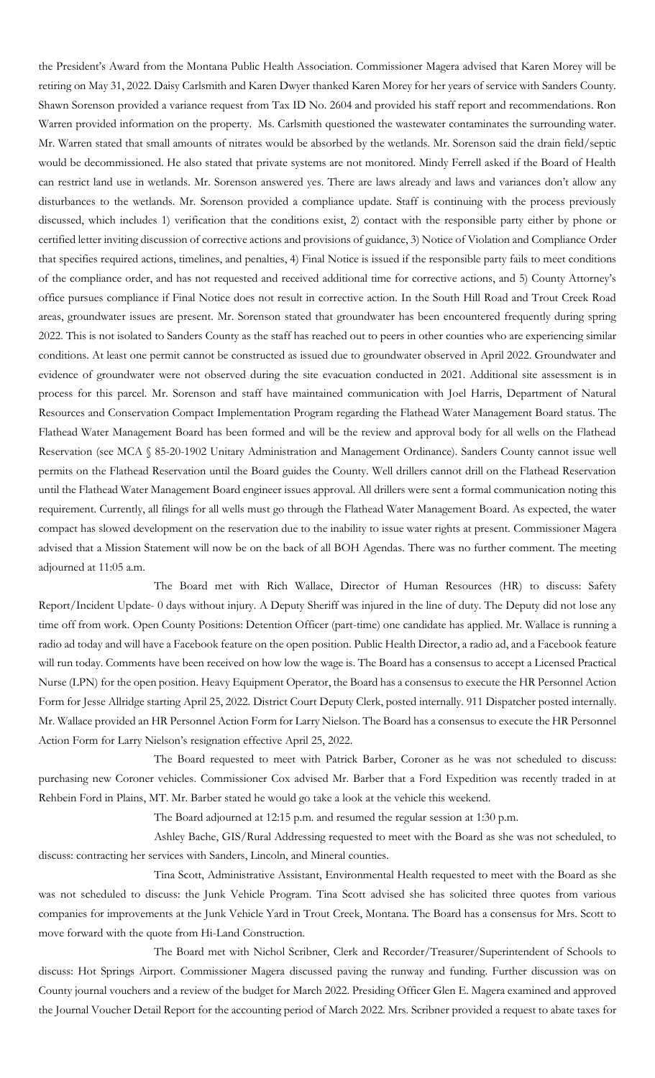the President's Award from the Montana Public Health Association. Commissioner Magera advised that Karen Morey will be retiring on May 31, 2022. Daisy Carlsmith and Karen Dwyer thanked Karen Morey for her years of service with Sanders County. Shawn Sorenson provided a variance request from Tax ID No. 2604 and provided his staff report and recommendations. Ron Warren provided information on the property. Ms. Carlsmith questioned the wastewater contaminates the surrounding water. Mr. Warren stated that small amounts of nitrates would be absorbed by the wetlands. Mr. Sorenson said the drain field/septic would be decommissioned. He also stated that private systems are not monitored. Mindy Ferrell asked if the Board of Health can restrict land use in wetlands. Mr. Sorenson answered yes. There are laws already and laws and variances don't allow any disturbances to the wetlands. Mr. Sorenson provided a compliance update. Staff is continuing with the process previously discussed, which includes 1) verification that the conditions exist, 2) contact with the responsible party either by phone or certified letter inviting discussion of corrective actions and provisions of guidance, 3) Notice of Violation and Compliance Order that specifies required actions, timelines, and penalties, 4) Final Notice is issued if the responsible party fails to meet conditions of the compliance order, and has not requested and received additional time for corrective actions, and 5) County Attorney's office pursues compliance if Final Notice does not result in corrective action. In the South Hill Road and Trout Creek Road areas, groundwater issues are present. Mr. Sorenson stated that groundwater has been encountered frequently during spring 2022. This is not isolated to Sanders County as the staff has reached out to peers in other counties who are experiencing similar conditions. At least one permit cannot be constructed as issued due to groundwater observed in April 2022. Groundwater and evidence of groundwater were not observed during the site evacuation conducted in 2021. Additional site assessment is in process for this parcel. Mr. Sorenson and staff have maintained communication with Joel Harris, Department of Natural Resources and Conservation Compact Implementation Program regarding the Flathead Water Management Board status. The Flathead Water Management Board has been formed and will be the review and approval body for all wells on the Flathead Reservation (see MCA § 85-20-1902 Unitary Administration and Management Ordinance). Sanders County cannot issue well permits on the Flathead Reservation until the Board guides the County. Well drillers cannot drill on the Flathead Reservation until the Flathead Water Management Board engineer issues approval. All drillers were sent a formal communication noting this requirement. Currently, all filings for all wells must go through the Flathead Water Management Board. As expected, the water compact has slowed development on the reservation due to the inability to issue water rights at present. Commissioner Magera advised that a Mission Statement will now be on the back of all BOH Agendas. There was no further comment. The meeting adjourned at 11:05 a.m.

The Board met with Rich Wallace, Director of Human Resources (HR) to discuss: Safety Report/Incident Update- 0 days without injury. A Deputy Sheriff was injured in the line of duty. The Deputy did not lose any time off from work. Open County Positions: Detention Officer (part-time) one candidate has applied. Mr. Wallace is running a radio ad today and will have a Facebook feature on the open position. Public Health Director, a radio ad, and a Facebook feature will run today. Comments have been received on how low the wage is. The Board has a consensus to accept a Licensed Practical Nurse (LPN) for the open position. Heavy Equipment Operator, the Board has a consensus to execute the HR Personnel Action Form for Jesse Allridge starting April 25, 2022. District Court Deputy Clerk, posted internally. 911 Dispatcher posted internally. Mr. Wallace provided an HR Personnel Action Form for Larry Nielson. The Board has a consensus to execute the HR Personnel Action Form for Larry Nielson's resignation effective April 25, 2022.

The Board requested to meet with Patrick Barber, Coroner as he was not scheduled to discuss: purchasing new Coroner vehicles. Commissioner Cox advised Mr. Barber that a Ford Expedition was recently traded in at Rehbein Ford in Plains, MT. Mr. Barber stated he would go take a look at the vehicle this weekend.

The Board adjourned at 12:15 p.m. and resumed the regular session at 1:30 p.m.

Ashley Bache, GIS/Rural Addressing requested to meet with the Board as she was not scheduled, to discuss: contracting her services with Sanders, Lincoln, and Mineral counties.

Tina Scott, Administrative Assistant, Environmental Health requested to meet with the Board as she was not scheduled to discuss: the Junk Vehicle Program. Tina Scott advised she has solicited three quotes from various companies for improvements at the Junk Vehicle Yard in Trout Creek, Montana. The Board has a consensus for Mrs. Scott to move forward with the quote from Hi-Land Construction.

The Board met with Nichol Scribner, Clerk and Recorder/Treasurer/Superintendent of Schools to discuss: Hot Springs Airport. Commissioner Magera discussed paving the runway and funding. Further discussion was on County journal vouchers and a review of the budget for March 2022. Presiding Officer Glen E. Magera examined and approved the Journal Voucher Detail Report for the accounting period of March 2022. Mrs. Scribner provided a request to abate taxes for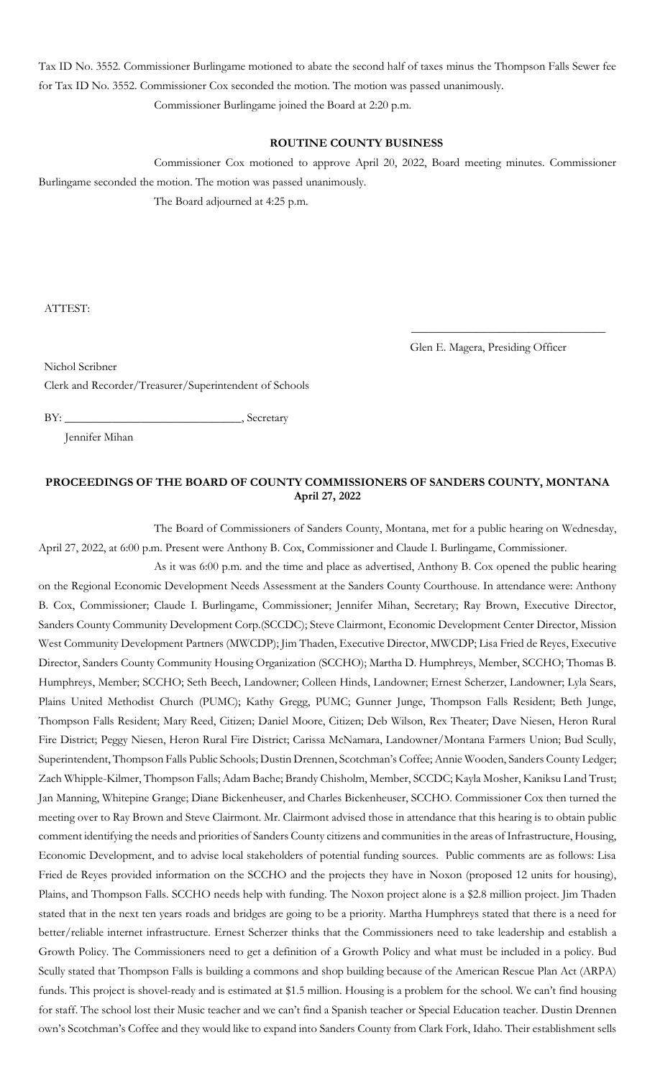Tax ID No. 3552. Commissioner Burlingame motioned to abate the second half of taxes minus the Thompson Falls Sewer fee for Tax ID No. 3552. Commissioner Cox seconded the motion. The motion was passed unanimously. Commissioner Burlingame joined the Board at 2:20 p.m.

#### **ROUTINE COUNTY BUSINESS**

Commissioner Cox motioned to approve April 20, 2022, Board meeting minutes. Commissioner Burlingame seconded the motion. The motion was passed unanimously.

The Board adjourned at 4:25 p.m.

ATTEST:

Glen E. Magera, Presiding Officer

\_\_\_\_\_\_\_\_\_\_\_\_\_\_\_\_\_\_\_\_\_\_\_\_\_\_\_\_\_\_\_\_\_

Nichol Scribner

Clerk and Recorder/Treasurer/Superintendent of Schools

BY: \_\_\_\_\_\_\_\_\_\_\_\_\_\_\_\_\_\_\_\_\_\_\_\_\_\_\_\_\_\_, Secretary

Jennifer Mihan

## **PROCEEDINGS OF THE BOARD OF COUNTY COMMISSIONERS OF SANDERS COUNTY, MONTANA April 27, 2022**

The Board of Commissioners of Sanders County, Montana, met for a public hearing on Wednesday, April 27, 2022, at 6:00 p.m. Present were Anthony B. Cox, Commissioner and Claude I. Burlingame, Commissioner.

As it was 6:00 p.m. and the time and place as advertised, Anthony B. Cox opened the public hearing on the Regional Economic Development Needs Assessment at the Sanders County Courthouse. In attendance were: Anthony B. Cox, Commissioner; Claude I. Burlingame, Commissioner; Jennifer Mihan, Secretary; Ray Brown, Executive Director, Sanders County Community Development Corp.(SCCDC); Steve Clairmont, Economic Development Center Director, Mission West Community Development Partners (MWCDP); Jim Thaden, Executive Director, MWCDP; Lisa Fried de Reyes, Executive Director, Sanders County Community Housing Organization (SCCHO); Martha D. Humphreys, Member, SCCHO; Thomas B. Humphreys, Member; SCCHO; Seth Beech, Landowner; Colleen Hinds, Landowner; Ernest Scherzer, Landowner; Lyla Sears, Plains United Methodist Church (PUMC); Kathy Gregg, PUMC; Gunner Junge, Thompson Falls Resident; Beth Junge, Thompson Falls Resident; Mary Reed, Citizen; Daniel Moore, Citizen; Deb Wilson, Rex Theater; Dave Niesen, Heron Rural Fire District; Peggy Niesen, Heron Rural Fire District; Carissa McNamara, Landowner/Montana Farmers Union; Bud Scully, Superintendent, Thompson Falls Public Schools; Dustin Drennen, Scotchman's Coffee; Annie Wooden, Sanders County Ledger; Zach Whipple-Kilmer, Thompson Falls; Adam Bache; Brandy Chisholm, Member, SCCDC; Kayla Mosher, Kaniksu Land Trust; Jan Manning, Whitepine Grange; Diane Bickenheuser, and Charles Bickenheuser, SCCHO. Commissioner Cox then turned the meeting over to Ray Brown and Steve Clairmont. Mr. Clairmont advised those in attendance that this hearing is to obtain public comment identifying the needs and priorities of Sanders County citizens and communities in the areas of Infrastructure, Housing, Economic Development, and to advise local stakeholders of potential funding sources. Public comments are as follows: Lisa Fried de Reyes provided information on the SCCHO and the projects they have in Noxon (proposed 12 units for housing), Plains, and Thompson Falls. SCCHO needs help with funding. The Noxon project alone is a \$2.8 million project. Jim Thaden stated that in the next ten years roads and bridges are going to be a priority. Martha Humphreys stated that there is a need for better/reliable internet infrastructure. Ernest Scherzer thinks that the Commissioners need to take leadership and establish a Growth Policy. The Commissioners need to get a definition of a Growth Policy and what must be included in a policy. Bud Scully stated that Thompson Falls is building a commons and shop building because of the American Rescue Plan Act (ARPA) funds. This project is shovel-ready and is estimated at \$1.5 million. Housing is a problem for the school. We can't find housing for staff. The school lost their Music teacher and we can't find a Spanish teacher or Special Education teacher. Dustin Drennen own's Scotchman's Coffee and they would like to expand into Sanders County from Clark Fork, Idaho. Their establishment sells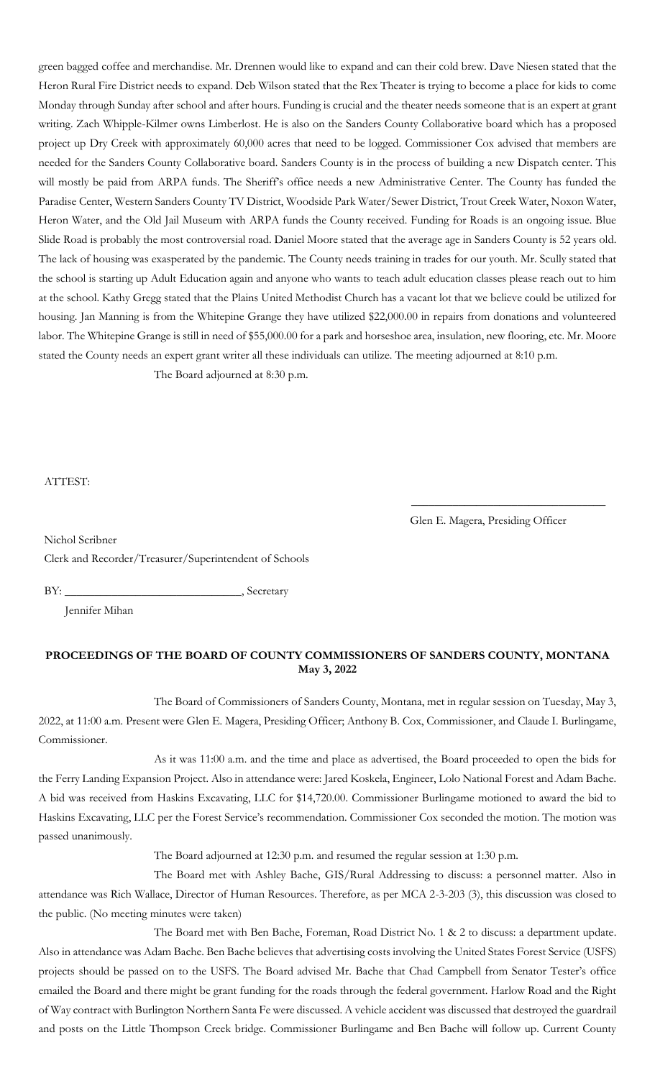green bagged coffee and merchandise. Mr. Drennen would like to expand and can their cold brew. Dave Niesen stated that the Heron Rural Fire District needs to expand. Deb Wilson stated that the Rex Theater is trying to become a place for kids to come Monday through Sunday after school and after hours. Funding is crucial and the theater needs someone that is an expert at grant writing. Zach Whipple-Kilmer owns Limberlost. He is also on the Sanders County Collaborative board which has a proposed project up Dry Creek with approximately 60,000 acres that need to be logged. Commissioner Cox advised that members are needed for the Sanders County Collaborative board. Sanders County is in the process of building a new Dispatch center. This will mostly be paid from ARPA funds. The Sheriff's office needs a new Administrative Center. The County has funded the Paradise Center, Western Sanders County TV District, Woodside Park Water/Sewer District, Trout Creek Water, Noxon Water, Heron Water, and the Old Jail Museum with ARPA funds the County received. Funding for Roads is an ongoing issue. Blue Slide Road is probably the most controversial road. Daniel Moore stated that the average age in Sanders County is 52 years old. The lack of housing was exasperated by the pandemic. The County needs training in trades for our youth. Mr. Scully stated that the school is starting up Adult Education again and anyone who wants to teach adult education classes please reach out to him at the school. Kathy Gregg stated that the Plains United Methodist Church has a vacant lot that we believe could be utilized for housing. Jan Manning is from the Whitepine Grange they have utilized \$22,000.00 in repairs from donations and volunteered labor. The Whitepine Grange is still in need of \$55,000.00 for a park and horseshoe area, insulation, new flooring, etc. Mr. Moore stated the County needs an expert grant writer all these individuals can utilize. The meeting adjourned at 8:10 p.m.

The Board adjourned at 8:30 p.m.

#### ATTEST:

Glen E. Magera, Presiding Officer

\_\_\_\_\_\_\_\_\_\_\_\_\_\_\_\_\_\_\_\_\_\_\_\_\_\_\_\_\_\_\_\_\_

Nichol Scribner Clerk and Recorder/Treasurer/Superintendent of Schools

BY: \_\_\_\_\_\_\_\_\_\_\_\_\_\_\_\_\_\_\_\_\_\_\_\_\_\_\_\_\_\_, Secretary

Jennifer Mihan

# **PROCEEDINGS OF THE BOARD OF COUNTY COMMISSIONERS OF SANDERS COUNTY, MONTANA May 3, 2022**

The Board of Commissioners of Sanders County, Montana, met in regular session on Tuesday, May 3, 2022, at 11:00 a.m. Present were Glen E. Magera, Presiding Officer; Anthony B. Cox, Commissioner, and Claude I. Burlingame, Commissioner.

As it was 11:00 a.m. and the time and place as advertised, the Board proceeded to open the bids for the Ferry Landing Expansion Project. Also in attendance were: Jared Koskela, Engineer, Lolo National Forest and Adam Bache. A bid was received from Haskins Excavating, LLC for \$14,720.00. Commissioner Burlingame motioned to award the bid to Haskins Excavating, LLC per the Forest Service's recommendation. Commissioner Cox seconded the motion. The motion was passed unanimously.

The Board adjourned at 12:30 p.m. and resumed the regular session at 1:30 p.m.

The Board met with Ashley Bache, GIS/Rural Addressing to discuss: a personnel matter. Also in attendance was Rich Wallace, Director of Human Resources. Therefore, as per MCA 2-3-203 (3), this discussion was closed to the public. (No meeting minutes were taken)

The Board met with Ben Bache, Foreman, Road District No. 1 & 2 to discuss: a department update. Also in attendance was Adam Bache. Ben Bache believes that advertising costs involving the United States Forest Service (USFS) projects should be passed on to the USFS. The Board advised Mr. Bache that Chad Campbell from Senator Tester's office emailed the Board and there might be grant funding for the roads through the federal government. Harlow Road and the Right of Way contract with Burlington Northern Santa Fe were discussed. A vehicle accident was discussed that destroyed the guardrail and posts on the Little Thompson Creek bridge. Commissioner Burlingame and Ben Bache will follow up. Current County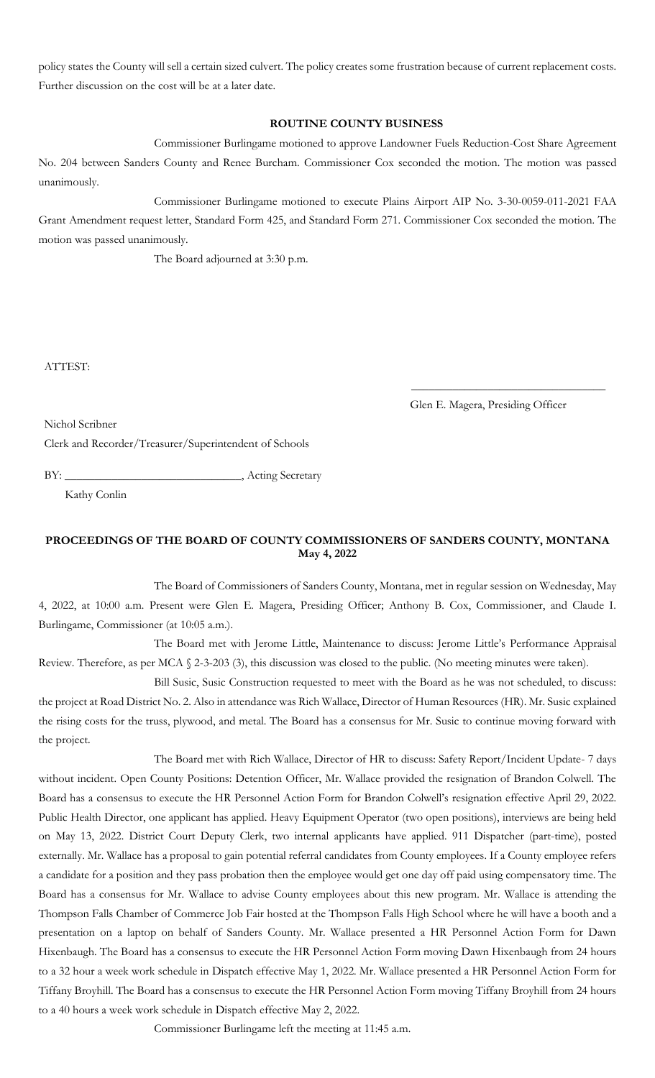policy states the County will sell a certain sized culvert. The policy creates some frustration because of current replacement costs. Further discussion on the cost will be at a later date.

# **ROUTINE COUNTY BUSINESS**

Commissioner Burlingame motioned to approve Landowner Fuels Reduction-Cost Share Agreement No. 204 between Sanders County and Renee Burcham. Commissioner Cox seconded the motion. The motion was passed unanimously.

Commissioner Burlingame motioned to execute Plains Airport AIP No. 3-30-0059-011-2021 FAA Grant Amendment request letter, Standard Form 425, and Standard Form 271. Commissioner Cox seconded the motion. The motion was passed unanimously.

The Board adjourned at 3:30 p.m.

ATTEST:

Glen E. Magera, Presiding Officer

\_\_\_\_\_\_\_\_\_\_\_\_\_\_\_\_\_\_\_\_\_\_\_\_\_\_\_\_\_\_\_\_\_

Nichol Scribner

Clerk and Recorder/Treasurer/Superintendent of Schools

BY: \_\_\_\_\_\_\_\_\_\_\_\_\_\_\_\_\_\_\_\_\_\_\_\_\_\_\_\_\_\_, Acting Secretary

Kathy Conlin

# **PROCEEDINGS OF THE BOARD OF COUNTY COMMISSIONERS OF SANDERS COUNTY, MONTANA May 4, 2022**

The Board of Commissioners of Sanders County, Montana, met in regular session on Wednesday, May 4, 2022, at 10:00 a.m. Present were Glen E. Magera, Presiding Officer; Anthony B. Cox, Commissioner, and Claude I. Burlingame, Commissioner (at 10:05 a.m.).

The Board met with Jerome Little, Maintenance to discuss: Jerome Little's Performance Appraisal Review. Therefore, as per MCA § 2-3-203 (3), this discussion was closed to the public. (No meeting minutes were taken).

Bill Susic, Susic Construction requested to meet with the Board as he was not scheduled, to discuss: the project at Road District No. 2. Also in attendance was Rich Wallace, Director of Human Resources (HR). Mr. Susic explained the rising costs for the truss, plywood, and metal. The Board has a consensus for Mr. Susic to continue moving forward with the project.

The Board met with Rich Wallace, Director of HR to discuss: Safety Report/Incident Update- 7 days without incident. Open County Positions: Detention Officer, Mr. Wallace provided the resignation of Brandon Colwell. The Board has a consensus to execute the HR Personnel Action Form for Brandon Colwell's resignation effective April 29, 2022. Public Health Director, one applicant has applied. Heavy Equipment Operator (two open positions), interviews are being held on May 13, 2022. District Court Deputy Clerk, two internal applicants have applied. 911 Dispatcher (part-time), posted externally. Mr. Wallace has a proposal to gain potential referral candidates from County employees. If a County employee refers a candidate for a position and they pass probation then the employee would get one day off paid using compensatory time. The Board has a consensus for Mr. Wallace to advise County employees about this new program. Mr. Wallace is attending the Thompson Falls Chamber of Commerce Job Fair hosted at the Thompson Falls High School where he will have a booth and a presentation on a laptop on behalf of Sanders County. Mr. Wallace presented a HR Personnel Action Form for Dawn Hixenbaugh. The Board has a consensus to execute the HR Personnel Action Form moving Dawn Hixenbaugh from 24 hours to a 32 hour a week work schedule in Dispatch effective May 1, 2022. Mr. Wallace presented a HR Personnel Action Form for Tiffany Broyhill. The Board has a consensus to execute the HR Personnel Action Form moving Tiffany Broyhill from 24 hours to a 40 hours a week work schedule in Dispatch effective May 2, 2022.

Commissioner Burlingame left the meeting at 11:45 a.m.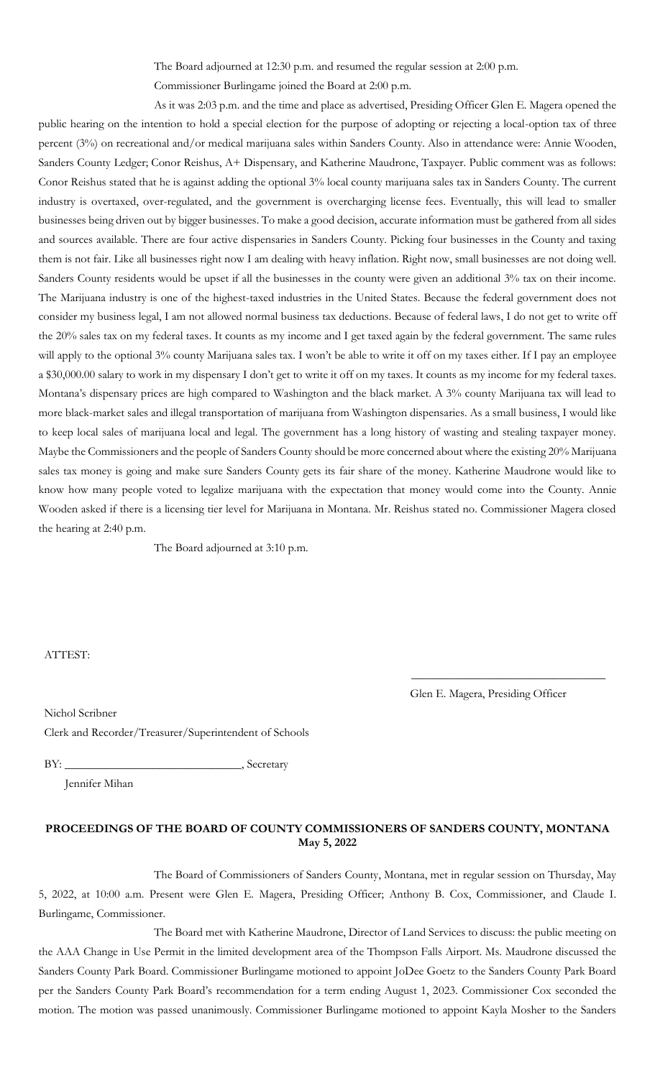The Board adjourned at 12:30 p.m. and resumed the regular session at 2:00 p.m.

Commissioner Burlingame joined the Board at 2:00 p.m.

As it was 2:03 p.m. and the time and place as advertised, Presiding Officer Glen E. Magera opened the public hearing on the intention to hold a special election for the purpose of adopting or rejecting a local-option tax of three percent (3%) on recreational and/or medical marijuana sales within Sanders County. Also in attendance were: Annie Wooden, Sanders County Ledger; Conor Reishus, A+ Dispensary, and Katherine Maudrone, Taxpayer. Public comment was as follows: Conor Reishus stated that he is against adding the optional 3% local county marijuana sales tax in Sanders County. The current industry is overtaxed, over-regulated, and the government is overcharging license fees. Eventually, this will lead to smaller businesses being driven out by bigger businesses. To make a good decision, accurate information must be gathered from all sides and sources available. There are four active dispensaries in Sanders County. Picking four businesses in the County and taxing them is not fair. Like all businesses right now I am dealing with heavy inflation. Right now, small businesses are not doing well. Sanders County residents would be upset if all the businesses in the county were given an additional 3% tax on their income. The Marijuana industry is one of the highest-taxed industries in the United States. Because the federal government does not consider my business legal, I am not allowed normal business tax deductions. Because of federal laws, I do not get to write off the 20% sales tax on my federal taxes. It counts as my income and I get taxed again by the federal government. The same rules will apply to the optional 3% county Marijuana sales tax. I won't be able to write it off on my taxes either. If I pay an employee a \$30,000.00 salary to work in my dispensary I don't get to write it off on my taxes. It counts as my income for my federal taxes. Montana's dispensary prices are high compared to Washington and the black market. A 3% county Marijuana tax will lead to more black-market sales and illegal transportation of marijuana from Washington dispensaries. As a small business, I would like to keep local sales of marijuana local and legal. The government has a long history of wasting and stealing taxpayer money. Maybe the Commissioners and the people of Sanders County should be more concerned about where the existing 20% Marijuana sales tax money is going and make sure Sanders County gets its fair share of the money. Katherine Maudrone would like to know how many people voted to legalize marijuana with the expectation that money would come into the County. Annie Wooden asked if there is a licensing tier level for Marijuana in Montana. Mr. Reishus stated no. Commissioner Magera closed the hearing at 2:40 p.m.

The Board adjourned at 3:10 p.m.

ATTEST:

Glen E. Magera, Presiding Officer

\_\_\_\_\_\_\_\_\_\_\_\_\_\_\_\_\_\_\_\_\_\_\_\_\_\_\_\_\_\_\_\_\_

Nichol Scribner Clerk and Recorder/Treasurer/Superintendent of Schools

BY: \_\_\_\_\_\_\_\_\_\_\_\_\_\_\_\_\_\_\_\_\_\_\_\_\_\_\_\_\_\_, Secretary

Jennifer Mihan

## **PROCEEDINGS OF THE BOARD OF COUNTY COMMISSIONERS OF SANDERS COUNTY, MONTANA May 5, 2022**

The Board of Commissioners of Sanders County, Montana, met in regular session on Thursday, May 5, 2022, at 10:00 a.m. Present were Glen E. Magera, Presiding Officer; Anthony B. Cox, Commissioner, and Claude I. Burlingame, Commissioner.

The Board met with Katherine Maudrone, Director of Land Services to discuss: the public meeting on the AAA Change in Use Permit in the limited development area of the Thompson Falls Airport. Ms. Maudrone discussed the Sanders County Park Board. Commissioner Burlingame motioned to appoint JoDee Goetz to the Sanders County Park Board per the Sanders County Park Board's recommendation for a term ending August 1, 2023. Commissioner Cox seconded the motion. The motion was passed unanimously. Commissioner Burlingame motioned to appoint Kayla Mosher to the Sanders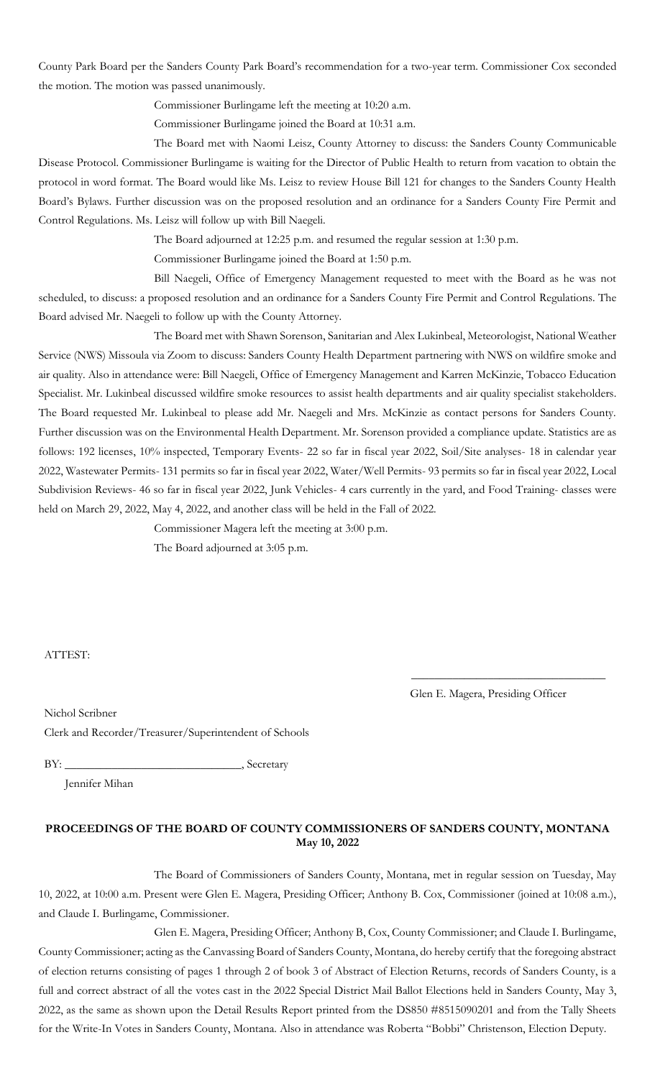County Park Board per the Sanders County Park Board's recommendation for a two-year term. Commissioner Cox seconded the motion. The motion was passed unanimously.

Commissioner Burlingame left the meeting at 10:20 a.m.

Commissioner Burlingame joined the Board at 10:31 a.m.

The Board met with Naomi Leisz, County Attorney to discuss: the Sanders County Communicable Disease Protocol. Commissioner Burlingame is waiting for the Director of Public Health to return from vacation to obtain the protocol in word format. The Board would like Ms. Leisz to review House Bill 121 for changes to the Sanders County Health Board's Bylaws. Further discussion was on the proposed resolution and an ordinance for a Sanders County Fire Permit and Control Regulations. Ms. Leisz will follow up with Bill Naegeli.

The Board adjourned at 12:25 p.m. and resumed the regular session at 1:30 p.m.

Commissioner Burlingame joined the Board at 1:50 p.m.

Bill Naegeli, Office of Emergency Management requested to meet with the Board as he was not scheduled, to discuss: a proposed resolution and an ordinance for a Sanders County Fire Permit and Control Regulations. The Board advised Mr. Naegeli to follow up with the County Attorney.

The Board met with Shawn Sorenson, Sanitarian and Alex Lukinbeal, Meteorologist, National Weather Service (NWS) Missoula via Zoom to discuss: Sanders County Health Department partnering with NWS on wildfire smoke and air quality. Also in attendance were: Bill Naegeli, Office of Emergency Management and Karren McKinzie, Tobacco Education Specialist. Mr. Lukinbeal discussed wildfire smoke resources to assist health departments and air quality specialist stakeholders. The Board requested Mr. Lukinbeal to please add Mr. Naegeli and Mrs. McKinzie as contact persons for Sanders County. Further discussion was on the Environmental Health Department. Mr. Sorenson provided a compliance update. Statistics are as follows: 192 licenses, 10% inspected, Temporary Events- 22 so far in fiscal year 2022, Soil/Site analyses- 18 in calendar year 2022, Wastewater Permits- 131 permits so far in fiscal year 2022, Water/Well Permits- 93 permits so far in fiscal year 2022, Local Subdivision Reviews- 46 so far in fiscal year 2022, Junk Vehicles- 4 cars currently in the yard, and Food Training- classes were held on March 29, 2022, May 4, 2022, and another class will be held in the Fall of 2022.

Commissioner Magera left the meeting at 3:00 p.m.

The Board adjourned at 3:05 p.m.

ATTEST:

Glen E. Magera, Presiding Officer

\_\_\_\_\_\_\_\_\_\_\_\_\_\_\_\_\_\_\_\_\_\_\_\_\_\_\_\_\_\_\_\_\_

Nichol Scribner

Clerk and Recorder/Treasurer/Superintendent of Schools

BY: \_\_\_\_\_\_\_\_\_\_\_\_\_\_\_\_\_\_\_\_\_\_\_\_\_\_\_\_\_\_, Secretary

Jennifer Mihan

# **PROCEEDINGS OF THE BOARD OF COUNTY COMMISSIONERS OF SANDERS COUNTY, MONTANA May 10, 2022**

The Board of Commissioners of Sanders County, Montana, met in regular session on Tuesday, May 10, 2022, at 10:00 a.m. Present were Glen E. Magera, Presiding Officer; Anthony B. Cox, Commissioner (joined at 10:08 a.m.), and Claude I. Burlingame, Commissioner.

Glen E. Magera, Presiding Officer; Anthony B, Cox, County Commissioner; and Claude I. Burlingame, County Commissioner; acting as the Canvassing Board of Sanders County, Montana, do hereby certify that the foregoing abstract of election returns consisting of pages 1 through 2 of book 3 of Abstract of Election Returns, records of Sanders County, is a full and correct abstract of all the votes cast in the 2022 Special District Mail Ballot Elections held in Sanders County, May 3, 2022, as the same as shown upon the Detail Results Report printed from the DS850 #8515090201 and from the Tally Sheets for the Write-In Votes in Sanders County, Montana. Also in attendance was Roberta "Bobbi" Christenson, Election Deputy.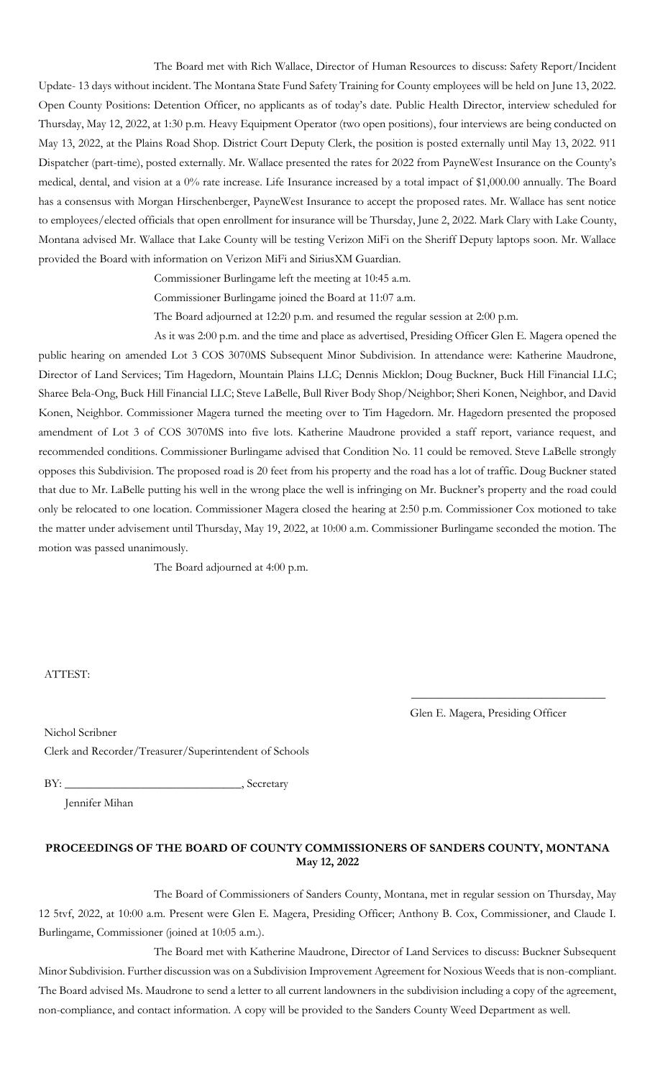The Board met with Rich Wallace, Director of Human Resources to discuss: Safety Report/Incident Update- 13 days without incident. The Montana State Fund Safety Training for County employees will be held on June 13, 2022. Open County Positions: Detention Officer, no applicants as of today's date. Public Health Director, interview scheduled for Thursday, May 12, 2022, at 1:30 p.m. Heavy Equipment Operator (two open positions), four interviews are being conducted on May 13, 2022, at the Plains Road Shop. District Court Deputy Clerk, the position is posted externally until May 13, 2022. 911 Dispatcher (part-time), posted externally. Mr. Wallace presented the rates for 2022 from PayneWest Insurance on the County's medical, dental, and vision at a 0% rate increase. Life Insurance increased by a total impact of \$1,000.00 annually. The Board has a consensus with Morgan Hirschenberger, PayneWest Insurance to accept the proposed rates. Mr. Wallace has sent notice to employees/elected officials that open enrollment for insurance will be Thursday, June 2, 2022. Mark Clary with Lake County, Montana advised Mr. Wallace that Lake County will be testing Verizon MiFi on the Sheriff Deputy laptops soon. Mr. Wallace provided the Board with information on Verizon MiFi and SiriusXM Guardian.

Commissioner Burlingame left the meeting at 10:45 a.m.

Commissioner Burlingame joined the Board at 11:07 a.m.

The Board adjourned at 12:20 p.m. and resumed the regular session at 2:00 p.m.

As it was 2:00 p.m. and the time and place as advertised, Presiding Officer Glen E. Magera opened the public hearing on amended Lot 3 COS 3070MS Subsequent Minor Subdivision. In attendance were: Katherine Maudrone, Director of Land Services; Tim Hagedorn, Mountain Plains LLC; Dennis Micklon; Doug Buckner, Buck Hill Financial LLC; Sharee Bela-Ong, Buck Hill Financial LLC; Steve LaBelle, Bull River Body Shop/Neighbor; Sheri Konen, Neighbor, and David Konen, Neighbor. Commissioner Magera turned the meeting over to Tim Hagedorn. Mr. Hagedorn presented the proposed amendment of Lot 3 of COS 3070MS into five lots. Katherine Maudrone provided a staff report, variance request, and recommended conditions. Commissioner Burlingame advised that Condition No. 11 could be removed. Steve LaBelle strongly opposes this Subdivision. The proposed road is 20 feet from his property and the road has a lot of traffic. Doug Buckner stated that due to Mr. LaBelle putting his well in the wrong place the well is infringing on Mr. Buckner's property and the road could only be relocated to one location. Commissioner Magera closed the hearing at 2:50 p.m. Commissioner Cox motioned to take the matter under advisement until Thursday, May 19, 2022, at 10:00 a.m. Commissioner Burlingame seconded the motion. The motion was passed unanimously.

The Board adjourned at 4:00 p.m.

#### ATTEST:

Glen E. Magera, Presiding Officer

 $\overline{\phantom{a}}$  , and the set of the set of the set of the set of the set of the set of the set of the set of the set of the set of the set of the set of the set of the set of the set of the set of the set of the set of the s

Nichol Scribner Clerk and Recorder/Treasurer/Superintendent of Schools

BY: \_\_\_\_\_\_\_\_\_\_\_\_\_\_\_\_\_\_\_\_\_\_\_\_\_\_\_\_\_\_, Secretary

Jennifer Mihan

## **PROCEEDINGS OF THE BOARD OF COUNTY COMMISSIONERS OF SANDERS COUNTY, MONTANA May 12, 2022**

The Board of Commissioners of Sanders County, Montana, met in regular session on Thursday, May 12 5tvf, 2022, at 10:00 a.m. Present were Glen E. Magera, Presiding Officer; Anthony B. Cox, Commissioner, and Claude I. Burlingame, Commissioner (joined at 10:05 a.m.).

The Board met with Katherine Maudrone, Director of Land Services to discuss: Buckner Subsequent Minor Subdivision. Further discussion was on a Subdivision Improvement Agreement for Noxious Weeds that is non-compliant. The Board advised Ms. Maudrone to send a letter to all current landowners in the subdivision including a copy of the agreement, non-compliance, and contact information. A copy will be provided to the Sanders County Weed Department as well.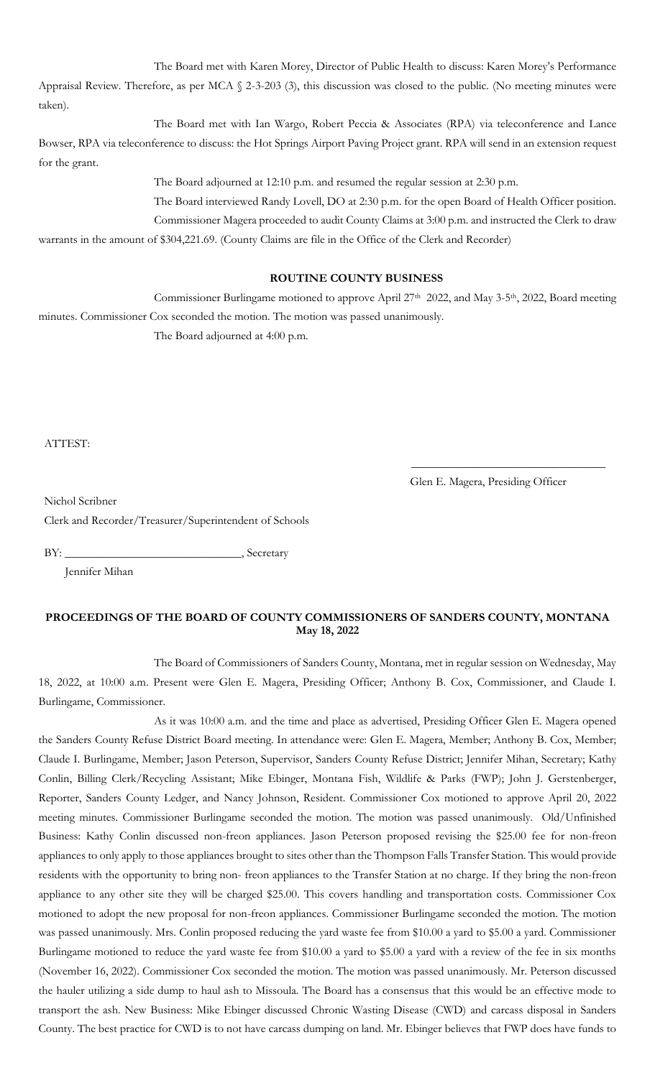The Board met with Karen Morey, Director of Public Health to discuss: Karen Morey's Performance Appraisal Review. Therefore, as per MCA § 2-3-203 (3), this discussion was closed to the public. (No meeting minutes were taken).

The Board met with Ian Wargo, Robert Peccia & Associates (RPA) via teleconference and Lance Bowser, RPA via teleconference to discuss: the Hot Springs Airport Paving Project grant. RPA will send in an extension request for the grant.

The Board adjourned at 12:10 p.m. and resumed the regular session at 2:30 p.m.

The Board interviewed Randy Lovell, DO at 2:30 p.m. for the open Board of Health Officer position.

Commissioner Magera proceeded to audit County Claims at 3:00 p.m. and instructed the Clerk to draw warrants in the amount of \$304,221.69. (County Claims are file in the Office of the Clerk and Recorder)

## **ROUTINE COUNTY BUSINESS**

Commissioner Burlingame motioned to approve April 27<sup>th</sup> 2022, and May 3-5<sup>th</sup>, 2022, Board meeting

minutes. Commissioner Cox seconded the motion. The motion was passed unanimously. The Board adjourned at 4:00 p.m.

ATTEST:

Glen E. Magera, Presiding Officer

\_\_\_\_\_\_\_\_\_\_\_\_\_\_\_\_\_\_\_\_\_\_\_\_\_\_\_\_\_\_\_\_\_

Nichol Scribner

Clerk and Recorder/Treasurer/Superintendent of Schools

BY: \_\_\_\_\_\_\_\_\_\_\_\_\_\_\_\_\_\_\_\_\_\_\_\_\_\_\_\_\_\_, Secretary

Jennifer Mihan

## **PROCEEDINGS OF THE BOARD OF COUNTY COMMISSIONERS OF SANDERS COUNTY, MONTANA May 18, 2022**

The Board of Commissioners of Sanders County, Montana, met in regular session on Wednesday, May 18, 2022, at 10:00 a.m. Present were Glen E. Magera, Presiding Officer; Anthony B. Cox, Commissioner, and Claude I. Burlingame, Commissioner.

As it was 10:00 a.m. and the time and place as advertised, Presiding Officer Glen E. Magera opened the Sanders County Refuse District Board meeting. In attendance were: Glen E. Magera, Member; Anthony B. Cox, Member; Claude I. Burlingame, Member; Jason Peterson, Supervisor, Sanders County Refuse District; Jennifer Mihan, Secretary; Kathy Conlin, Billing Clerk/Recycling Assistant; Mike Ebinger, Montana Fish, Wildlife & Parks (FWP); John J. Gerstenberger, Reporter, Sanders County Ledger, and Nancy Johnson, Resident. Commissioner Cox motioned to approve April 20, 2022 meeting minutes. Commissioner Burlingame seconded the motion. The motion was passed unanimously. Old/Unfinished Business: Kathy Conlin discussed non-freon appliances. Jason Peterson proposed revising the \$25.00 fee for non-freon appliances to only apply to those appliances brought to sites other than the Thompson Falls Transfer Station. This would provide residents with the opportunity to bring non- freon appliances to the Transfer Station at no charge. If they bring the non-freon appliance to any other site they will be charged \$25.00. This covers handling and transportation costs. Commissioner Cox motioned to adopt the new proposal for non-freon appliances. Commissioner Burlingame seconded the motion. The motion was passed unanimously. Mrs. Conlin proposed reducing the yard waste fee from \$10.00 a yard to \$5.00 a yard. Commissioner Burlingame motioned to reduce the yard waste fee from \$10.00 a yard to \$5.00 a yard with a review of the fee in six months (November 16, 2022). Commissioner Cox seconded the motion. The motion was passed unanimously. Mr. Peterson discussed the hauler utilizing a side dump to haul ash to Missoula. The Board has a consensus that this would be an effective mode to transport the ash. New Business: Mike Ebinger discussed Chronic Wasting Disease (CWD) and carcass disposal in Sanders County. The best practice for CWD is to not have carcass dumping on land. Mr. Ebinger believes that FWP does have funds to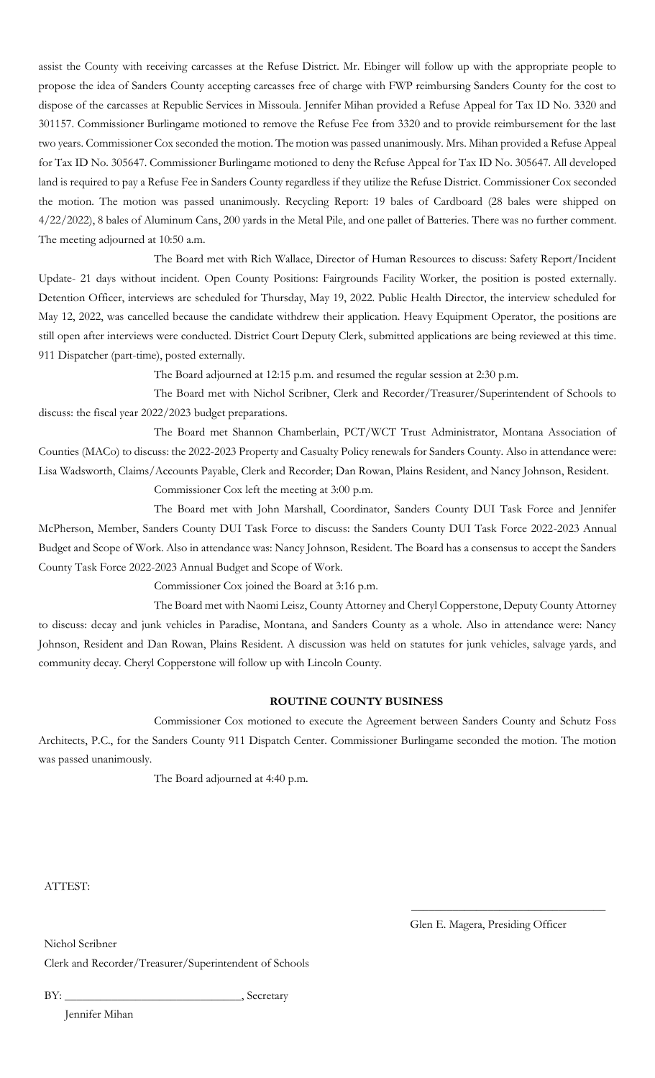assist the County with receiving carcasses at the Refuse District. Mr. Ebinger will follow up with the appropriate people to propose the idea of Sanders County accepting carcasses free of charge with FWP reimbursing Sanders County for the cost to dispose of the carcasses at Republic Services in Missoula. Jennifer Mihan provided a Refuse Appeal for Tax ID No. 3320 and 301157. Commissioner Burlingame motioned to remove the Refuse Fee from 3320 and to provide reimbursement for the last two years. Commissioner Cox seconded the motion. The motion was passed unanimously. Mrs. Mihan provided a Refuse Appeal for Tax ID No. 305647. Commissioner Burlingame motioned to deny the Refuse Appeal for Tax ID No. 305647. All developed land is required to pay a Refuse Fee in Sanders County regardless if they utilize the Refuse District. Commissioner Cox seconded the motion. The motion was passed unanimously. Recycling Report: 19 bales of Cardboard (28 bales were shipped on 4/22/2022), 8 bales of Aluminum Cans, 200 yards in the Metal Pile, and one pallet of Batteries. There was no further comment. The meeting adjourned at 10:50 a.m.

The Board met with Rich Wallace, Director of Human Resources to discuss: Safety Report/Incident Update- 21 days without incident. Open County Positions: Fairgrounds Facility Worker, the position is posted externally. Detention Officer, interviews are scheduled for Thursday, May 19, 2022. Public Health Director, the interview scheduled for May 12, 2022, was cancelled because the candidate withdrew their application. Heavy Equipment Operator, the positions are still open after interviews were conducted. District Court Deputy Clerk, submitted applications are being reviewed at this time. 911 Dispatcher (part-time), posted externally.

The Board adjourned at 12:15 p.m. and resumed the regular session at 2:30 p.m.

The Board met with Nichol Scribner, Clerk and Recorder/Treasurer/Superintendent of Schools to discuss: the fiscal year 2022/2023 budget preparations.

The Board met Shannon Chamberlain, PCT/WCT Trust Administrator, Montana Association of Counties (MACo) to discuss: the 2022-2023 Property and Casualty Policy renewals for Sanders County. Also in attendance were: Lisa Wadsworth, Claims/Accounts Payable, Clerk and Recorder; Dan Rowan, Plains Resident, and Nancy Johnson, Resident.

Commissioner Cox left the meeting at 3:00 p.m.

The Board met with John Marshall, Coordinator, Sanders County DUI Task Force and Jennifer McPherson, Member, Sanders County DUI Task Force to discuss: the Sanders County DUI Task Force 2022-2023 Annual Budget and Scope of Work. Also in attendance was: Nancy Johnson, Resident. The Board has a consensus to accept the Sanders County Task Force 2022-2023 Annual Budget and Scope of Work.

Commissioner Cox joined the Board at 3:16 p.m.

The Board met with Naomi Leisz, County Attorney and Cheryl Copperstone, Deputy County Attorney to discuss: decay and junk vehicles in Paradise, Montana, and Sanders County as a whole. Also in attendance were: Nancy Johnson, Resident and Dan Rowan, Plains Resident. A discussion was held on statutes for junk vehicles, salvage yards, and community decay. Cheryl Copperstone will follow up with Lincoln County.

### **ROUTINE COUNTY BUSINESS**

Commissioner Cox motioned to execute the Agreement between Sanders County and Schutz Foss Architects, P.C., for the Sanders County 911 Dispatch Center. Commissioner Burlingame seconded the motion. The motion was passed unanimously.

The Board adjourned at 4:40 p.m.

ATTEST:

Glen E. Magera, Presiding Officer

 $\overline{\phantom{a}}$  , and the set of the set of the set of the set of the set of the set of the set of the set of the set of the set of the set of the set of the set of the set of the set of the set of the set of the set of the s

Nichol Scribner

Clerk and Recorder/Treasurer/Superintendent of Schools

BY: \_\_\_\_\_\_\_\_\_\_\_\_\_\_\_\_\_\_\_\_\_\_\_\_\_\_\_\_\_\_, Secretary

Jennifer Mihan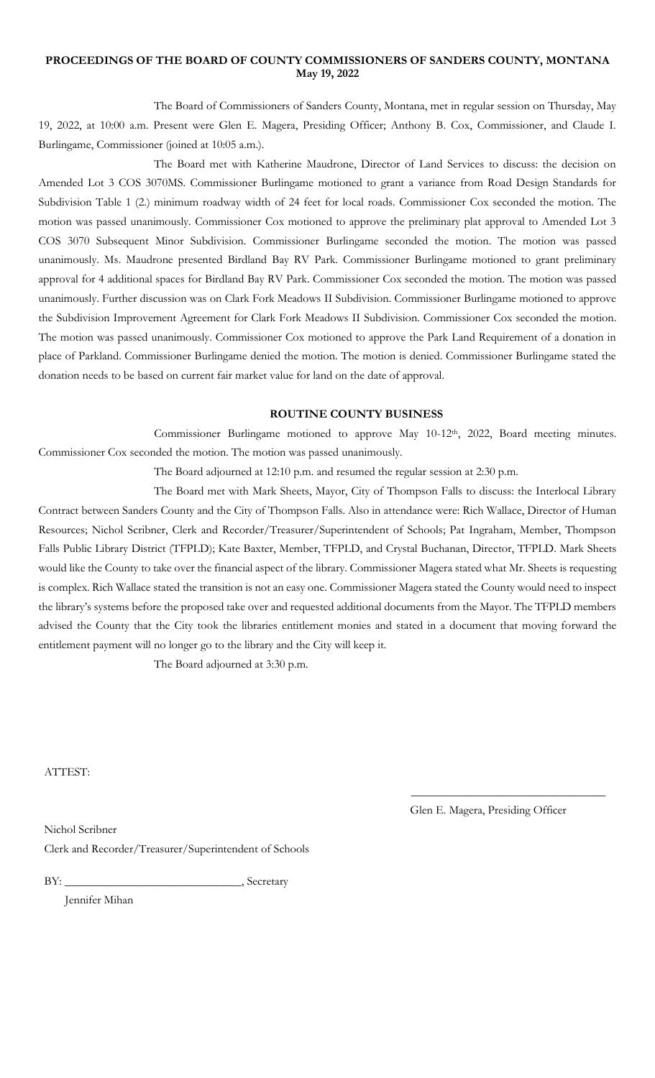### **PROCEEDINGS OF THE BOARD OF COUNTY COMMISSIONERS OF SANDERS COUNTY, MONTANA May 19, 2022**

The Board of Commissioners of Sanders County, Montana, met in regular session on Thursday, May 19, 2022, at 10:00 a.m. Present were Glen E. Magera, Presiding Officer; Anthony B. Cox, Commissioner, and Claude I. Burlingame, Commissioner (joined at 10:05 a.m.).

The Board met with Katherine Maudrone, Director of Land Services to discuss: the decision on Amended Lot 3 COS 3070MS. Commissioner Burlingame motioned to grant a variance from Road Design Standards for Subdivision Table 1 (2.) minimum roadway width of 24 feet for local roads. Commissioner Cox seconded the motion. The motion was passed unanimously. Commissioner Cox motioned to approve the preliminary plat approval to Amended Lot 3 COS 3070 Subsequent Minor Subdivision. Commissioner Burlingame seconded the motion. The motion was passed unanimously. Ms. Maudrone presented Birdland Bay RV Park. Commissioner Burlingame motioned to grant preliminary approval for 4 additional spaces for Birdland Bay RV Park. Commissioner Cox seconded the motion. The motion was passed unanimously. Further discussion was on Clark Fork Meadows II Subdivision. Commissioner Burlingame motioned to approve the Subdivision Improvement Agreement for Clark Fork Meadows II Subdivision. Commissioner Cox seconded the motion. The motion was passed unanimously. Commissioner Cox motioned to approve the Park Land Requirement of a donation in place of Parkland. Commissioner Burlingame denied the motion. The motion is denied. Commissioner Burlingame stated the donation needs to be based on current fair market value for land on the date of approval.

### **ROUTINE COUNTY BUSINESS**

Commissioner Burlingame motioned to approve May  $10-12<sup>th</sup>$ , 2022, Board meeting minutes. Commissioner Cox seconded the motion. The motion was passed unanimously.

The Board adjourned at 12:10 p.m. and resumed the regular session at 2:30 p.m.

The Board met with Mark Sheets, Mayor, City of Thompson Falls to discuss: the Interlocal Library Contract between Sanders County and the City of Thompson Falls. Also in attendance were: Rich Wallace, Director of Human Resources; Nichol Scribner, Clerk and Recorder/Treasurer/Superintendent of Schools; Pat Ingraham, Member, Thompson Falls Public Library District (TFPLD); Kate Baxter, Member, TFPLD, and Crystal Buchanan, Director, TFPLD. Mark Sheets would like the County to take over the financial aspect of the library. Commissioner Magera stated what Mr. Sheets is requesting is complex. Rich Wallace stated the transition is not an easy one. Commissioner Magera stated the County would need to inspect the library's systems before the proposed take over and requested additional documents from the Mayor. The TFPLD members advised the County that the City took the libraries entitlement monies and stated in a document that moving forward the entitlement payment will no longer go to the library and the City will keep it.

The Board adjourned at 3:30 p.m.

ATTEST:

Nichol Scribner

Glen E. Magera, Presiding Officer

\_\_\_\_\_\_\_\_\_\_\_\_\_\_\_\_\_\_\_\_\_\_\_\_\_\_\_\_\_\_\_\_\_

Clerk and Recorder/Treasurer/Superintendent of Schools

BY: \_\_\_\_\_\_\_\_\_\_\_\_\_\_\_\_\_\_\_\_\_\_\_\_\_\_\_\_\_\_, Secretary

Jennifer Mihan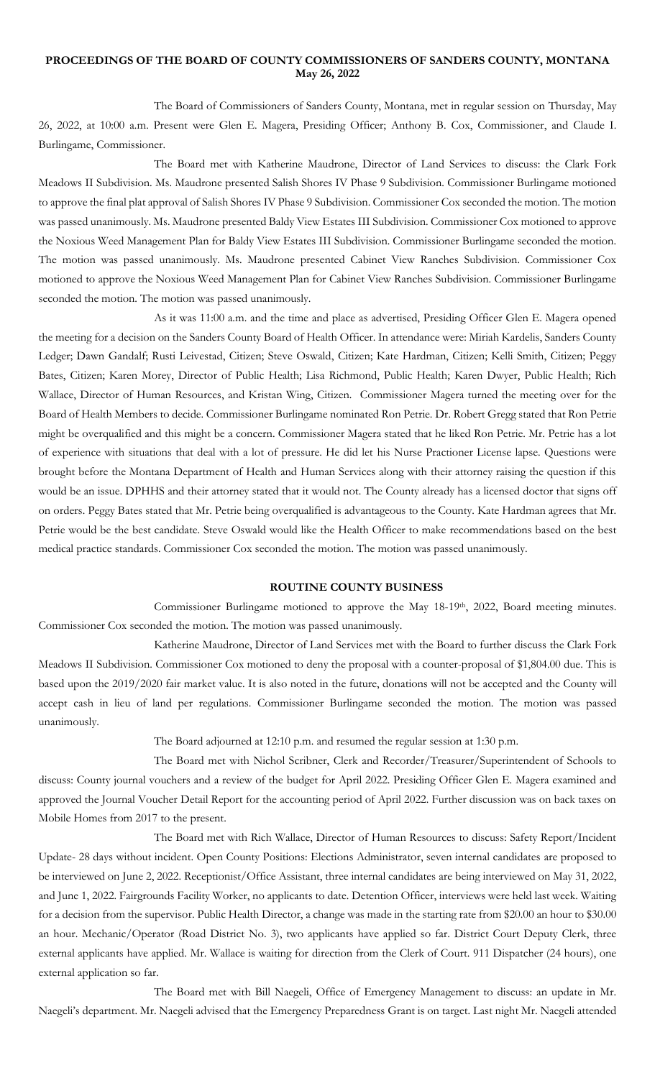#### **PROCEEDINGS OF THE BOARD OF COUNTY COMMISSIONERS OF SANDERS COUNTY, MONTANA May 26, 2022**

The Board of Commissioners of Sanders County, Montana, met in regular session on Thursday, May 26, 2022, at 10:00 a.m. Present were Glen E. Magera, Presiding Officer; Anthony B. Cox, Commissioner, and Claude I. Burlingame, Commissioner.

The Board met with Katherine Maudrone, Director of Land Services to discuss: the Clark Fork Meadows II Subdivision. Ms. Maudrone presented Salish Shores IV Phase 9 Subdivision. Commissioner Burlingame motioned to approve the final plat approval of Salish Shores IV Phase 9 Subdivision. Commissioner Cox seconded the motion. The motion was passed unanimously. Ms. Maudrone presented Baldy View Estates III Subdivision. Commissioner Cox motioned to approve the Noxious Weed Management Plan for Baldy View Estates III Subdivision. Commissioner Burlingame seconded the motion. The motion was passed unanimously. Ms. Maudrone presented Cabinet View Ranches Subdivision. Commissioner Cox motioned to approve the Noxious Weed Management Plan for Cabinet View Ranches Subdivision. Commissioner Burlingame seconded the motion. The motion was passed unanimously.

As it was 11:00 a.m. and the time and place as advertised, Presiding Officer Glen E. Magera opened the meeting for a decision on the Sanders County Board of Health Officer. In attendance were: Miriah Kardelis, Sanders County Ledger; Dawn Gandalf; Rusti Leivestad, Citizen; Steve Oswald, Citizen; Kate Hardman, Citizen; Kelli Smith, Citizen; Peggy Bates, Citizen; Karen Morey, Director of Public Health; Lisa Richmond, Public Health; Karen Dwyer, Public Health; Rich Wallace, Director of Human Resources, and Kristan Wing, Citizen. Commissioner Magera turned the meeting over for the Board of Health Members to decide. Commissioner Burlingame nominated Ron Petrie. Dr. Robert Gregg stated that Ron Petrie might be overqualified and this might be a concern. Commissioner Magera stated that he liked Ron Petrie. Mr. Petrie has a lot of experience with situations that deal with a lot of pressure. He did let his Nurse Practioner License lapse. Questions were brought before the Montana Department of Health and Human Services along with their attorney raising the question if this would be an issue. DPHHS and their attorney stated that it would not. The County already has a licensed doctor that signs off on orders. Peggy Bates stated that Mr. Petrie being overqualified is advantageous to the County. Kate Hardman agrees that Mr. Petrie would be the best candidate. Steve Oswald would like the Health Officer to make recommendations based on the best medical practice standards. Commissioner Cox seconded the motion. The motion was passed unanimously.

#### **ROUTINE COUNTY BUSINESS**

Commissioner Burlingame motioned to approve the May 18-19<sup>th</sup>, 2022, Board meeting minutes. Commissioner Cox seconded the motion. The motion was passed unanimously.

Katherine Maudrone, Director of Land Services met with the Board to further discuss the Clark Fork Meadows II Subdivision. Commissioner Cox motioned to deny the proposal with a counter-proposal of \$1,804.00 due. This is based upon the 2019/2020 fair market value. It is also noted in the future, donations will not be accepted and the County will accept cash in lieu of land per regulations. Commissioner Burlingame seconded the motion. The motion was passed unanimously.

The Board adjourned at 12:10 p.m. and resumed the regular session at 1:30 p.m.

The Board met with Nichol Scribner, Clerk and Recorder/Treasurer/Superintendent of Schools to discuss: County journal vouchers and a review of the budget for April 2022. Presiding Officer Glen E. Magera examined and approved the Journal Voucher Detail Report for the accounting period of April 2022. Further discussion was on back taxes on Mobile Homes from 2017 to the present.

The Board met with Rich Wallace, Director of Human Resources to discuss: Safety Report/Incident Update- 28 days without incident. Open County Positions: Elections Administrator, seven internal candidates are proposed to be interviewed on June 2, 2022. Receptionist/Office Assistant, three internal candidates are being interviewed on May 31, 2022, and June 1, 2022. Fairgrounds Facility Worker, no applicants to date. Detention Officer, interviews were held last week. Waiting for a decision from the supervisor. Public Health Director, a change was made in the starting rate from \$20.00 an hour to \$30.00 an hour. Mechanic/Operator (Road District No. 3), two applicants have applied so far. District Court Deputy Clerk, three external applicants have applied. Mr. Wallace is waiting for direction from the Clerk of Court. 911 Dispatcher (24 hours), one external application so far.

The Board met with Bill Naegeli, Office of Emergency Management to discuss: an update in Mr. Naegeli's department. Mr. Naegeli advised that the Emergency Preparedness Grant is on target. Last night Mr. Naegeli attended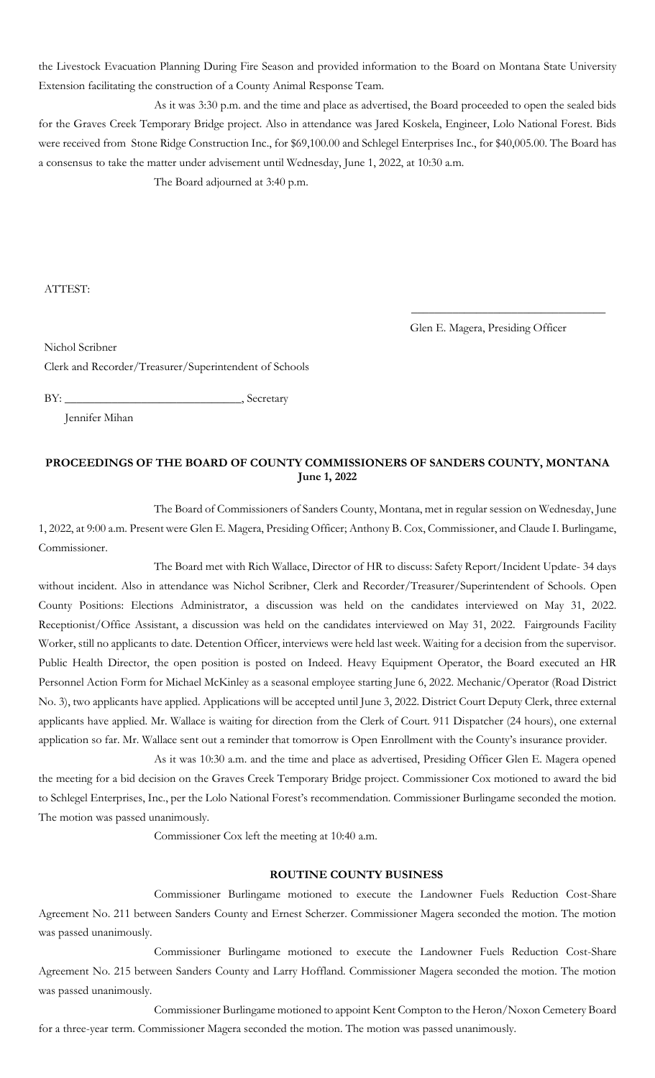the Livestock Evacuation Planning During Fire Season and provided information to the Board on Montana State University Extension facilitating the construction of a County Animal Response Team.

As it was 3:30 p.m. and the time and place as advertised, the Board proceeded to open the sealed bids for the Graves Creek Temporary Bridge project. Also in attendance was Jared Koskela, Engineer, Lolo National Forest. Bids were received from Stone Ridge Construction Inc., for \$69,100.00 and Schlegel Enterprises Inc., for \$40,005.00. The Board has a consensus to take the matter under advisement until Wednesday, June 1, 2022, at 10:30 a.m.

The Board adjourned at 3:40 p.m.

ATTEST:

Glen E. Magera, Presiding Officer

\_\_\_\_\_\_\_\_\_\_\_\_\_\_\_\_\_\_\_\_\_\_\_\_\_\_\_\_\_\_\_\_\_

Nichol Scribner

Clerk and Recorder/Treasurer/Superintendent of Schools

BY: \_\_\_\_\_\_\_\_\_\_\_\_\_\_\_\_\_\_\_\_\_\_\_\_\_\_\_\_\_\_, Secretary

Jennifer Mihan

## **PROCEEDINGS OF THE BOARD OF COUNTY COMMISSIONERS OF SANDERS COUNTY, MONTANA June 1, 2022**

The Board of Commissioners of Sanders County, Montana, met in regular session on Wednesday, June 1, 2022, at 9:00 a.m. Present were Glen E. Magera, Presiding Officer; Anthony B. Cox, Commissioner, and Claude I. Burlingame, Commissioner.

The Board met with Rich Wallace, Director of HR to discuss: Safety Report/Incident Update- 34 days without incident. Also in attendance was Nichol Scribner, Clerk and Recorder/Treasurer/Superintendent of Schools. Open County Positions: Elections Administrator, a discussion was held on the candidates interviewed on May 31, 2022. Receptionist/Office Assistant, a discussion was held on the candidates interviewed on May 31, 2022. Fairgrounds Facility Worker, still no applicants to date. Detention Officer, interviews were held last week. Waiting for a decision from the supervisor. Public Health Director, the open position is posted on Indeed. Heavy Equipment Operator, the Board executed an HR Personnel Action Form for Michael McKinley as a seasonal employee starting June 6, 2022. Mechanic/Operator (Road District No. 3), two applicants have applied. Applications will be accepted until June 3, 2022. District Court Deputy Clerk, three external applicants have applied. Mr. Wallace is waiting for direction from the Clerk of Court. 911 Dispatcher (24 hours), one external application so far. Mr. Wallace sent out a reminder that tomorrow is Open Enrollment with the County's insurance provider.

As it was 10:30 a.m. and the time and place as advertised, Presiding Officer Glen E. Magera opened the meeting for a bid decision on the Graves Creek Temporary Bridge project. Commissioner Cox motioned to award the bid to Schlegel Enterprises, Inc., per the Lolo National Forest's recommendation. Commissioner Burlingame seconded the motion. The motion was passed unanimously.

Commissioner Cox left the meeting at 10:40 a.m.

### **ROUTINE COUNTY BUSINESS**

Commissioner Burlingame motioned to execute the Landowner Fuels Reduction Cost-Share Agreement No. 211 between Sanders County and Ernest Scherzer. Commissioner Magera seconded the motion. The motion was passed unanimously.

Commissioner Burlingame motioned to execute the Landowner Fuels Reduction Cost-Share Agreement No. 215 between Sanders County and Larry Hoffland. Commissioner Magera seconded the motion. The motion was passed unanimously.

Commissioner Burlingame motioned to appoint Kent Compton to the Heron/Noxon Cemetery Board for a three-year term. Commissioner Magera seconded the motion. The motion was passed unanimously.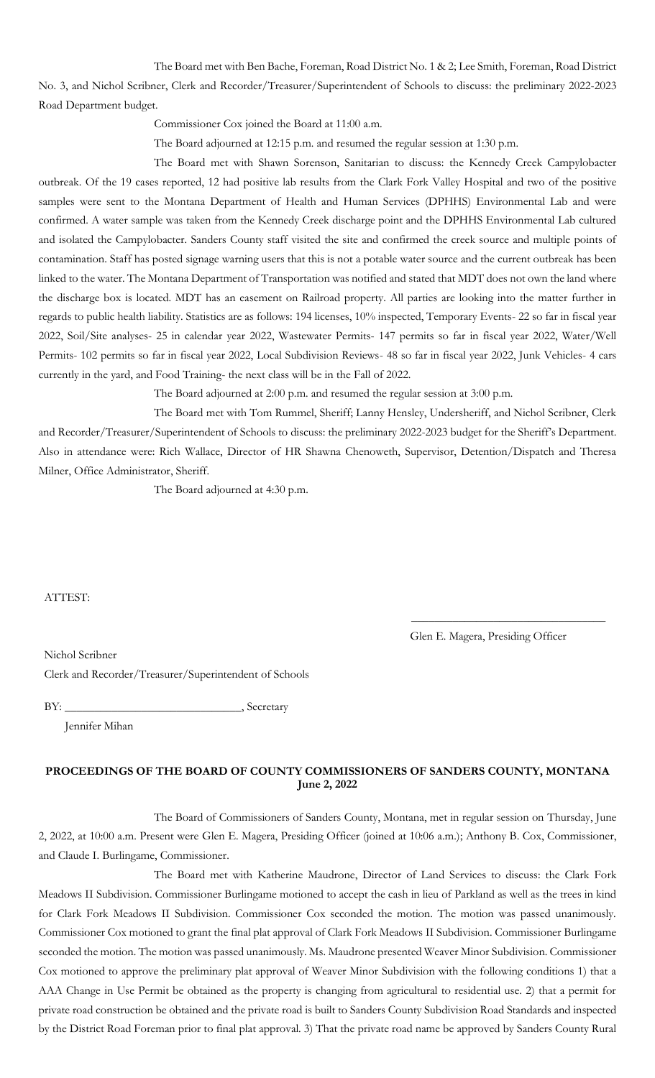The Board met with Ben Bache, Foreman, Road District No. 1 & 2; Lee Smith, Foreman, Road District No. 3, and Nichol Scribner, Clerk and Recorder/Treasurer/Superintendent of Schools to discuss: the preliminary 2022-2023 Road Department budget.

Commissioner Cox joined the Board at 11:00 a.m.

The Board adjourned at 12:15 p.m. and resumed the regular session at 1:30 p.m.

The Board met with Shawn Sorenson, Sanitarian to discuss: the Kennedy Creek Campylobacter outbreak. Of the 19 cases reported, 12 had positive lab results from the Clark Fork Valley Hospital and two of the positive samples were sent to the Montana Department of Health and Human Services (DPHHS) Environmental Lab and were confirmed. A water sample was taken from the Kennedy Creek discharge point and the DPHHS Environmental Lab cultured and isolated the Campylobacter. Sanders County staff visited the site and confirmed the creek source and multiple points of contamination. Staff has posted signage warning users that this is not a potable water source and the current outbreak has been linked to the water. The Montana Department of Transportation was notified and stated that MDT does not own the land where the discharge box is located. MDT has an easement on Railroad property. All parties are looking into the matter further in regards to public health liability. Statistics are as follows: 194 licenses, 10% inspected, Temporary Events- 22 so far in fiscal year 2022, Soil/Site analyses- 25 in calendar year 2022, Wastewater Permits- 147 permits so far in fiscal year 2022, Water/Well Permits- 102 permits so far in fiscal year 2022, Local Subdivision Reviews- 48 so far in fiscal year 2022, Junk Vehicles- 4 cars currently in the yard, and Food Training- the next class will be in the Fall of 2022.

The Board adjourned at 2:00 p.m. and resumed the regular session at 3:00 p.m.

The Board met with Tom Rummel, Sheriff; Lanny Hensley, Undersheriff, and Nichol Scribner, Clerk and Recorder/Treasurer/Superintendent of Schools to discuss: the preliminary 2022-2023 budget for the Sheriff's Department. Also in attendance were: Rich Wallace, Director of HR Shawna Chenoweth, Supervisor, Detention/Dispatch and Theresa Milner, Office Administrator, Sheriff.

The Board adjourned at 4:30 p.m.

#### ATTEST:

Glen E. Magera, Presiding Officer

\_\_\_\_\_\_\_\_\_\_\_\_\_\_\_\_\_\_\_\_\_\_\_\_\_\_\_\_\_\_\_\_\_

Nichol Scribner Clerk and Recorder/Treasurer/Superintendent of Schools

BY: \_\_\_\_\_\_\_\_\_\_\_\_\_\_\_\_\_\_\_\_\_\_\_\_\_\_\_\_\_\_, Secretary

Jennifer Mihan

# **PROCEEDINGS OF THE BOARD OF COUNTY COMMISSIONERS OF SANDERS COUNTY, MONTANA June 2, 2022**

The Board of Commissioners of Sanders County, Montana, met in regular session on Thursday, June 2, 2022, at 10:00 a.m. Present were Glen E. Magera, Presiding Officer (joined at 10:06 a.m.); Anthony B. Cox, Commissioner, and Claude I. Burlingame, Commissioner.

The Board met with Katherine Maudrone, Director of Land Services to discuss: the Clark Fork Meadows II Subdivision. Commissioner Burlingame motioned to accept the cash in lieu of Parkland as well as the trees in kind for Clark Fork Meadows II Subdivision. Commissioner Cox seconded the motion. The motion was passed unanimously. Commissioner Cox motioned to grant the final plat approval of Clark Fork Meadows II Subdivision. Commissioner Burlingame seconded the motion. The motion was passed unanimously. Ms. Maudrone presented Weaver Minor Subdivision. Commissioner Cox motioned to approve the preliminary plat approval of Weaver Minor Subdivision with the following conditions 1) that a AAA Change in Use Permit be obtained as the property is changing from agricultural to residential use. 2) that a permit for private road construction be obtained and the private road is built to Sanders County Subdivision Road Standards and inspected by the District Road Foreman prior to final plat approval. 3) That the private road name be approved by Sanders County Rural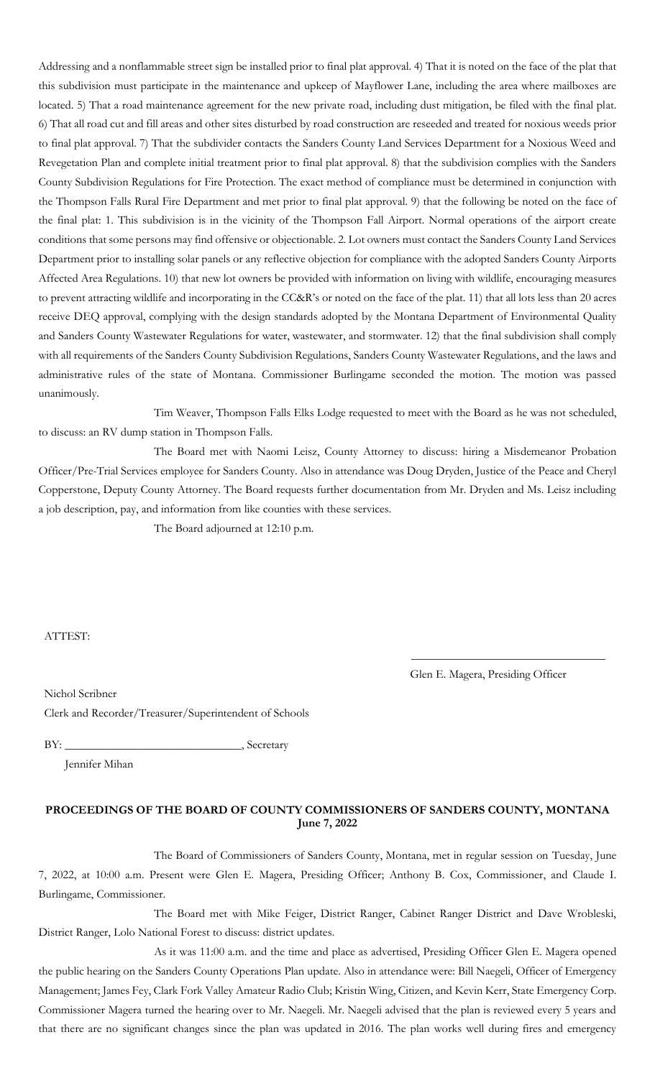Addressing and a nonflammable street sign be installed prior to final plat approval. 4) That it is noted on the face of the plat that this subdivision must participate in the maintenance and upkeep of Mayflower Lane, including the area where mailboxes are located. 5) That a road maintenance agreement for the new private road, including dust mitigation, be filed with the final plat. 6) That all road cut and fill areas and other sites disturbed by road construction are reseeded and treated for noxious weeds prior to final plat approval. 7) That the subdivider contacts the Sanders County Land Services Department for a Noxious Weed and Revegetation Plan and complete initial treatment prior to final plat approval. 8) that the subdivision complies with the Sanders County Subdivision Regulations for Fire Protection. The exact method of compliance must be determined in conjunction with the Thompson Falls Rural Fire Department and met prior to final plat approval. 9) that the following be noted on the face of the final plat: 1. This subdivision is in the vicinity of the Thompson Fall Airport. Normal operations of the airport create conditions that some persons may find offensive or objectionable. 2. Lot owners must contact the Sanders County Land Services Department prior to installing solar panels or any reflective objection for compliance with the adopted Sanders County Airports Affected Area Regulations. 10) that new lot owners be provided with information on living with wildlife, encouraging measures to prevent attracting wildlife and incorporating in the CC&R's or noted on the face of the plat. 11) that all lots less than 20 acres receive DEQ approval, complying with the design standards adopted by the Montana Department of Environmental Quality and Sanders County Wastewater Regulations for water, wastewater, and stormwater. 12) that the final subdivision shall comply with all requirements of the Sanders County Subdivision Regulations, Sanders County Wastewater Regulations, and the laws and administrative rules of the state of Montana. Commissioner Burlingame seconded the motion. The motion was passed unanimously.

Tim Weaver, Thompson Falls Elks Lodge requested to meet with the Board as he was not scheduled, to discuss: an RV dump station in Thompson Falls.

The Board met with Naomi Leisz, County Attorney to discuss: hiring a Misdemeanor Probation Officer/Pre-Trial Services employee for Sanders County. Also in attendance was Doug Dryden, Justice of the Peace and Cheryl Copperstone, Deputy County Attorney. The Board requests further documentation from Mr. Dryden and Ms. Leisz including a job description, pay, and information from like counties with these services.

The Board adjourned at 12:10 p.m.

ATTEST:

Glen E. Magera, Presiding Officer

\_\_\_\_\_\_\_\_\_\_\_\_\_\_\_\_\_\_\_\_\_\_\_\_\_\_\_\_\_\_\_\_\_

Nichol Scribner Clerk and Recorder/Treasurer/Superintendent of Schools

BY: Secretary

Jennifer Mihan

## **PROCEEDINGS OF THE BOARD OF COUNTY COMMISSIONERS OF SANDERS COUNTY, MONTANA June 7, 2022**

The Board of Commissioners of Sanders County, Montana, met in regular session on Tuesday, June 7, 2022, at 10:00 a.m. Present were Glen E. Magera, Presiding Officer; Anthony B. Cox, Commissioner, and Claude I. Burlingame, Commissioner.

The Board met with Mike Feiger, District Ranger, Cabinet Ranger District and Dave Wrobleski, District Ranger, Lolo National Forest to discuss: district updates.

As it was 11:00 a.m. and the time and place as advertised, Presiding Officer Glen E. Magera opened the public hearing on the Sanders County Operations Plan update. Also in attendance were: Bill Naegeli, Officer of Emergency Management; James Fey, Clark Fork Valley Amateur Radio Club; Kristin Wing, Citizen, and Kevin Kerr, State Emergency Corp. Commissioner Magera turned the hearing over to Mr. Naegeli. Mr. Naegeli advised that the plan is reviewed every 5 years and that there are no significant changes since the plan was updated in 2016. The plan works well during fires and emergency